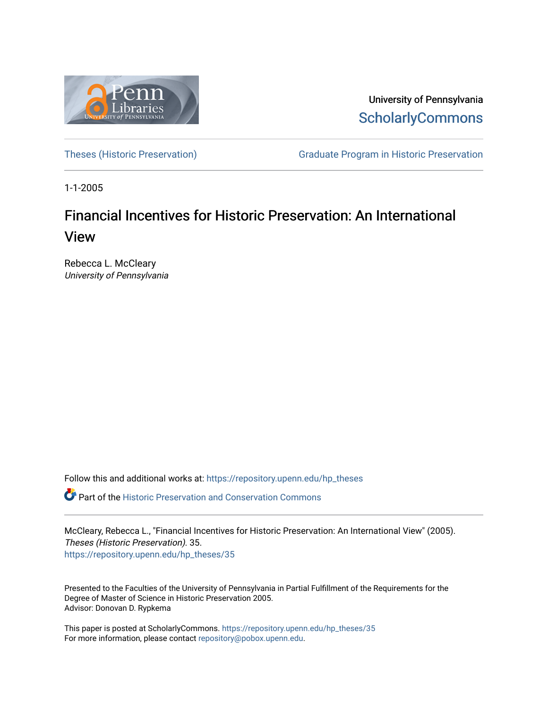

University of Pennsylvania **ScholarlyCommons** 

[Theses \(Historic Preservation\)](https://repository.upenn.edu/hp_theses) [Graduate Program in Historic Preservation](https://repository.upenn.edu/hist_pres) 

1-1-2005

# Financial Incentives for Historic Preservation: An International View

Rebecca L. McCleary University of Pennsylvania

Follow this and additional works at: [https://repository.upenn.edu/hp\\_theses](https://repository.upenn.edu/hp_theses?utm_source=repository.upenn.edu%2Fhp_theses%2F35&utm_medium=PDF&utm_campaign=PDFCoverPages) 

 $\bullet$  Part of the [Historic Preservation and Conservation Commons](http://network.bepress.com/hgg/discipline/781?utm_source=repository.upenn.edu%2Fhp_theses%2F35&utm_medium=PDF&utm_campaign=PDFCoverPages)

McCleary, Rebecca L., "Financial Incentives for Historic Preservation: An International View" (2005). Theses (Historic Preservation). 35. [https://repository.upenn.edu/hp\\_theses/35](https://repository.upenn.edu/hp_theses/35?utm_source=repository.upenn.edu%2Fhp_theses%2F35&utm_medium=PDF&utm_campaign=PDFCoverPages)

Presented to the Faculties of the University of Pennsylvania in Partial Fulfillment of the Requirements for the Degree of Master of Science in Historic Preservation 2005. Advisor: Donovan D. Rypkema

This paper is posted at ScholarlyCommons. [https://repository.upenn.edu/hp\\_theses/35](https://repository.upenn.edu/hp_theses/35)  For more information, please contact [repository@pobox.upenn.edu.](mailto:repository@pobox.upenn.edu)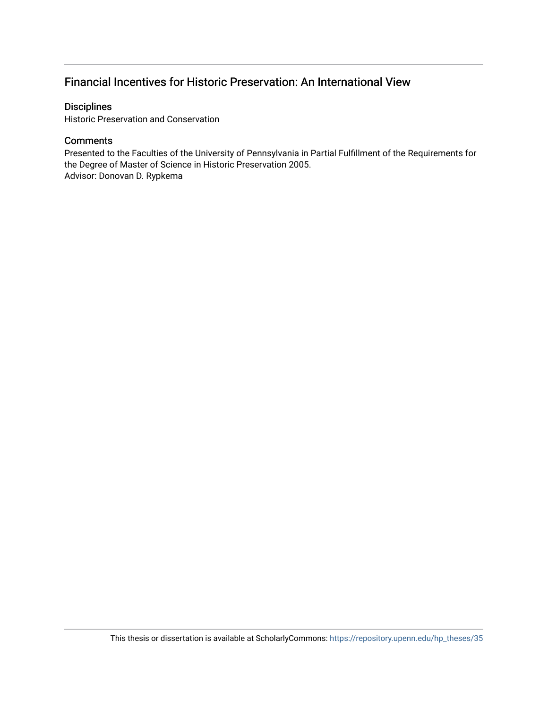## Financial Incentives for Historic Preservation: An International View

## **Disciplines**

Historic Preservation and Conservation

## **Comments**

Presented to the Faculties of the University of Pennsylvania in Partial Fulfillment of the Requirements for the Degree of Master of Science in Historic Preservation 2005. Advisor: Donovan D. Rypkema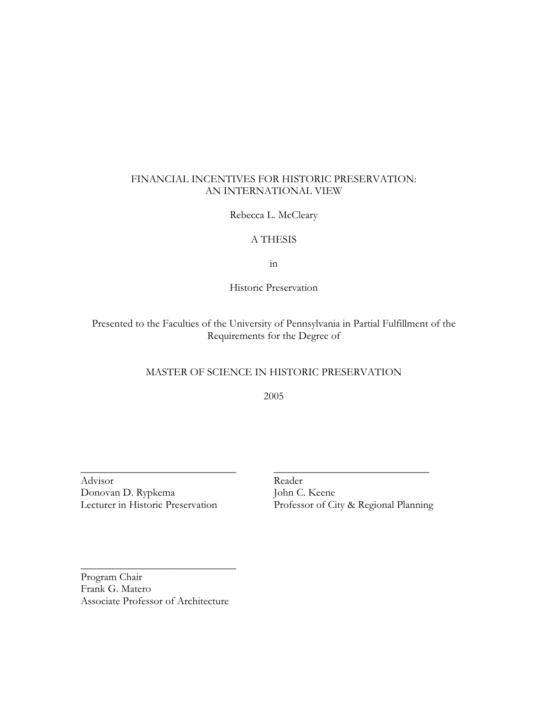## FINANCIAL INCENTIVES FOR HISTORIC PRESERVATION: AN INTERNATIONAL VIEW

Rebecca L. McCleary

## A THESIS

in

Historic Preservation

Presented to the Faculties of the University of Pennsylvania in Partial Fulfillment of the Requirements for the Degree of

## MASTER OF SCIENCE IN HISTORIC PRESERVATION

2005

\_\_\_\_\_\_\_\_\_\_\_\_\_\_\_\_\_\_\_\_\_\_\_\_\_\_\_\_\_ \_\_\_\_\_\_\_\_\_\_\_\_\_\_\_\_\_\_\_\_\_\_\_\_\_\_\_\_\_

Advisor<br>
Donovan D. Rypkema<br>
John C. Keene Donovan D. Rypkema<br>Lecturer in Historic Preservation

Professor of City & Regional Planning

Program Chair Frank G. Matero Associate Professor of Architecture

 $\overline{\phantom{a}}$  , where  $\overline{\phantom{a}}$  , where  $\overline{\phantom{a}}$  , where  $\overline{\phantom{a}}$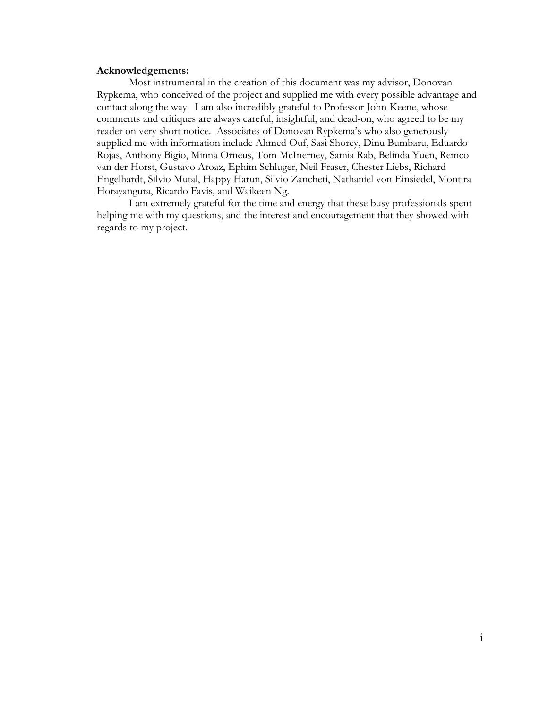#### **Acknowledgements:**

 Most instrumental in the creation of this document was my advisor, Donovan Rypkema, who conceived of the project and supplied me with every possible advantage and contact along the way. I am also incredibly grateful to Professor John Keene, whose comments and critiques are always careful, insightful, and dead-on, who agreed to be my reader on very short notice. Associates of Donovan Rypkema's who also generously supplied me with information include Ahmed Ouf, Sasi Shorey, Dinu Bumbaru, Eduardo Rojas, Anthony Bigio, Minna Orneus, Tom McInerney, Samia Rab, Belinda Yuen, Remco van der Horst, Gustavo Aroaz, Ephim Schluger, Neil Fraser, Chester Liebs, Richard Engelhardt, Silvio Mutal, Happy Harun, Silvio Zancheti, Nathaniel von Einsiedel, Montira Horayangura, Ricardo Favis, and Waikeen Ng.

 I am extremely grateful for the time and energy that these busy professionals spent helping me with my questions, and the interest and encouragement that they showed with regards to my project.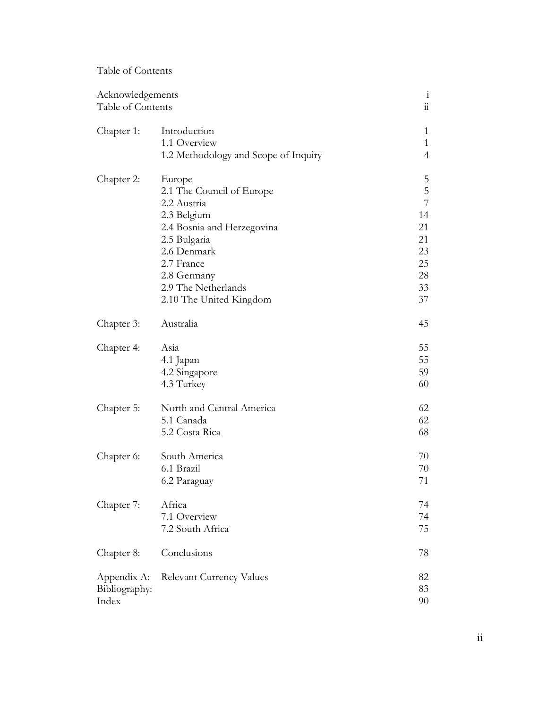Table of Contents

| Acknowledgements<br>Table of Contents |                                                                                                                                                                                                               | $\mathbf{i}$<br>$\ddot{\rm ii}$                             |
|---------------------------------------|---------------------------------------------------------------------------------------------------------------------------------------------------------------------------------------------------------------|-------------------------------------------------------------|
| Chapter 1:                            | Introduction<br>1.1 Overview<br>1.2 Methodology and Scope of Inquiry                                                                                                                                          | 1<br>$\mathbf{1}$<br>$\overline{4}$                         |
| Chapter 2:                            | Europe<br>2.1 The Council of Europe<br>2.2 Austria<br>2.3 Belgium<br>2.4 Bosnia and Herzegovina<br>2.5 Bulgaria<br>2.6 Denmark<br>2.7 France<br>2.8 Germany<br>2.9 The Netherlands<br>2.10 The United Kingdom | 5<br>5<br>7<br>14<br>21<br>21<br>23<br>25<br>28<br>33<br>37 |
| Chapter 3:                            | Australia                                                                                                                                                                                                     | 45                                                          |
| Chapter 4:                            | Asia<br>4.1 Japan<br>4.2 Singapore<br>4.3 Turkey                                                                                                                                                              | 55<br>55<br>59<br>60                                        |
| Chapter 5:                            | North and Central America<br>5.1 Canada<br>5.2 Costa Rica                                                                                                                                                     | 62<br>62<br>68                                              |
| Chapter 6:                            | South America<br>6.1 Brazil<br>6.2 Paraguay                                                                                                                                                                   | 70<br>70<br>71                                              |
| Chapter 7:                            | Africa<br>7.1 Overview<br>7.2 South Africa                                                                                                                                                                    | 74<br>74<br>75                                              |
| Chapter 8:                            | Conclusions                                                                                                                                                                                                   | 78                                                          |
| Appendix A:<br>Bibliography:<br>Index | <b>Relevant Currency Values</b>                                                                                                                                                                               | 82<br>83<br>90                                              |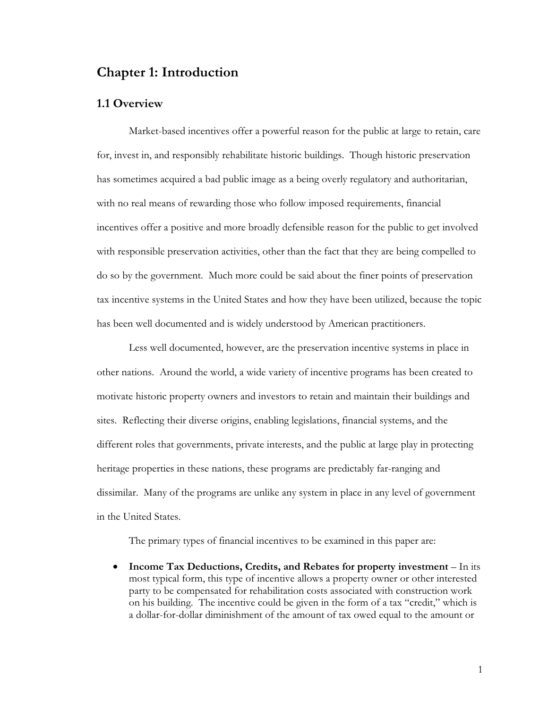## **Chapter 1: Introduction**

## **1.1 Overview**

 Market-based incentives offer a powerful reason for the public at large to retain, care for, invest in, and responsibly rehabilitate historic buildings. Though historic preservation has sometimes acquired a bad public image as a being overly regulatory and authoritarian, with no real means of rewarding those who follow imposed requirements, financial incentives offer a positive and more broadly defensible reason for the public to get involved with responsible preservation activities, other than the fact that they are being compelled to do so by the government. Much more could be said about the finer points of preservation tax incentive systems in the United States and how they have been utilized, because the topic has been well documented and is widely understood by American practitioners.

 Less well documented, however, are the preservation incentive systems in place in other nations. Around the world, a wide variety of incentive programs has been created to motivate historic property owners and investors to retain and maintain their buildings and sites. Reflecting their diverse origins, enabling legislations, financial systems, and the different roles that governments, private interests, and the public at large play in protecting heritage properties in these nations, these programs are predictably far-ranging and dissimilar. Many of the programs are unlike any system in place in any level of government in the United States.

The primary types of financial incentives to be examined in this paper are:

x **Income Tax Deductions, Credits, and Rebates for property investment** – In its most typical form, this type of incentive allows a property owner or other interested party to be compensated for rehabilitation costs associated with construction work on his building. The incentive could be given in the form of a tax "credit," which is a dollar-for-dollar diminishment of the amount of tax owed equal to the amount or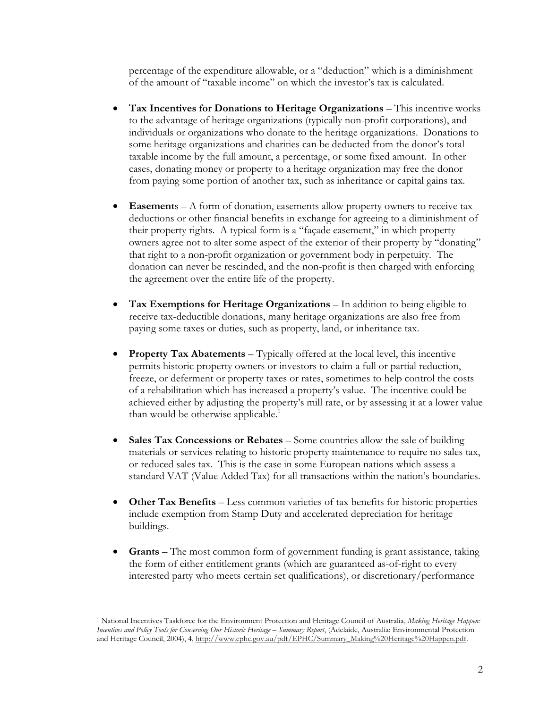percentage of the expenditure allowable, or a "deduction" which is a diminishment of the amount of "taxable income" on which the investor's tax is calculated.

- x **Tax Incentives for Donations to Heritage Organizations** This incentive works to the advantage of heritage organizations (typically non-profit corporations), and individuals or organizations who donate to the heritage organizations. Donations to some heritage organizations and charities can be deducted from the donor's total taxable income by the full amount, a percentage, or some fixed amount. In other cases, donating money or property to a heritage organization may free the donor from paying some portion of another tax, such as inheritance or capital gains tax.
- x **Easement**s A form of donation, easements allow property owners to receive tax deductions or other financial benefits in exchange for agreeing to a diminishment of their property rights. A typical form is a "façade easement," in which property owners agree not to alter some aspect of the exterior of their property by "donating" that right to a non-profit organization or government body in perpetuity. The donation can never be rescinded, and the non-profit is then charged with enforcing the agreement over the entire life of the property.
- x **Tax Exemptions for Heritage Organizations** In addition to being eligible to receive tax-deductible donations, many heritage organizations are also free from paying some taxes or duties, such as property, land, or inheritance tax.
- **Property Tax Abatements** Typically offered at the local level, this incentive permits historic property owners or investors to claim a full or partial reduction, freeze, or deferment or property taxes or rates, sometimes to help control the costs of a rehabilitation which has increased a property's value. The incentive could be achieved either by adjusting the property's mill rate, or by assessing it at a lower value than would be otherwise applicable.<sup>1</sup>
- Sales Tax Concessions or Rebates Some countries allow the sale of building materials or services relating to historic property maintenance to require no sales tax, or reduced sales tax. This is the case in some European nations which assess a standard VAT (Value Added Tax) for all transactions within the nation's boundaries.
- **Other Tax Benefits** Less common varieties of tax benefits for historic properties include exemption from Stamp Duty and accelerated depreciation for heritage buildings.
- **Grants** The most common form of government funding is grant assistance, taking the form of either entitlement grants (which are guaranteed as-of-right to every interested party who meets certain set qualifications), or discretionary/performance

<sup>1</sup> National Incentives Taskforce for the Environment Protection and Heritage Council of Australia, *Making Heritage Happen: Incentives and Policy Tools for Conserving Our Historic Heritage – Summary Report*, (Adelaide, Australia: Environmental Protection and Heritage Council, 2004), 4, http://www.ephc.gov.au/pdf/EPHC/Summary\_Making%20Heritage%20Happen.pdf.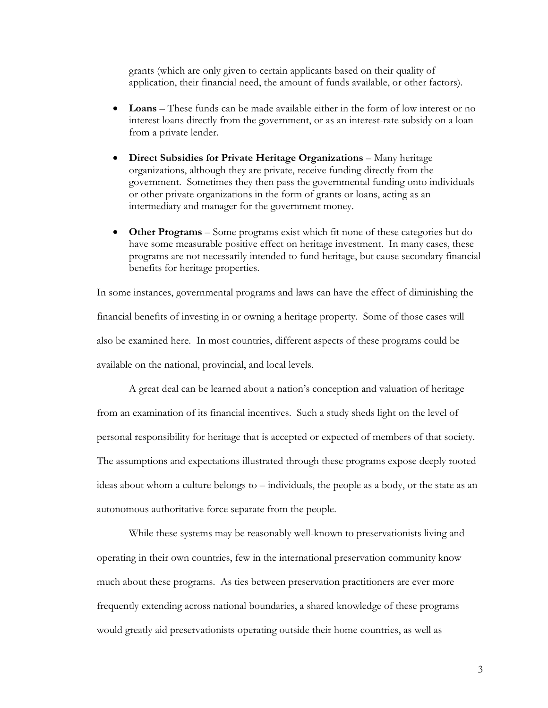grants (which are only given to certain applicants based on their quality of application, their financial need, the amount of funds available, or other factors).

- Loans These funds can be made available either in the form of low interest or no interest loans directly from the government, or as an interest-rate subsidy on a loan from a private lender.
- **•** Direct Subsidies for Private Heritage Organizations Many heritage organizations, although they are private, receive funding directly from the government. Sometimes they then pass the governmental funding onto individuals or other private organizations in the form of grants or loans, acting as an intermediary and manager for the government money.
- Other Programs Some programs exist which fit none of these categories but do have some measurable positive effect on heritage investment. In many cases, these programs are not necessarily intended to fund heritage, but cause secondary financial benefits for heritage properties.

In some instances, governmental programs and laws can have the effect of diminishing the financial benefits of investing in or owning a heritage property. Some of those cases will also be examined here. In most countries, different aspects of these programs could be available on the national, provincial, and local levels.

 A great deal can be learned about a nation's conception and valuation of heritage from an examination of its financial incentives. Such a study sheds light on the level of personal responsibility for heritage that is accepted or expected of members of that society. The assumptions and expectations illustrated through these programs expose deeply rooted ideas about whom a culture belongs to – individuals, the people as a body, or the state as an autonomous authoritative force separate from the people.

 While these systems may be reasonably well-known to preservationists living and operating in their own countries, few in the international preservation community know much about these programs. As ties between preservation practitioners are ever more frequently extending across national boundaries, a shared knowledge of these programs would greatly aid preservationists operating outside their home countries, as well as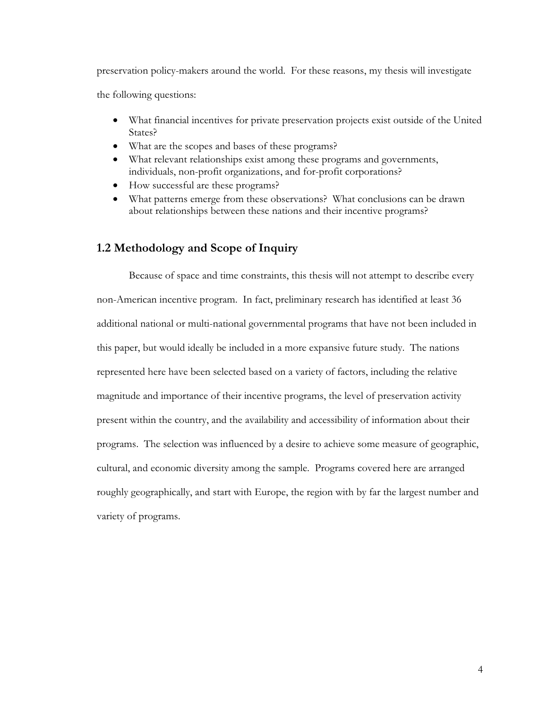preservation policy-makers around the world. For these reasons, my thesis will investigate the following questions:

- What financial incentives for private preservation projects exist outside of the United States?
- What are the scopes and bases of these programs?
- What relevant relationships exist among these programs and governments, individuals, non-profit organizations, and for-profit corporations?
- How successful are these programs?
- What patterns emerge from these observations? What conclusions can be drawn about relationships between these nations and their incentive programs?

## **1.2 Methodology and Scope of Inquiry**

 Because of space and time constraints, this thesis will not attempt to describe every non-American incentive program. In fact, preliminary research has identified at least 36 additional national or multi-national governmental programs that have not been included in this paper, but would ideally be included in a more expansive future study. The nations represented here have been selected based on a variety of factors, including the relative magnitude and importance of their incentive programs, the level of preservation activity present within the country, and the availability and accessibility of information about their programs. The selection was influenced by a desire to achieve some measure of geographic, cultural, and economic diversity among the sample. Programs covered here are arranged roughly geographically, and start with Europe, the region with by far the largest number and variety of programs.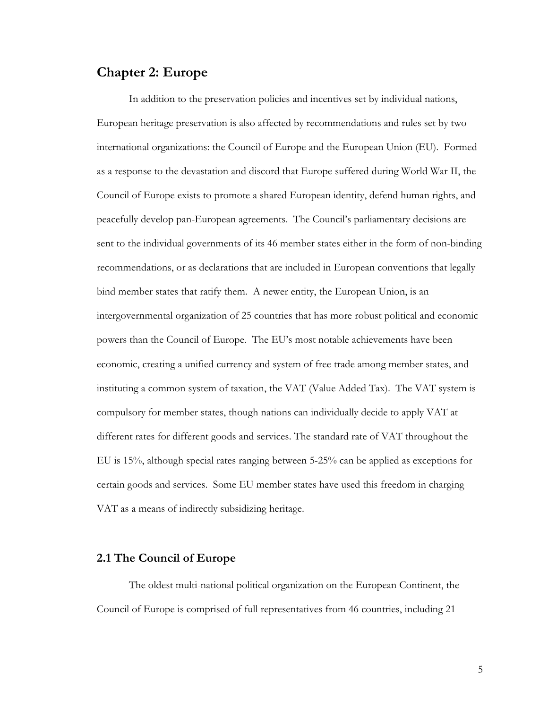## **Chapter 2: Europe**

 In addition to the preservation policies and incentives set by individual nations, European heritage preservation is also affected by recommendations and rules set by two international organizations: the Council of Europe and the European Union (EU). Formed as a response to the devastation and discord that Europe suffered during World War II, the Council of Europe exists to promote a shared European identity, defend human rights, and peacefully develop pan-European agreements. The Council's parliamentary decisions are sent to the individual governments of its 46 member states either in the form of non-binding recommendations, or as declarations that are included in European conventions that legally bind member states that ratify them. A newer entity, the European Union, is an intergovernmental organization of 25 countries that has more robust political and economic powers than the Council of Europe. The EU's most notable achievements have been economic, creating a unified currency and system of free trade among member states, and instituting a common system of taxation, the VAT (Value Added Tax). The VAT system is compulsory for member states, though nations can individually decide to apply VAT at different rates for different goods and services. The standard rate of VAT throughout the EU is 15%, although special rates ranging between 5-25% can be applied as exceptions for certain goods and services. Some EU member states have used this freedom in charging VAT as a means of indirectly subsidizing heritage.

## **2.1 The Council of Europe**

 The oldest multi-national political organization on the European Continent, the Council of Europe is comprised of full representatives from 46 countries, including 21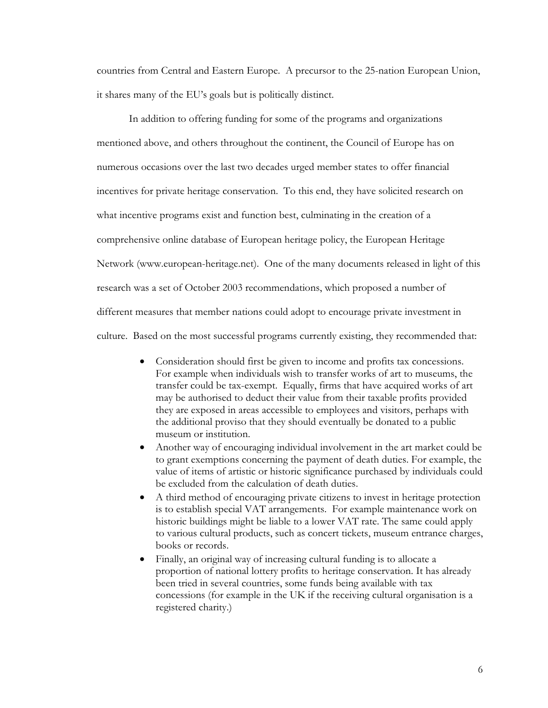countries from Central and Eastern Europe. A precursor to the 25-nation European Union, it shares many of the EU's goals but is politically distinct.

In addition to offering funding for some of the programs and organizations mentioned above, and others throughout the continent, the Council of Europe has on numerous occasions over the last two decades urged member states to offer financial incentives for private heritage conservation. To this end, they have solicited research on what incentive programs exist and function best, culminating in the creation of a comprehensive online database of European heritage policy, the European Heritage Network (www.european-heritage.net). One of the many documents released in light of this research was a set of October 2003 recommendations, which proposed a number of different measures that member nations could adopt to encourage private investment in culture. Based on the most successful programs currently existing, they recommended that:

- Consideration should first be given to income and profits tax concessions. For example when individuals wish to transfer works of art to museums, the transfer could be tax-exempt. Equally, firms that have acquired works of art may be authorised to deduct their value from their taxable profits provided they are exposed in areas accessible to employees and visitors, perhaps with the additional proviso that they should eventually be donated to a public museum or institution.
- Another way of encouraging individual involvement in the art market could be to grant exemptions concerning the payment of death duties. For example, the value of items of artistic or historic significance purchased by individuals could be excluded from the calculation of death duties.
- A third method of encouraging private citizens to invest in heritage protection is to establish special VAT arrangements. For example maintenance work on historic buildings might be liable to a lower VAT rate. The same could apply to various cultural products, such as concert tickets, museum entrance charges, books or records.
- Finally, an original way of increasing cultural funding is to allocate a proportion of national lottery profits to heritage conservation. It has already been tried in several countries, some funds being available with tax concessions (for example in the UK if the receiving cultural organisation is a registered charity.)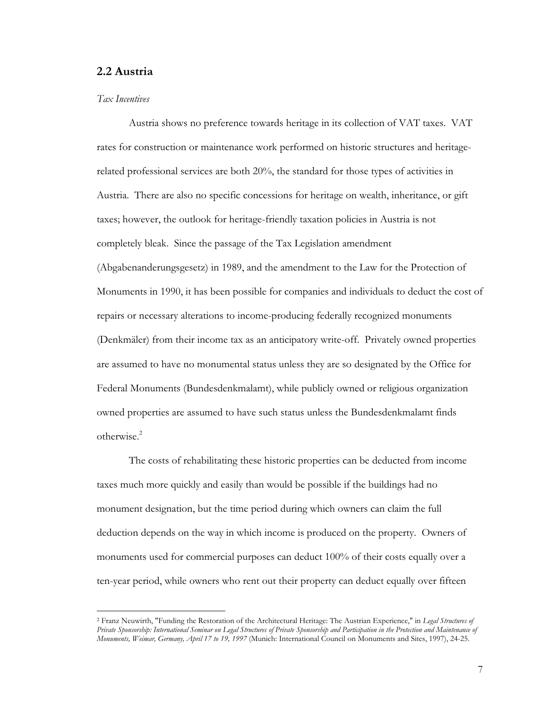## **2.2 Austria**

#### *Tax Incentives*

Austria shows no preference towards heritage in its collection of VAT taxes. VAT rates for construction or maintenance work performed on historic structures and heritagerelated professional services are both 20%, the standard for those types of activities in Austria. There are also no specific concessions for heritage on wealth, inheritance, or gift taxes; however, the outlook for heritage-friendly taxation policies in Austria is not completely bleak. Since the passage of the Tax Legislation amendment (Abgabenanderungsgesetz) in 1989, and the amendment to the Law for the Protection of Monuments in 1990, it has been possible for companies and individuals to deduct the cost of repairs or necessary alterations to income-producing federally recognized monuments (Denkmäler) from their income tax as an anticipatory write-off. Privately owned properties are assumed to have no monumental status unless they are so designated by the Office for Federal Monuments (Bundesdenkmalamt), while publicly owned or religious organization owned properties are assumed to have such status unless the Bundesdenkmalamt finds otherwise.<sup>2</sup>

The costs of rehabilitating these historic properties can be deducted from income taxes much more quickly and easily than would be possible if the buildings had no monument designation, but the time period during which owners can claim the full deduction depends on the way in which income is produced on the property. Owners of monuments used for commercial purposes can deduct 100% of their costs equally over a ten-year period, while owners who rent out their property can deduct equally over fifteen

<sup>2</sup> Franz Neuwirth, "Funding the Restoration of the Architectural Heritage: The Austrian Experience," in *Legal Structures of Private Sponsorship: International Seminar on Legal Structures of Private Sponsorship and Participation in the Protection and Maintenance of Monuments, Weimar, Germany, April 17 to 19, 1997* (Munich: International Council on Monuments and Sites, 1997), 24-25.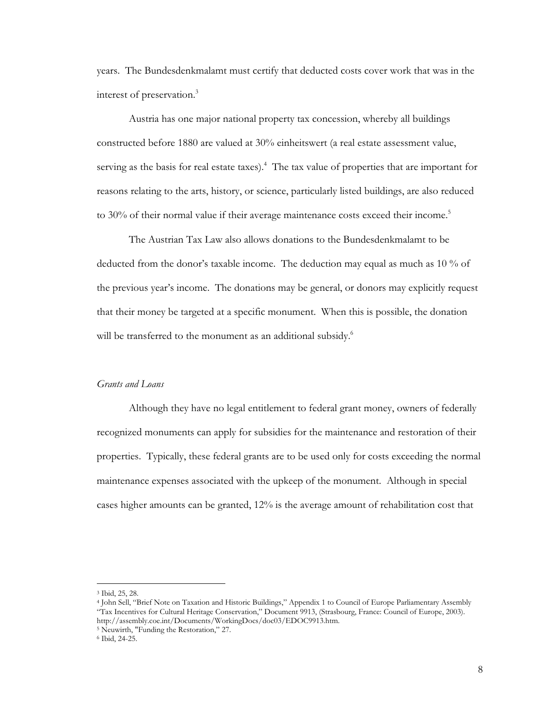years. The Bundesdenkmalamt must certify that deducted costs cover work that was in the interest of preservation.<sup>3</sup>

Austria has one major national property tax concession, whereby all buildings constructed before 1880 are valued at 30% einheitswert (a real estate assessment value, serving as the basis for real estate taxes).<sup>4</sup> The tax value of properties that are important for reasons relating to the arts, history, or science, particularly listed buildings, are also reduced to 30% of their normal value if their average maintenance costs exceed their income.<sup>5</sup>

The Austrian Tax Law also allows donations to the Bundesdenkmalamt to be deducted from the donor's taxable income. The deduction may equal as much as 10 % of the previous year's income. The donations may be general, or donors may explicitly request that their money be targeted at a specific monument. When this is possible, the donation will be transferred to the monument as an additional subsidy. $6$ 

## *Grants and Loans*

Although they have no legal entitlement to federal grant money, owners of federally recognized monuments can apply for subsidies for the maintenance and restoration of their properties. Typically, these federal grants are to be used only for costs exceeding the normal maintenance expenses associated with the upkeep of the monument. Although in special cases higher amounts can be granted, 12% is the average amount of rehabilitation cost that

<sup>3</sup> Ibid, 25, 28.

<sup>4</sup> John Sell, "Brief Note on Taxation and Historic Buildings," Appendix 1 to Council of Europe Parliamentary Assembly "Tax Incentives for Cultural Heritage Conservation," Document 9913, (Strasbourg, France: Council of Europe, 2003). http://assembly.coe.int/Documents/WorkingDocs/doc03/EDOC9913.htm.<br><sup>5</sup> Neuwirth, "Funding the Restoration," 27.<br><sup>6</sup> Ibid, 24-25.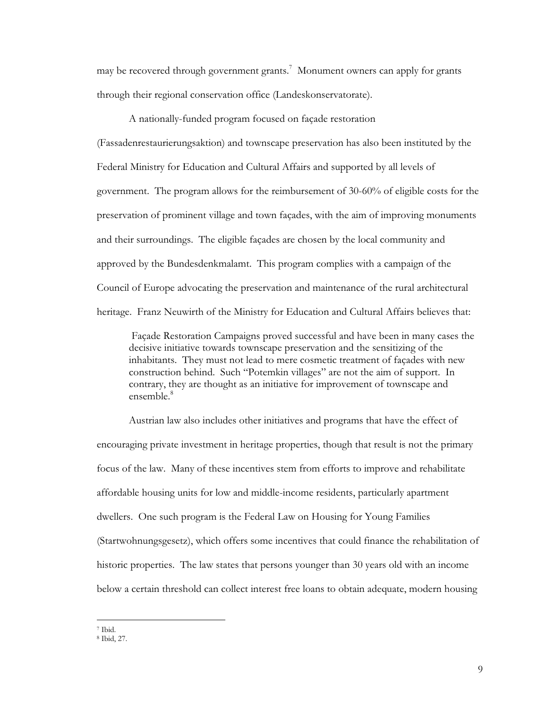may be recovered through government grants.<sup>7</sup> Monument owners can apply for grants through their regional conservation office (Landeskonservatorate).

A nationally-funded program focused on façade restoration

(Fassadenrestaurierungsaktion) and townscape preservation has also been instituted by the Federal Ministry for Education and Cultural Affairs and supported by all levels of government. The program allows for the reimbursement of 30-60% of eligible costs for the preservation of prominent village and town façades, with the aim of improving monuments and their surroundings. The eligible façades are chosen by the local community and approved by the Bundesdenkmalamt. This program complies with a campaign of the Council of Europe advocating the preservation and maintenance of the rural architectural heritage. Franz Neuwirth of the Ministry for Education and Cultural Affairs believes that:

 Façade Restoration Campaigns proved successful and have been in many cases the decisive initiative towards townscape preservation and the sensitizing of the inhabitants. They must not lead to mere cosmetic treatment of façades with new construction behind. Such "Potemkin villages" are not the aim of support. In contrary, they are thought as an initiative for improvement of townscape and ensemble.<sup>8</sup>

Austrian law also includes other initiatives and programs that have the effect of encouraging private investment in heritage properties, though that result is not the primary focus of the law. Many of these incentives stem from efforts to improve and rehabilitate affordable housing units for low and middle-income residents, particularly apartment dwellers. One such program is the Federal Law on Housing for Young Families (Startwohnungsgesetz), which offers some incentives that could finance the rehabilitation of historic properties. The law states that persons younger than 30 years old with an income below a certain threshold can collect interest free loans to obtain adequate, modern housing

<sup>7</sup> Ibid.

<sup>8</sup> Ibid, 27.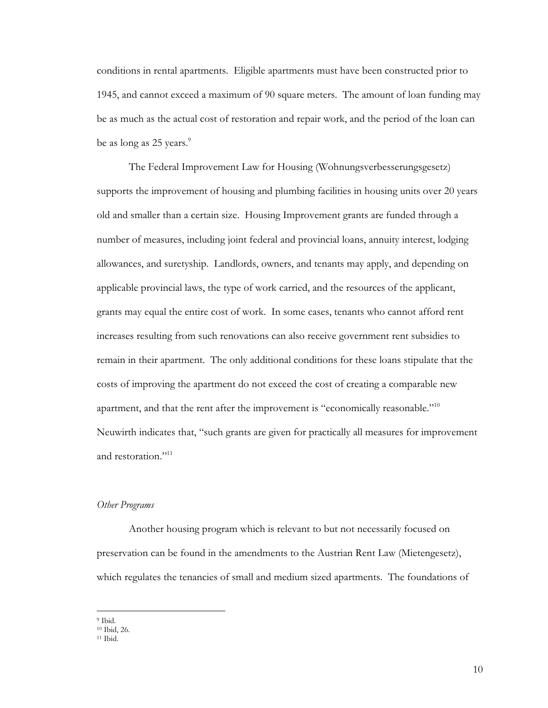conditions in rental apartments. Eligible apartments must have been constructed prior to 1945, and cannot exceed a maximum of 90 square meters. The amount of loan funding may be as much as the actual cost of restoration and repair work, and the period of the loan can be as long as  $25$  years.<sup>9</sup>

The Federal Improvement Law for Housing (Wohnungsverbesserungsgesetz) supports the improvement of housing and plumbing facilities in housing units over 20 years old and smaller than a certain size. Housing Improvement grants are funded through a number of measures, including joint federal and provincial loans, annuity interest, lodging allowances, and suretyship. Landlords, owners, and tenants may apply, and depending on applicable provincial laws, the type of work carried, and the resources of the applicant, grants may equal the entire cost of work. In some cases, tenants who cannot afford rent increases resulting from such renovations can also receive government rent subsidies to remain in their apartment. The only additional conditions for these loans stipulate that the costs of improving the apartment do not exceed the cost of creating a comparable new apartment, and that the rent after the improvement is "economically reasonable."<sup>10</sup> Neuwirth indicates that, "such grants are given for practically all measures for improvement and restoration."<sup>11</sup>

#### *Other Programs*

Another housing program which is relevant to but not necessarily focused on preservation can be found in the amendments to the Austrian Rent Law (Mietengesetz), which regulates the tenancies of small and medium sized apartments. The foundations of

<sup>9</sup> Ibid.

<sup>10</sup> Ibid, 26.

 $11$  Ibid.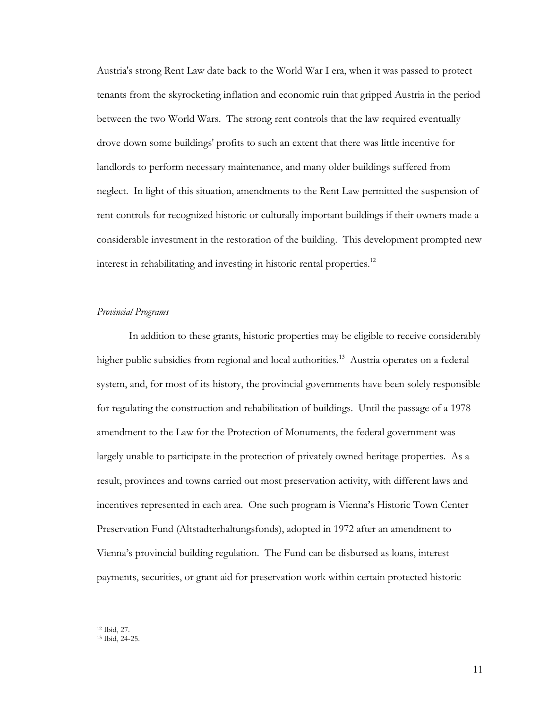Austria's strong Rent Law date back to the World War I era, when it was passed to protect tenants from the skyrocketing inflation and economic ruin that gripped Austria in the period between the two World Wars. The strong rent controls that the law required eventually drove down some buildings' profits to such an extent that there was little incentive for landlords to perform necessary maintenance, and many older buildings suffered from neglect. In light of this situation, amendments to the Rent Law permitted the suspension of rent controls for recognized historic or culturally important buildings if their owners made a considerable investment in the restoration of the building. This development prompted new interest in rehabilitating and investing in historic rental properties. $12$ 

#### *Provincial Programs*

 In addition to these grants, historic properties may be eligible to receive considerably higher public subsidies from regional and local authorities.<sup>13</sup> Austria operates on a federal system, and, for most of its history, the provincial governments have been solely responsible for regulating the construction and rehabilitation of buildings. Until the passage of a 1978 amendment to the Law for the Protection of Monuments, the federal government was largely unable to participate in the protection of privately owned heritage properties. As a result, provinces and towns carried out most preservation activity, with different laws and incentives represented in each area. One such program is Vienna's Historic Town Center Preservation Fund (Altstadterhaltungsfonds), adopted in 1972 after an amendment to Vienna's provincial building regulation. The Fund can be disbursed as loans, interest payments, securities, or grant aid for preservation work within certain protected historic

<sup>12</sup> Ibid, 27.

<sup>13</sup> Ibid, 24-25.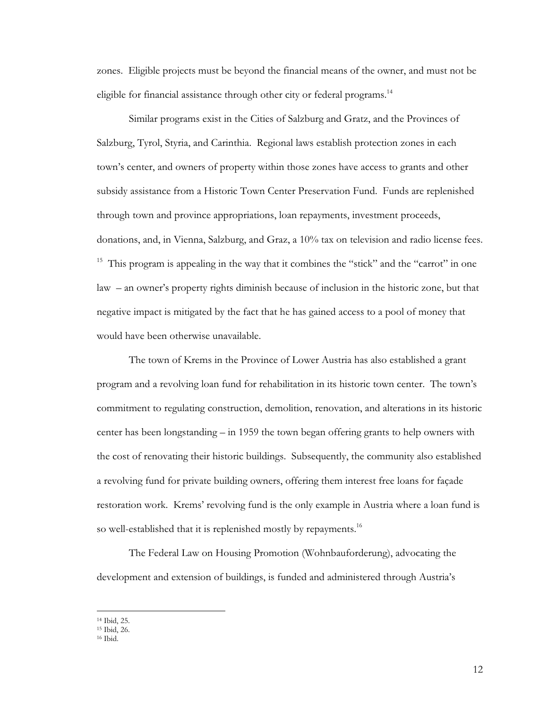zones. Eligible projects must be beyond the financial means of the owner, and must not be eligible for financial assistance through other city or federal programs.<sup>14</sup>

 Similar programs exist in the Cities of Salzburg and Gratz, and the Provinces of Salzburg, Tyrol, Styria, and Carinthia. Regional laws establish protection zones in each town's center, and owners of property within those zones have access to grants and other subsidy assistance from a Historic Town Center Preservation Fund. Funds are replenished through town and province appropriations, loan repayments, investment proceeds, donations, and, in Vienna, Salzburg, and Graz, a 10% tax on television and radio license fees. <sup>15</sup> This program is appealing in the way that it combines the "stick" and the "carrot" in one law – an owner's property rights diminish because of inclusion in the historic zone, but that negative impact is mitigated by the fact that he has gained access to a pool of money that would have been otherwise unavailable.

The town of Krems in the Province of Lower Austria has also established a grant program and a revolving loan fund for rehabilitation in its historic town center. The town's commitment to regulating construction, demolition, renovation, and alterations in its historic center has been longstanding – in 1959 the town began offering grants to help owners with the cost of renovating their historic buildings. Subsequently, the community also established a revolving fund for private building owners, offering them interest free loans for façade restoration work. Krems' revolving fund is the only example in Austria where a loan fund is so well-established that it is replenished mostly by repayments.<sup>16</sup>

The Federal Law on Housing Promotion (Wohnbauforderung), advocating the development and extension of buildings, is funded and administered through Austria's

<sup>14</sup> Ibid, 25.

<sup>15</sup> Ibid, 26.

 $16$  Ibid.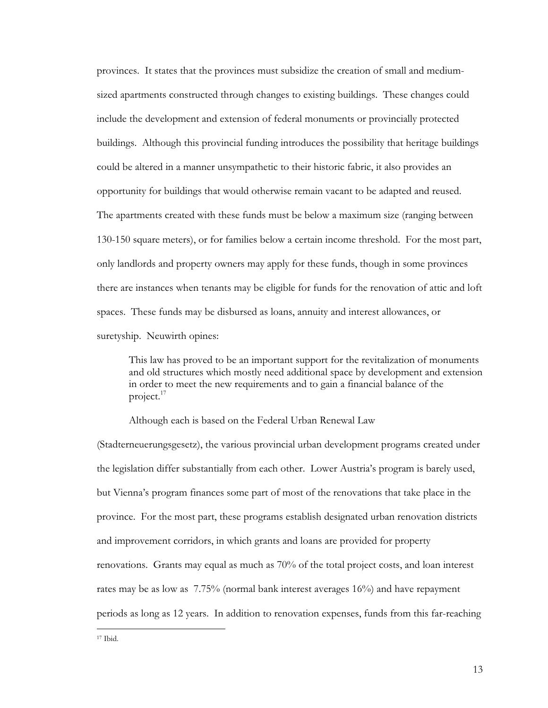provinces. It states that the provinces must subsidize the creation of small and mediumsized apartments constructed through changes to existing buildings. These changes could include the development and extension of federal monuments or provincially protected buildings. Although this provincial funding introduces the possibility that heritage buildings could be altered in a manner unsympathetic to their historic fabric, it also provides an opportunity for buildings that would otherwise remain vacant to be adapted and reused. The apartments created with these funds must be below a maximum size (ranging between 130-150 square meters), or for families below a certain income threshold. For the most part, only landlords and property owners may apply for these funds, though in some provinces there are instances when tenants may be eligible for funds for the renovation of attic and loft spaces. These funds may be disbursed as loans, annuity and interest allowances, or suretyship. Neuwirth opines:

This law has proved to be an important support for the revitalization of monuments and old structures which mostly need additional space by development and extension in order to meet the new requirements and to gain a financial balance of the project.<sup>17</sup>

Although each is based on the Federal Urban Renewal Law

(Stadterneuerungsgesetz), the various provincial urban development programs created under the legislation differ substantially from each other. Lower Austria's program is barely used, but Vienna's program finances some part of most of the renovations that take place in the province. For the most part, these programs establish designated urban renovation districts and improvement corridors, in which grants and loans are provided for property renovations. Grants may equal as much as 70% of the total project costs, and loan interest rates may be as low as 7.75% (normal bank interest averages 16%) and have repayment periods as long as 12 years. In addition to renovation expenses, funds from this far-reaching

 $17$  Ibid.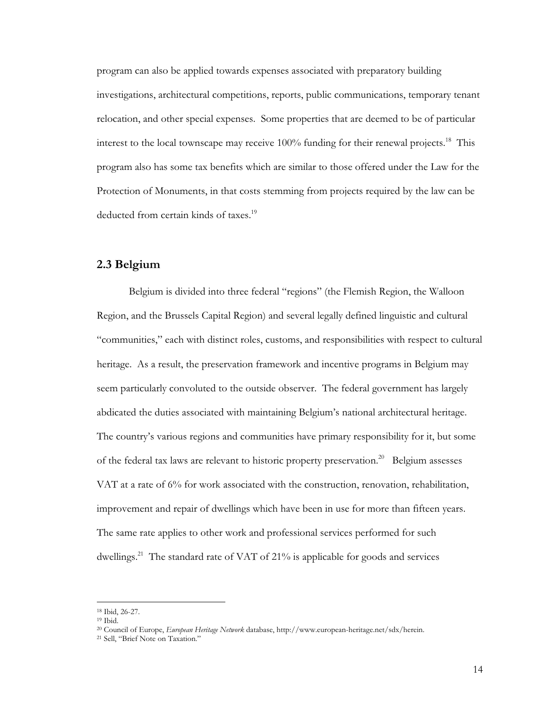program can also be applied towards expenses associated with preparatory building investigations, architectural competitions, reports, public communications, temporary tenant relocation, and other special expenses. Some properties that are deemed to be of particular interest to the local townscape may receive 100% funding for their renewal projects.<sup>18</sup> This program also has some tax benefits which are similar to those offered under the Law for the Protection of Monuments, in that costs stemming from projects required by the law can be deducted from certain kinds of taxes.<sup>19</sup>

## **2.3 Belgium**

 Belgium is divided into three federal "regions" (the Flemish Region, the Walloon Region, and the Brussels Capital Region) and several legally defined linguistic and cultural "communities," each with distinct roles, customs, and responsibilities with respect to cultural heritage. As a result, the preservation framework and incentive programs in Belgium may seem particularly convoluted to the outside observer. The federal government has largely abdicated the duties associated with maintaining Belgium's national architectural heritage. The country's various regions and communities have primary responsibility for it, but some of the federal tax laws are relevant to historic property preservation.<sup>20</sup> Belgium assesses VAT at a rate of 6% for work associated with the construction, renovation, rehabilitation, improvement and repair of dwellings which have been in use for more than fifteen years. The same rate applies to other work and professional services performed for such dwellings.<sup>21</sup> The standard rate of VAT of  $21\%$  is applicable for goods and services

<sup>18</sup> Ibid, 26-27.

<sup>19</sup> Ibid.

<sup>20</sup> Council of Europe, *European Heritage Network* database, http://www.european-heritage.net/sdx/herein. 21 Sell, "Brief Note on Taxation."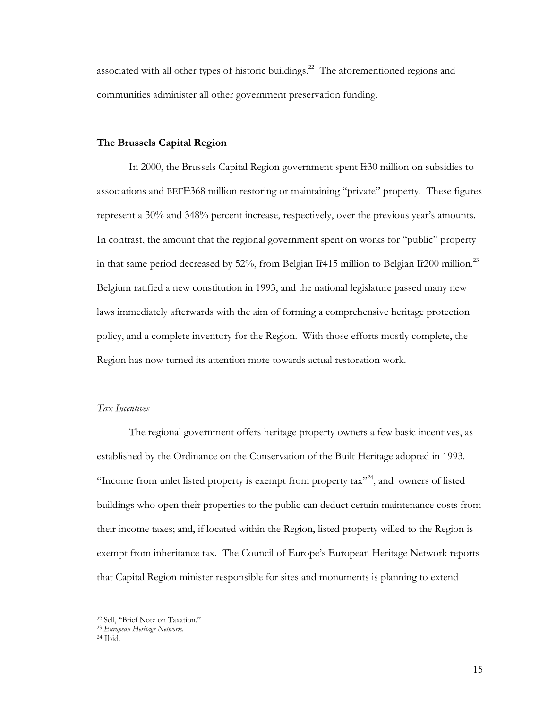associated with all other types of historic buildings.<sup>22</sup> The aforementioned regions and communities administer all other government preservation funding.

#### **The Brussels Capital Region**

In 2000, the Brussels Capital Region government spent F30 million on subsidies to associations and BEFö368 million restoring or maintaining "private" property. These figures represent a 30% and 348% percent increase, respectively, over the previous year's amounts. In contrast, the amount that the regional government spent on works for "public" property in that same period decreased by 52%, from Belgian Fr415 million to Belgian Fr200 million.<sup>23</sup> Belgium ratified a new constitution in 1993, and the national legislature passed many new laws immediately afterwards with the aim of forming a comprehensive heritage protection policy, and a complete inventory for the Region. With those efforts mostly complete, the Region has now turned its attention more towards actual restoration work.

## *Tax Incentives*

 The regional government offers heritage property owners a few basic incentives, as established by the Ordinance on the Conservation of the Built Heritage adopted in 1993. "Income from unlet listed property is exempt from property  $\text{tax}^{\prime\prime24}$ , and owners of listed buildings who open their properties to the public can deduct certain maintenance costs from their income taxes; and, if located within the Region, listed property willed to the Region is exempt from inheritance tax. The Council of Europe's European Heritage Network reports that Capital Region minister responsible for sites and monuments is planning to extend

<sup>22</sup> Sell, "Brief Note on Taxation."

<sup>23</sup> *European Heritage Network.*

 $24$  Ibid.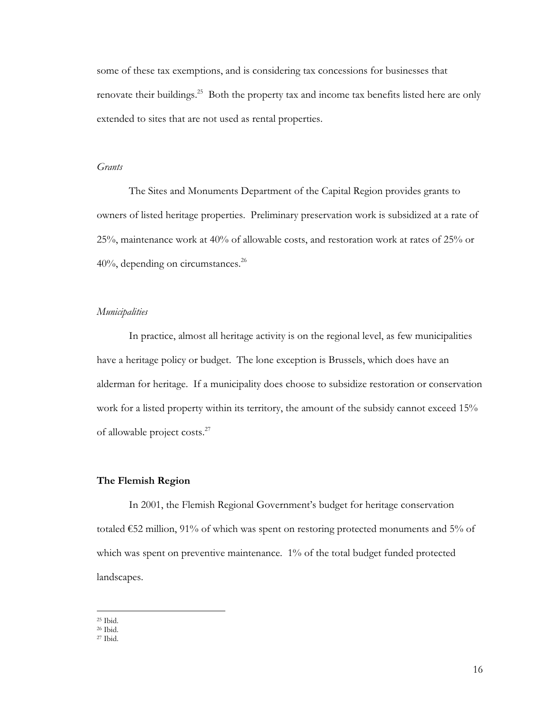some of these tax exemptions, and is considering tax concessions for businesses that renovate their buildings.<sup>25</sup> Both the property tax and income tax benefits listed here are only extended to sites that are not used as rental properties.

#### *Grants*

 The Sites and Monuments Department of the Capital Region provides grants to owners of listed heritage properties. Preliminary preservation work is subsidized at a rate of 25%, maintenance work at 40% of allowable costs, and restoration work at rates of 25% or  $40\%$ , depending on circumstances.<sup>26</sup>

#### *Municipalities*

In practice, almost all heritage activity is on the regional level, as few municipalities have a heritage policy or budget. The lone exception is Brussels, which does have an alderman for heritage. If a municipality does choose to subsidize restoration or conservation work for a listed property within its territory, the amount of the subsidy cannot exceed 15% of allowable project costs.<sup>27</sup>

#### **The Flemish Region**

 In 2001, the Flemish Regional Government's budget for heritage conservation totaled €52 million, 91% of which was spent on restoring protected monuments and 5% of which was spent on preventive maintenance. 1% of the total budget funded protected landscapes.

<sup>25</sup> Ibid.

<sup>26</sup> Ibid.

<sup>27</sup> Ibid.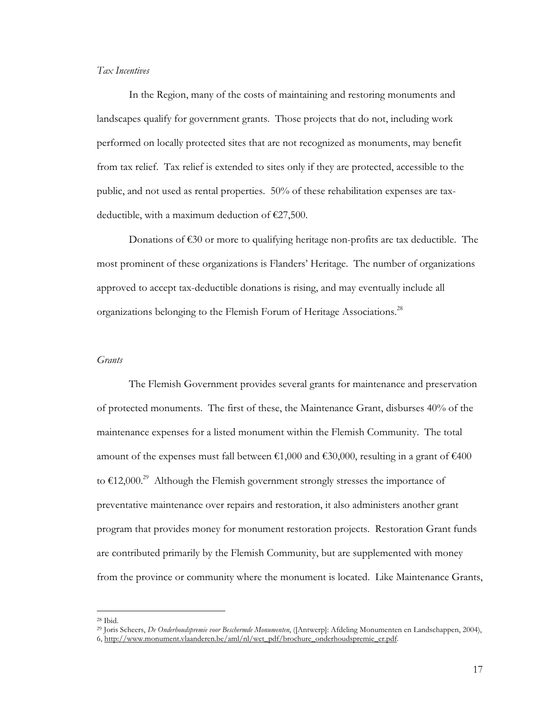#### *Tax Incentives*

In the Region, many of the costs of maintaining and restoring monuments and landscapes qualify for government grants. Those projects that do not, including work performed on locally protected sites that are not recognized as monuments, may benefit from tax relief. Tax relief is extended to sites only if they are protected, accessible to the public, and not used as rental properties. 50% of these rehabilitation expenses are taxdeductible, with a maximum deduction of €27,500.

Donations of  $\epsilon$ 30 or more to qualifying heritage non-profits are tax deductible. The most prominent of these organizations is Flanders' Heritage. The number of organizations approved to accept tax-deductible donations is rising, and may eventually include all organizations belonging to the Flemish Forum of Heritage Associations.<sup>28</sup>

#### *Grants*

 The Flemish Government provides several grants for maintenance and preservation of protected monuments. The first of these, the Maintenance Grant, disburses 40% of the maintenance expenses for a listed monument within the Flemish Community. The total amount of the expenses must fall between  $\epsilon$ 1,000 and  $\epsilon$ 30,000, resulting in a grant of  $\epsilon$ 400 to  $\epsilon$ 12,000.<sup>29</sup> Although the Flemish government strongly stresses the importance of preventative maintenance over repairs and restoration, it also administers another grant program that provides money for monument restoration projects. Restoration Grant funds are contributed primarily by the Flemish Community, but are supplemented with money from the province or community where the monument is located. Like Maintenance Grants,

<sup>28</sup> Ibid.

<sup>29</sup> Joris Scheers, *De Onderhoudspremie voor Beschermde Monumenten*, ([Antwerp]: Afdeling Monumenten en Landschappen, 2004), 6, http://www.monument.vlaanderen.be/aml/nl/wet\_pdf/brochure\_onderhoudspremie\_er.pdf.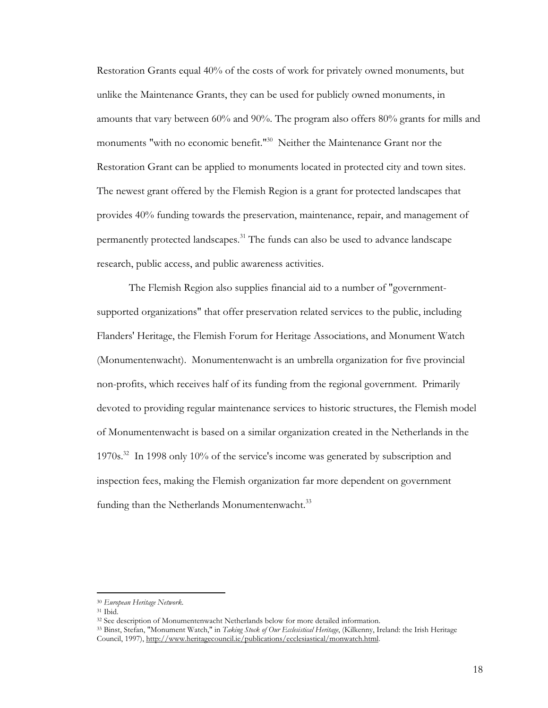Restoration Grants equal 40% of the costs of work for privately owned monuments, but unlike the Maintenance Grants, they can be used for publicly owned monuments, in amounts that vary between 60% and 90%. The program also offers 80% grants for mills and monuments "with no economic benefit."<sup>30</sup> Neither the Maintenance Grant nor the Restoration Grant can be applied to monuments located in protected city and town sites. The newest grant offered by the Flemish Region is a grant for protected landscapes that provides 40% funding towards the preservation, maintenance, repair, and management of permanently protected landscapes.<sup>31</sup> The funds can also be used to advance landscape research, public access, and public awareness activities.

The Flemish Region also supplies financial aid to a number of "governmentsupported organizations" that offer preservation related services to the public, including Flanders' Heritage, the Flemish Forum for Heritage Associations, and Monument Watch (Monumentenwacht). Monumentenwacht is an umbrella organization for five provincial non-profits, which receives half of its funding from the regional government. Primarily devoted to providing regular maintenance services to historic structures, the Flemish model of Monumentenwacht is based on a similar organization created in the Netherlands in the 1970s.<sup>32</sup> In 1998 only 10% of the service's income was generated by subscription and inspection fees, making the Flemish organization far more dependent on government funding than the Netherlands Monumentenwacht.<sup>33</sup>

<sup>30</sup> *European Heritage Network.*

<sup>&</sup>lt;sup>31</sup> Ibid.<br><sup>32</sup> See description of Monumentenwacht Netherlands below for more detailed information.

<sup>&</sup>lt;sup>33</sup> Binst, Stefan, "Monument Watch," in *Taking Stock of Our Ecclesistical Heritage*, (Kilkenny, Ireland: the Irish Heritage Council, 1997), http://www.heritagecouncil.ie/publications/ecclesiastical/monwatch.html.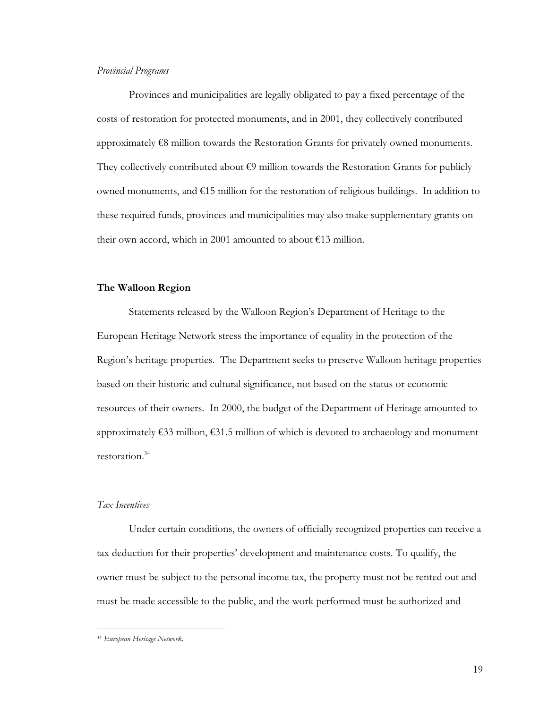#### *Provincial Programs*

Provinces and municipalities are legally obligated to pay a fixed percentage of the costs of restoration for protected monuments, and in 2001, they collectively contributed approximately €8 million towards the Restoration Grants for privately owned monuments. They collectively contributed about  $\epsilon$ 9 million towards the Restoration Grants for publicly owned monuments, and €15 million for the restoration of religious buildings. In addition to these required funds, provinces and municipalities may also make supplementary grants on their own accord, which in 2001 amounted to about  $\epsilon$ 13 million.

#### **The Walloon Region**

 Statements released by the Walloon Region's Department of Heritage to the European Heritage Network stress the importance of equality in the protection of the Region's heritage properties. The Department seeks to preserve Walloon heritage properties based on their historic and cultural significance, not based on the status or economic resources of their owners. In 2000, the budget of the Department of Heritage amounted to approximately €33 million, €31.5 million of which is devoted to archaeology and monument restoration.<sup>34</sup>

#### *Tax Incentives*

Under certain conditions, the owners of officially recognized properties can receive a tax deduction for their properties' development and maintenance costs. To qualify, the owner must be subject to the personal income tax, the property must not be rented out and must be made accessible to the public, and the work performed must be authorized and

<sup>34</sup> *European Heritage Network.*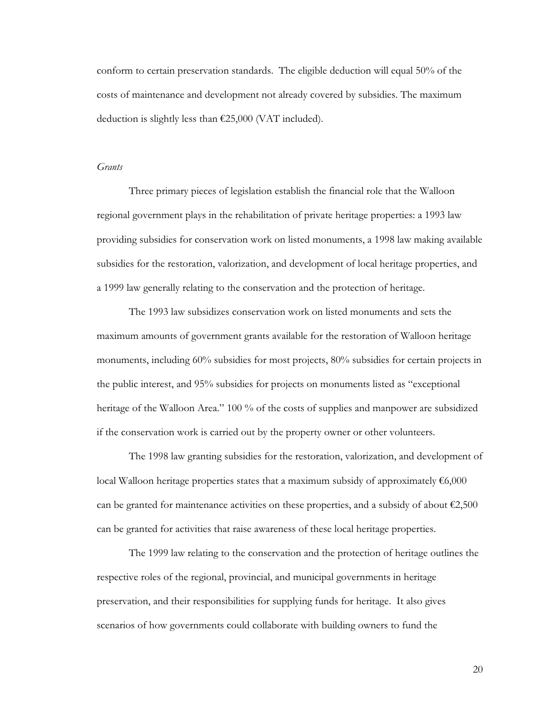conform to certain preservation standards. The eligible deduction will equal 50% of the costs of maintenance and development not already covered by subsidies. The maximum deduction is slightly less than €25,000 (VAT included).

#### *Grants*

 Three primary pieces of legislation establish the financial role that the Walloon regional government plays in the rehabilitation of private heritage properties: a 1993 law providing subsidies for conservation work on listed monuments, a 1998 law making available subsidies for the restoration, valorization, and development of local heritage properties, and a 1999 law generally relating to the conservation and the protection of heritage.

The 1993 law subsidizes conservation work on listed monuments and sets the maximum amounts of government grants available for the restoration of Walloon heritage monuments, including 60% subsidies for most projects, 80% subsidies for certain projects in the public interest, and 95% subsidies for projects on monuments listed as "exceptional heritage of the Walloon Area." 100 % of the costs of supplies and manpower are subsidized if the conservation work is carried out by the property owner or other volunteers.

 The 1998 law granting subsidies for the restoration, valorization, and development of local Walloon heritage properties states that a maximum subsidy of approximately €6,000 can be granted for maintenance activities on these properties, and a subsidy of about  $\epsilon$ 2,500 can be granted for activities that raise awareness of these local heritage properties.

The 1999 law relating to the conservation and the protection of heritage outlines the respective roles of the regional, provincial, and municipal governments in heritage preservation, and their responsibilities for supplying funds for heritage. It also gives scenarios of how governments could collaborate with building owners to fund the

20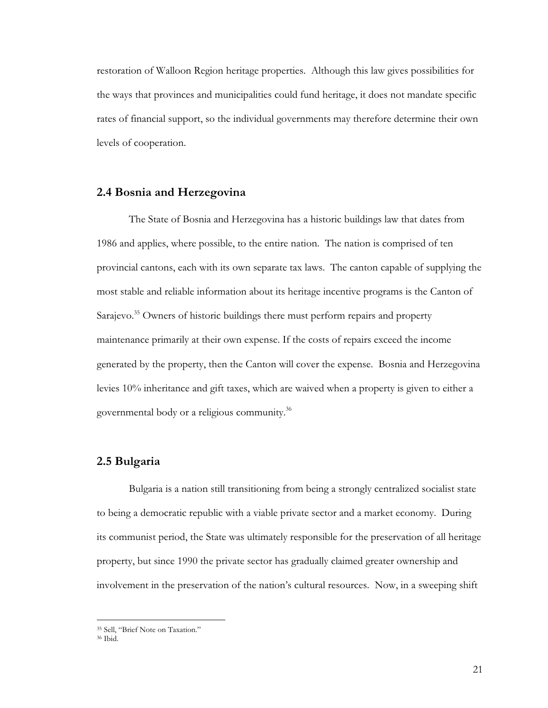restoration of Walloon Region heritage properties. Although this law gives possibilities for the ways that provinces and municipalities could fund heritage, it does not mandate specific rates of financial support, so the individual governments may therefore determine their own levels of cooperation.

### **2.4 Bosnia and Herzegovina**

 The State of Bosnia and Herzegovina has a historic buildings law that dates from 1986 and applies, where possible, to the entire nation. The nation is comprised of ten provincial cantons, each with its own separate tax laws. The canton capable of supplying the most stable and reliable information about its heritage incentive programs is the Canton of Sarajevo.<sup>35</sup> Owners of historic buildings there must perform repairs and property maintenance primarily at their own expense. If the costs of repairs exceed the income generated by the property, then the Canton will cover the expense. Bosnia and Herzegovina levies 10% inheritance and gift taxes, which are waived when a property is given to either a governmental body or a religious community.<sup>36</sup>

## **2.5 Bulgaria**

 Bulgaria is a nation still transitioning from being a strongly centralized socialist state to being a democratic republic with a viable private sector and a market economy. During its communist period, the State was ultimately responsible for the preservation of all heritage property, but since 1990 the private sector has gradually claimed greater ownership and involvement in the preservation of the nation's cultural resources. Now, in a sweeping shift

<sup>35</sup> Sell, "Brief Note on Taxation."

 $36$  Ibid.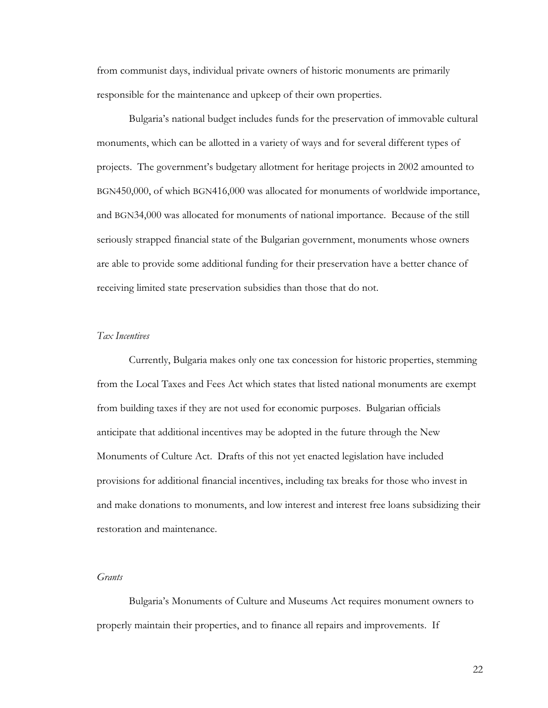from communist days, individual private owners of historic monuments are primarily responsible for the maintenance and upkeep of their own properties.

Bulgaria's national budget includes funds for the preservation of immovable cultural monuments, which can be allotted in a variety of ways and for several different types of projects. The government's budgetary allotment for heritage projects in 2002 amounted to BGN450,000, of which BGN416,000 was allocated for monuments of worldwide importance, and BGN34,000 was allocated for monuments of national importance. Because of the still seriously strapped financial state of the Bulgarian government, monuments whose owners are able to provide some additional funding for their preservation have a better chance of receiving limited state preservation subsidies than those that do not.

#### *Tax Incentives*

 Currently, Bulgaria makes only one tax concession for historic properties, stemming from the Local Taxes and Fees Act which states that listed national monuments are exempt from building taxes if they are not used for economic purposes. Bulgarian officials anticipate that additional incentives may be adopted in the future through the New Monuments of Culture Act. Drafts of this not yet enacted legislation have included provisions for additional financial incentives, including tax breaks for those who invest in and make donations to monuments, and low interest and interest free loans subsidizing their restoration and maintenance.

#### *Grants*

Bulgaria's Monuments of Culture and Museums Act requires monument owners to properly maintain their properties, and to finance all repairs and improvements. If

22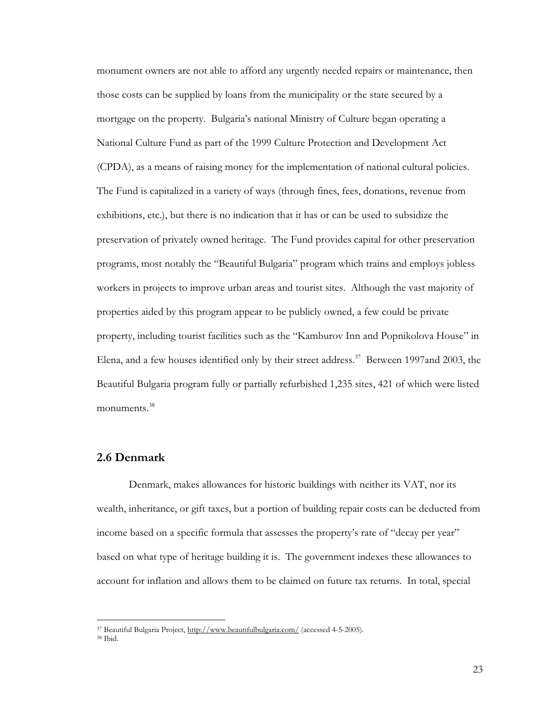monument owners are not able to afford any urgently needed repairs or maintenance, then those costs can be supplied by loans from the municipality or the state secured by a mortgage on the property. Bulgaria's national Ministry of Culture began operating a National Culture Fund as part of the 1999 Culture Protection and Development Act (CPDA), as a means of raising money for the implementation of national cultural policies. The Fund is capitalized in a variety of ways (through fines, fees, donations, revenue from exhibitions, etc.), but there is no indication that it has or can be used to subsidize the preservation of privately owned heritage. The Fund provides capital for other preservation programs, most notably the "Beautiful Bulgaria" program which trains and employs jobless workers in projects to improve urban areas and tourist sites. Although the vast majority of properties aided by this program appear to be publicly owned, a few could be private property, including tourist facilities such as the "Kamburov Inn and Popnikolova House" in Elena, and a few houses identified only by their street address.<sup>37</sup> Between 1997and 2003, the Beautiful Bulgaria program fully or partially refurbished 1,235 sites, 421 of which were listed monuments.<sup>38</sup>

## **2.6 Denmark**

 Denmark, makes allowances for historic buildings with neither its VAT, nor its wealth, inheritance, or gift taxes, but a portion of building repair costs can be deducted from income based on a specific formula that assesses the property's rate of "decay per year" based on what type of heritage building it is. The government indexes these allowances to account for inflation and allows them to be claimed on future tax returns. In total, special

<sup>&</sup>lt;sup>37</sup> Beautiful Bulgaria Project, http://www.beautifulbulgaria.com/ (accessed 4-5-2005).<br><sup>38</sup> Ibid.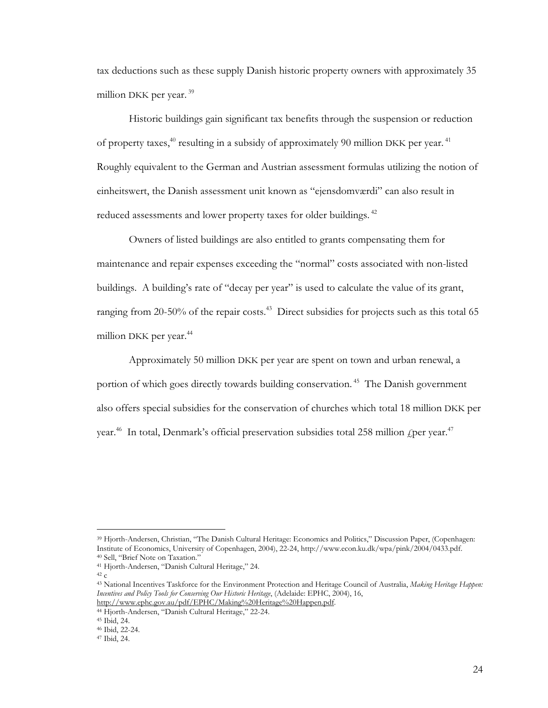tax deductions such as these supply Danish historic property owners with approximately 35 million DKK per year.<sup>39</sup>

Historic buildings gain significant tax benefits through the suspension or reduction of property taxes,  $40$  resulting in a subsidy of approximately 90 million DKK per year.  $41$ Roughly equivalent to the German and Austrian assessment formulas utilizing the notion of einheitswert, the Danish assessment unit known as "ejensdomværdi" can also result in reduced assessments and lower property taxes for older buildings.<sup>42</sup>

Owners of listed buildings are also entitled to grants compensating them for maintenance and repair expenses exceeding the "normal" costs associated with non-listed buildings. A building's rate of "decay per year" is used to calculate the value of its grant, ranging from  $20-50\%$  of the repair costs.<sup>43</sup> Direct subsidies for projects such as this total 65 million DKK per year.<sup>44</sup>

Approximately 50 million DKK per year are spent on town and urban renewal, a portion of which goes directly towards building conservation.<sup>45</sup> The Danish government also offers special subsidies for the conservation of churches which total 18 million DKK per year.<sup>46</sup> In total, Denmark's official preservation subsidies total 258 million  $\zeta$  per year.<sup>47</sup>

<sup>39</sup> Hjorth-Andersen, Christian, "The Danish Cultural Heritage: Economics and Politics," Discussion Paper, (Copenhagen: Institute of Economics, University of Copenhagen, 2004), 22-24, http://www.econ.ku.dk/wpa/pink/2004/0433.pdf. 40 Sell, "Brief Note on Taxation."

<sup>41</sup> Hjorth-Andersen, "Danish Cultural Heritage," 24. 42 c

<sup>43</sup> National Incentives Taskforce for the Environment Protection and Heritage Council of Australia, *Making Heritage Happen: Incentives and Policy Tools for Conserving Our Historic Heritage*, (Adelaide: EPHC, 2004), 16, http://www.ephc.gov.au/pdf/EPHC/Making%20Heritage%20Happen.pdf.

<sup>44</sup> Hjorth-Andersen, "Danish Cultural Heritage," 22-24. 45 Ibid, 24.

<sup>46</sup> Ibid, 22-24.

<sup>47</sup> Ibid, 24.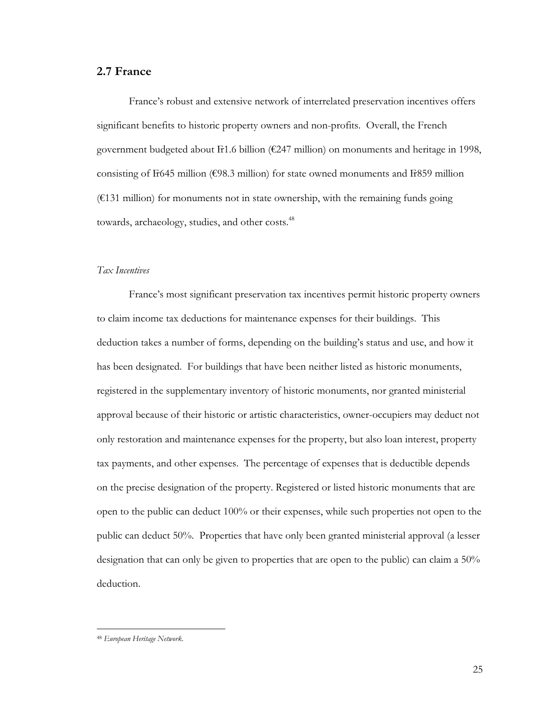## **2.7 France**

France's robust and extensive network of interrelated preservation incentives offers significant benefits to historic property owners and non-profits. Overall, the French government budgeted about  $F1.6$  billion ( $E247$  million) on monuments and heritage in 1998, consisting of Fr645 million ( $\epsilon$ 98.3 million) for state owned monuments and Fr859 million  $(6131$  million) for monuments not in state ownership, with the remaining funds going towards, archaeology, studies, and other costs.<sup>48</sup>

#### *Tax Incentives*

France's most significant preservation tax incentives permit historic property owners to claim income tax deductions for maintenance expenses for their buildings. This deduction takes a number of forms, depending on the building's status and use, and how it has been designated. For buildings that have been neither listed as historic monuments, registered in the supplementary inventory of historic monuments, nor granted ministerial approval because of their historic or artistic characteristics, owner-occupiers may deduct not only restoration and maintenance expenses for the property, but also loan interest, property tax payments, and other expenses. The percentage of expenses that is deductible depends on the precise designation of the property. Registered or listed historic monuments that are open to the public can deduct 100% or their expenses, while such properties not open to the public can deduct 50%. Properties that have only been granted ministerial approval (a lesser designation that can only be given to properties that are open to the public) can claim a 50% deduction.

<sup>48</sup> *European Heritage Network.*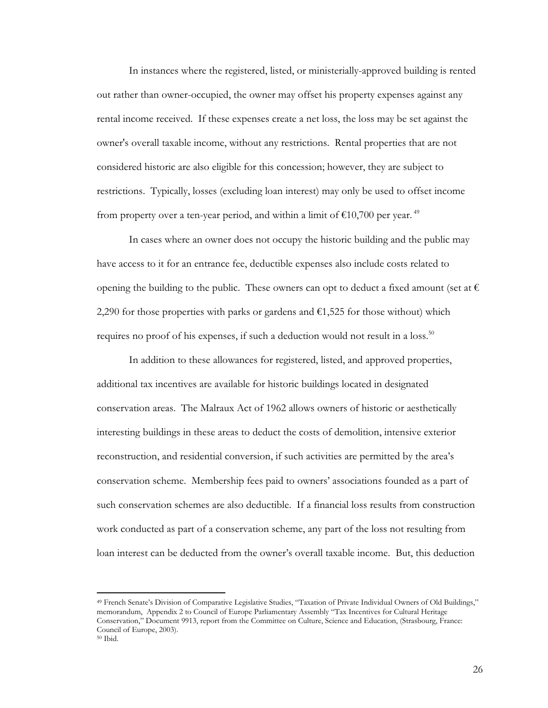In instances where the registered, listed, or ministerially-approved building is rented out rather than owner-occupied, the owner may offset his property expenses against any rental income received. If these expenses create a net loss, the loss may be set against the owner's overall taxable income, without any restrictions. Rental properties that are not considered historic are also eligible for this concession; however, they are subject to restrictions. Typically, losses (excluding loan interest) may only be used to offset income from property over a ten-year period, and within a limit of  $\epsilon$ 10,700 per year.<sup>49</sup>

In cases where an owner does not occupy the historic building and the public may have access to it for an entrance fee, deductible expenses also include costs related to opening the building to the public. These owners can opt to deduct a fixed amount (set at  $\epsilon$ 2,290 for those properties with parks or gardens and  $\epsilon$ 1,525 for those without) which requires no proof of his expenses, if such a deduction would not result in a loss.<sup>50</sup>

In addition to these allowances for registered, listed, and approved properties, additional tax incentives are available for historic buildings located in designated conservation areas. The Malraux Act of 1962 allows owners of historic or aesthetically interesting buildings in these areas to deduct the costs of demolition, intensive exterior reconstruction, and residential conversion, if such activities are permitted by the area's conservation scheme. Membership fees paid to owners' associations founded as a part of such conservation schemes are also deductible. If a financial loss results from construction work conducted as part of a conservation scheme, any part of the loss not resulting from loan interest can be deducted from the owner's overall taxable income. But, this deduction

<sup>49</sup> French Senate's Division of Comparative Legislative Studies, "Taxation of Private Individual Owners of Old Buildings," memorandum, Appendix 2 to Council of Europe Parliamentary Assembly "Tax Incentives for Cultural Heritage Conservation," Document 9913, report from the Committee on Culture, Science and Education, (Strasbourg, France: Council of Europe, 2003). 50 Ibid.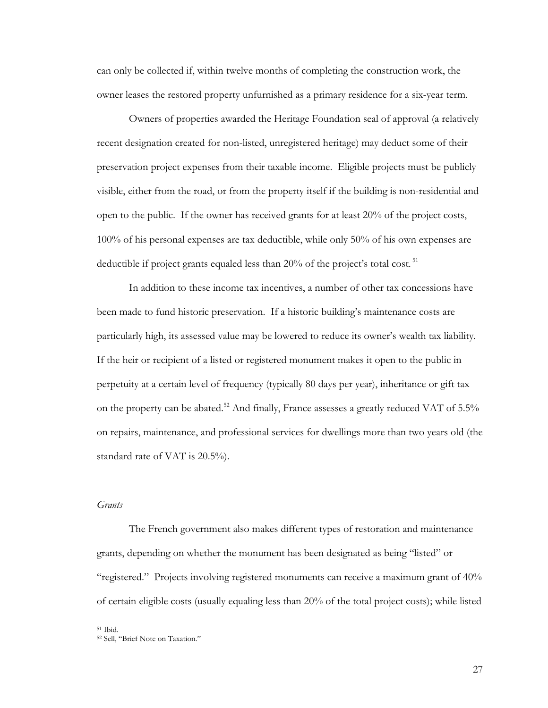can only be collected if, within twelve months of completing the construction work, the owner leases the restored property unfurnished as a primary residence for a six-year term.

Owners of properties awarded the Heritage Foundation seal of approval (a relatively recent designation created for non-listed, unregistered heritage) may deduct some of their preservation project expenses from their taxable income. Eligible projects must be publicly visible, either from the road, or from the property itself if the building is non-residential and open to the public. If the owner has received grants for at least 20% of the project costs, 100% of his personal expenses are tax deductible, while only 50% of his own expenses are deductible if project grants equaled less than  $20\%$  of the project's total cost.<sup>51</sup>

In addition to these income tax incentives, a number of other tax concessions have been made to fund historic preservation. If a historic building's maintenance costs are particularly high, its assessed value may be lowered to reduce its owner's wealth tax liability. If the heir or recipient of a listed or registered monument makes it open to the public in perpetuity at a certain level of frequency (typically 80 days per year), inheritance or gift tax on the property can be abated.<sup>52</sup> And finally, France assesses a greatly reduced VAT of 5.5% on repairs, maintenance, and professional services for dwellings more than two years old (the standard rate of VAT is 20.5%).

#### *Grants*

The French government also makes different types of restoration and maintenance grants, depending on whether the monument has been designated as being "listed" or "registered." Projects involving registered monuments can receive a maximum grant of 40% of certain eligible costs (usually equaling less than 20% of the total project costs); while listed

<sup>51</sup> Ibid.

<sup>52</sup> Sell, "Brief Note on Taxation."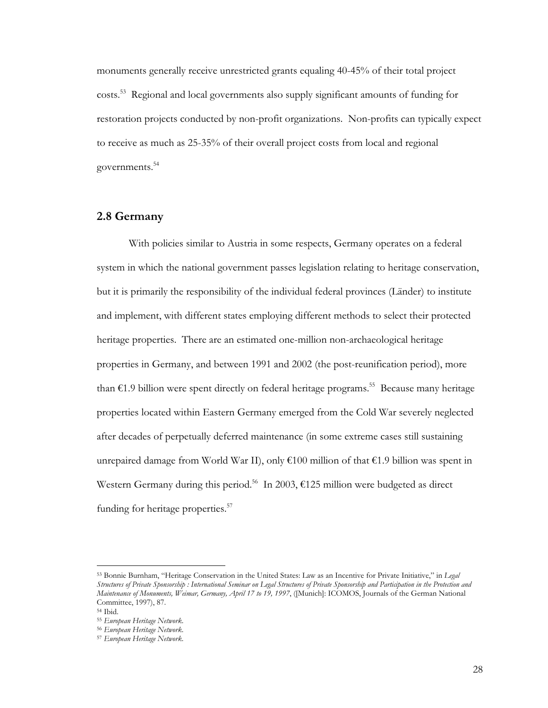monuments generally receive unrestricted grants equaling 40-45% of their total project costs.53 Regional and local governments also supply significant amounts of funding for restoration projects conducted by non-profit organizations. Non-profits can typically expect to receive as much as 25-35% of their overall project costs from local and regional governments.<sup>54</sup>

## **2.8 Germany**

With policies similar to Austria in some respects, Germany operates on a federal system in which the national government passes legislation relating to heritage conservation, but it is primarily the responsibility of the individual federal provinces (Länder) to institute and implement, with different states employing different methods to select their protected heritage properties. There are an estimated one-million non-archaeological heritage properties in Germany, and between 1991 and 2002 (the post-reunification period), more than  $\epsilon$ 1.9 billion were spent directly on federal heritage programs.<sup>55</sup> Because many heritage properties located within Eastern Germany emerged from the Cold War severely neglected after decades of perpetually deferred maintenance (in some extreme cases still sustaining unrepaired damage from World War II), only  $\epsilon$ 100 million of that  $\epsilon$ 1.9 billion was spent in Western Germany during this period.<sup>56</sup> In 2003,  $\epsilon$ 125 million were budgeted as direct funding for heritage properties.<sup>57</sup>

<sup>53</sup> Bonnie Burnham, "Heritage Conservation in the United States: Law as an Incentive for Private Initiative," in *Legal Structures of Private Sponsorship : International Seminar on Legal Structures of Private Sponsorship and Participation in the Protection and Maintenance of Monuments, Weimar, Germany, April 17 to 19, 1997*, ([Munich]: ICOMOS, Journals of the German National Committee, 1997), 87.

<sup>54</sup> Ibid.

<sup>55</sup> *European Heritage Network.*

<sup>56</sup> *European Heritage Network.*

<sup>57</sup> *European Heritage Network.*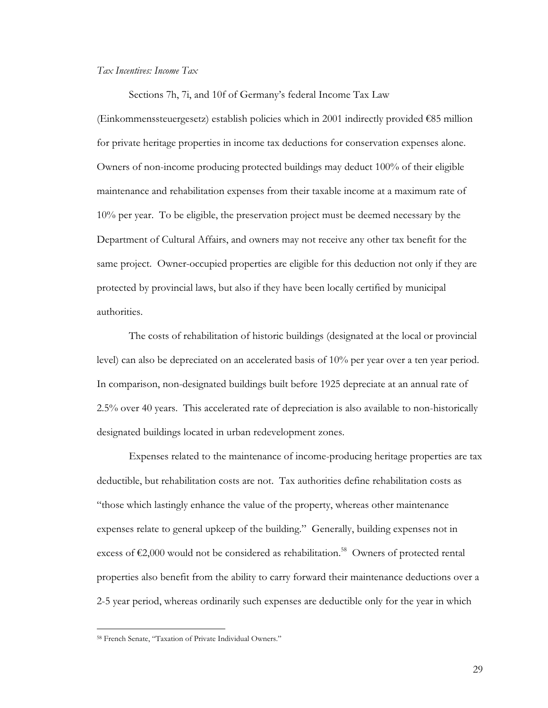#### *Tax Incentives: Income Tax*

 Sections 7h, 7i, and 10f of Germany's federal Income Tax Law (Einkommenssteuergesetz) establish policies which in 2001 indirectly provided  $\epsilon$ 85 million for private heritage properties in income tax deductions for conservation expenses alone. Owners of non-income producing protected buildings may deduct 100% of their eligible maintenance and rehabilitation expenses from their taxable income at a maximum rate of 10% per year. To be eligible, the preservation project must be deemed necessary by the Department of Cultural Affairs, and owners may not receive any other tax benefit for the same project. Owner-occupied properties are eligible for this deduction not only if they are protected by provincial laws, but also if they have been locally certified by municipal authorities.

The costs of rehabilitation of historic buildings (designated at the local or provincial level) can also be depreciated on an accelerated basis of 10% per year over a ten year period. In comparison, non-designated buildings built before 1925 depreciate at an annual rate of 2.5% over 40 years. This accelerated rate of depreciation is also available to non-historically designated buildings located in urban redevelopment zones.

Expenses related to the maintenance of income-producing heritage properties are tax deductible, but rehabilitation costs are not. Tax authorities define rehabilitation costs as "those which lastingly enhance the value of the property, whereas other maintenance expenses relate to general upkeep of the building." Generally, building expenses not in excess of  $\epsilon$ 2,000 would not be considered as rehabilitation.<sup>58</sup> Owners of protected rental properties also benefit from the ability to carry forward their maintenance deductions over a 2-5 year period, whereas ordinarily such expenses are deductible only for the year in which

<sup>58</sup> French Senate, "Taxation of Private Individual Owners."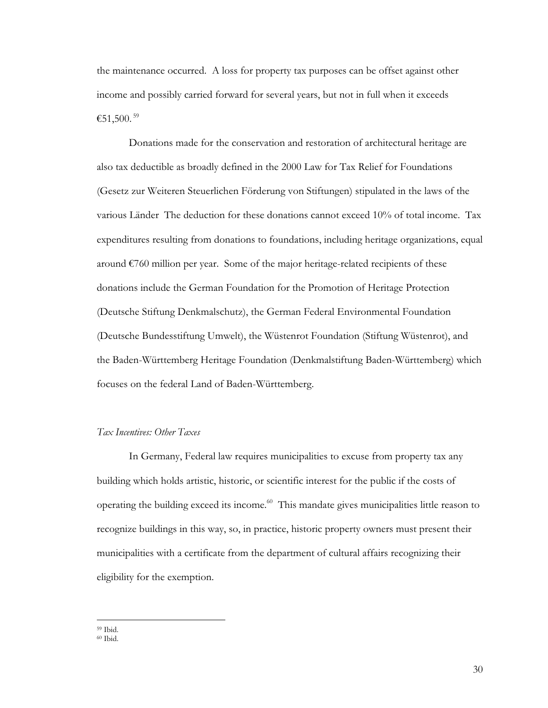the maintenance occurred. A loss for property tax purposes can be offset against other income and possibly carried forward for several years, but not in full when it exceeds €51,500. 59

 Donations made for the conservation and restoration of architectural heritage are also tax deductible as broadly defined in the 2000 Law for Tax Relief for Foundations (Gesetz zur Weiteren Steuerlichen Förderung von Stiftungen) stipulated in the laws of the various Länder The deduction for these donations cannot exceed 10% of total income. Tax expenditures resulting from donations to foundations, including heritage organizations, equal around  $\epsilon$ 760 million per year. Some of the major heritage-related recipients of these donations include the German Foundation for the Promotion of Heritage Protection (Deutsche Stiftung Denkmalschutz), the German Federal Environmental Foundation (Deutsche Bundesstiftung Umwelt), the Wüstenrot Foundation (Stiftung Wüstenrot), and the Baden-Württemberg Heritage Foundation (Denkmalstiftung Baden-Württemberg) which focuses on the federal Land of Baden-Württemberg.

## *Tax Incentives: Other Taxes*

In Germany, Federal law requires municipalities to excuse from property tax any building which holds artistic, historic, or scientific interest for the public if the costs of operating the building exceed its income.<sup>60</sup> This mandate gives municipalities little reason to recognize buildings in this way, so, in practice, historic property owners must present their municipalities with a certificate from the department of cultural affairs recognizing their eligibility for the exemption.

<sup>59</sup> Ibid.

<sup>60</sup> Ibid.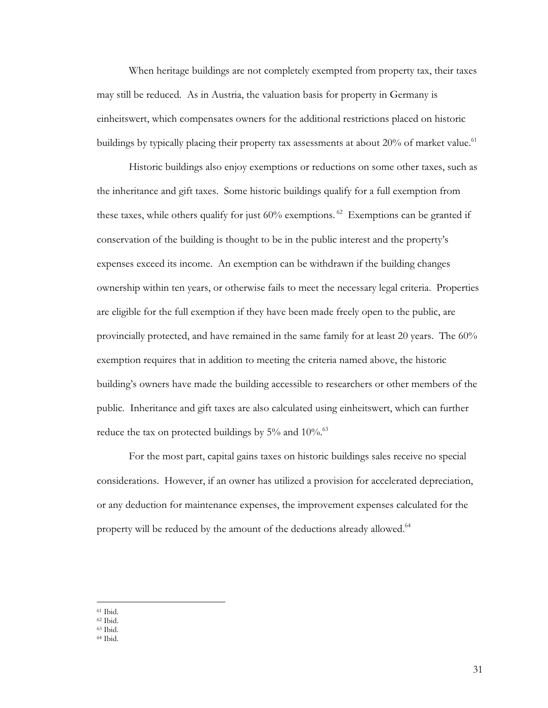When heritage buildings are not completely exempted from property tax, their taxes may still be reduced. As in Austria, the valuation basis for property in Germany is einheitswert, which compensates owners for the additional restrictions placed on historic buildings by typically placing their property tax assessments at about  $20\%$  of market value.<sup>61</sup>

 Historic buildings also enjoy exemptions or reductions on some other taxes, such as the inheritance and gift taxes. Some historic buildings qualify for a full exemption from these taxes, while others qualify for just  $60\%$  exemptions. <sup>62</sup> Exemptions can be granted if conservation of the building is thought to be in the public interest and the property's expenses exceed its income. An exemption can be withdrawn if the building changes ownership within ten years, or otherwise fails to meet the necessary legal criteria. Properties are eligible for the full exemption if they have been made freely open to the public, are provincially protected, and have remained in the same family for at least 20 years. The 60% exemption requires that in addition to meeting the criteria named above, the historic building's owners have made the building accessible to researchers or other members of the public. Inheritance and gift taxes are also calculated using einheitswert, which can further reduce the tax on protected buildings by  $5\%$  and  $10\%$ .<sup>63</sup>

For the most part, capital gains taxes on historic buildings sales receive no special considerations. However, if an owner has utilized a provision for accelerated depreciation, or any deduction for maintenance expenses, the improvement expenses calculated for the property will be reduced by the amount of the deductions already allowed.<sup>64</sup>

<sup>61</sup> Ibid.

<sup>62</sup> Ibid.

<sup>63</sup> Ibid.

<sup>64</sup> Ibid.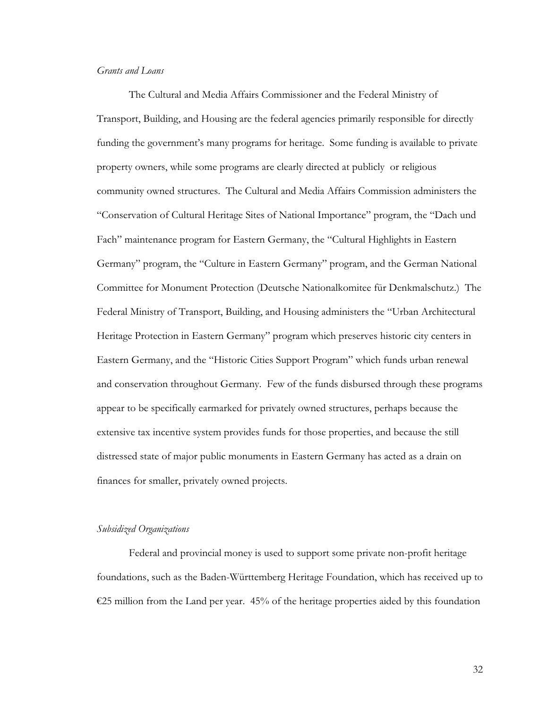### *Grants and Loans*

 The Cultural and Media Affairs Commissioner and the Federal Ministry of Transport, Building, and Housing are the federal agencies primarily responsible for directly funding the government's many programs for heritage. Some funding is available to private property owners, while some programs are clearly directed at publicly or religious community owned structures. The Cultural and Media Affairs Commission administers the "Conservation of Cultural Heritage Sites of National Importance" program, the "Dach und Fach" maintenance program for Eastern Germany, the "Cultural Highlights in Eastern Germany" program, the "Culture in Eastern Germany" program, and the German National Committee for Monument Protection (Deutsche Nationalkomitee für Denkmalschutz.) The Federal Ministry of Transport, Building, and Housing administers the "Urban Architectural Heritage Protection in Eastern Germany" program which preserves historic city centers in Eastern Germany, and the "Historic Cities Support Program" which funds urban renewal and conservation throughout Germany. Few of the funds disbursed through these programs appear to be specifically earmarked for privately owned structures, perhaps because the extensive tax incentive system provides funds for those properties, and because the still distressed state of major public monuments in Eastern Germany has acted as a drain on finances for smaller, privately owned projects.

#### *Subsidized Organizations*

Federal and provincial money is used to support some private non-profit heritage foundations, such as the Baden-Württemberg Heritage Foundation, which has received up to €25 million from the Land per year.  $45%$  of the heritage properties aided by this foundation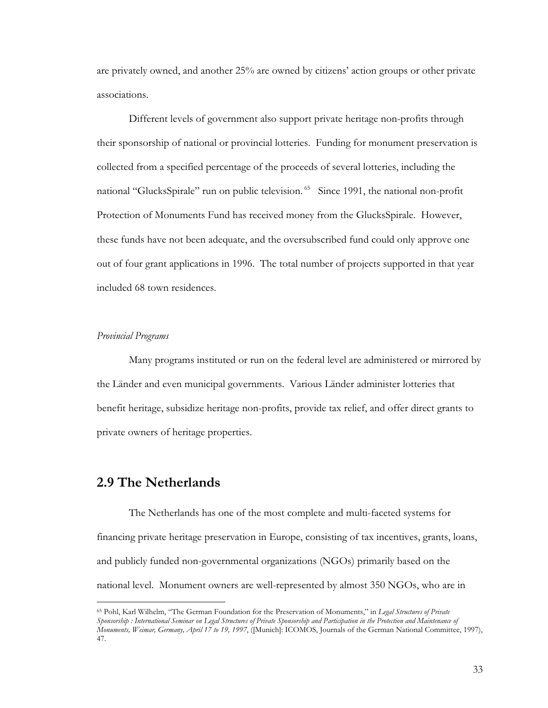are privately owned, and another 25% are owned by citizens' action groups or other private associations.

Different levels of government also support private heritage non-profits through their sponsorship of national or provincial lotteries. Funding for monument preservation is collected from a specified percentage of the proceeds of several lotteries, including the national "GlucksSpirale" run on public television.<sup>65</sup> Since 1991, the national non-profit Protection of Monuments Fund has received money from the GlucksSpirale. However, these funds have not been adequate, and the oversubscribed fund could only approve one out of four grant applications in 1996. The total number of projects supported in that year included 68 town residences.

#### *Provincial Programs*

 Many programs instituted or run on the federal level are administered or mirrored by the Länder and even municipal governments. Various Länder administer lotteries that benefit heritage, subsidize heritage non-profits, provide tax relief, and offer direct grants to private owners of heritage properties.

# **2.9 The Netherlands**

 The Netherlands has one of the most complete and multi-faceted systems for financing private heritage preservation in Europe, consisting of tax incentives, grants, loans, and publicly funded non-governmental organizations (NGOs) primarily based on the national level. Monument owners are well-represented by almost 350 NGOs, who are in

<sup>65</sup> Pohl, Karl Wilhelm, "The German Foundation for the Preservation of Monuments," in *Legal Structures of Private Sponsorship : International Seminar on Legal Structures of Private Sponsorship and Participation in the Protection and Maintenance of Monuments, Weimar, Germany, April 17 to 19, 1997*, ([Munich]: ICOMOS, Journals of the German National Committee, 1997), 47.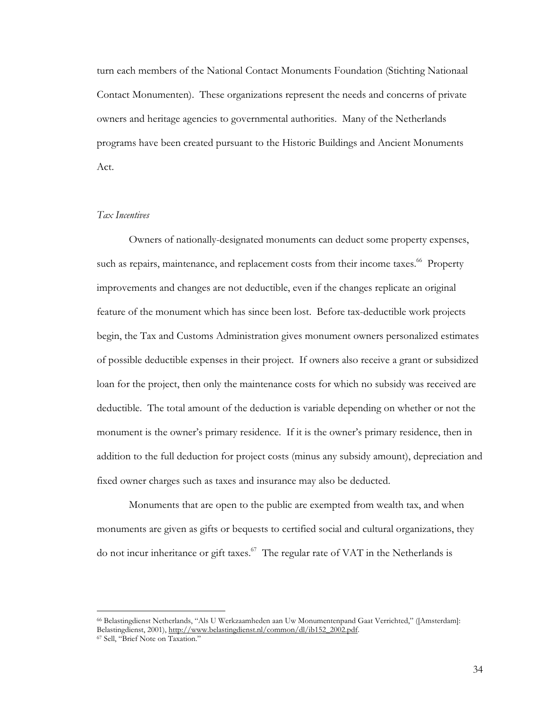turn each members of the National Contact Monuments Foundation (Stichting Nationaal Contact Monumenten). These organizations represent the needs and concerns of private owners and heritage agencies to governmental authorities. Many of the Netherlands programs have been created pursuant to the Historic Buildings and Ancient Monuments Act.

#### *Tax Incentives*

Owners of nationally-designated monuments can deduct some property expenses, such as repairs, maintenance, and replacement costs from their income taxes.<sup>66</sup> Property improvements and changes are not deductible, even if the changes replicate an original feature of the monument which has since been lost. Before tax-deductible work projects begin, the Tax and Customs Administration gives monument owners personalized estimates of possible deductible expenses in their project. If owners also receive a grant or subsidized loan for the project, then only the maintenance costs for which no subsidy was received are deductible. The total amount of the deduction is variable depending on whether or not the monument is the owner's primary residence. If it is the owner's primary residence, then in addition to the full deduction for project costs (minus any subsidy amount), depreciation and fixed owner charges such as taxes and insurance may also be deducted.

Monuments that are open to the public are exempted from wealth tax, and when monuments are given as gifts or bequests to certified social and cultural organizations, they do not incur inheritance or gift taxes. $67$  The regular rate of VAT in the Netherlands is

<sup>66</sup> Belastingdienst Netherlands, "Als U Werkzaamheden aan Uw Monumentenpand Gaat Verrichted," ([Amsterdam]: Belastingdienst, 2001), http://www.belastingdienst.nl/common/dl/ib152\_2002.pdf.

<sup>67</sup> Sell, "Brief Note on Taxation."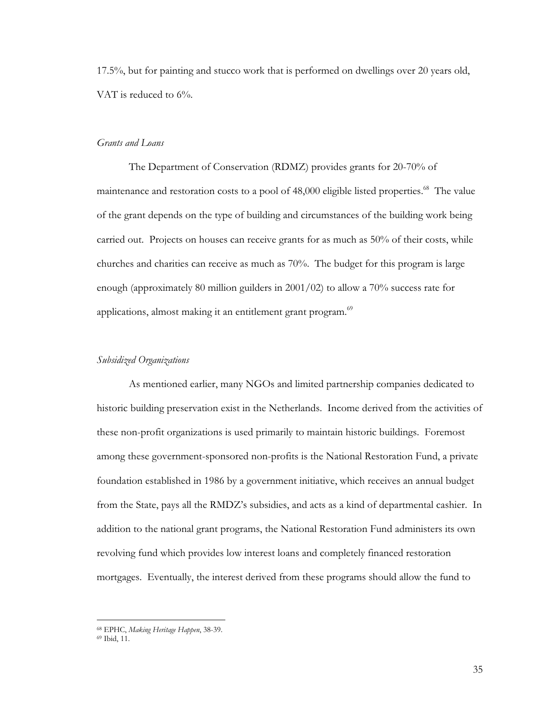17.5%, but for painting and stucco work that is performed on dwellings over 20 years old, VAT is reduced to 6%.

#### *Grants and Loans*

The Department of Conservation (RDMZ) provides grants for 20-70% of maintenance and restoration costs to a pool of 48,000 eligible listed properties.<sup>68</sup> The value of the grant depends on the type of building and circumstances of the building work being carried out. Projects on houses can receive grants for as much as 50% of their costs, while churches and charities can receive as much as 70%. The budget for this program is large enough (approximately 80 million guilders in 2001/02) to allow a 70% success rate for applications, almost making it an entitlement grant program.<sup>69</sup>

#### *Subsidized Organizations*

As mentioned earlier, many NGOs and limited partnership companies dedicated to historic building preservation exist in the Netherlands. Income derived from the activities of these non-profit organizations is used primarily to maintain historic buildings. Foremost among these government-sponsored non-profits is the National Restoration Fund, a private foundation established in 1986 by a government initiative, which receives an annual budget from the State, pays all the RMDZ's subsidies, and acts as a kind of departmental cashier. In addition to the national grant programs, the National Restoration Fund administers its own revolving fund which provides low interest loans and completely financed restoration mortgages. Eventually, the interest derived from these programs should allow the fund to

<sup>68</sup> EPHC, *Making Heritage Happen*, 38-39. 69 Ibid, 11.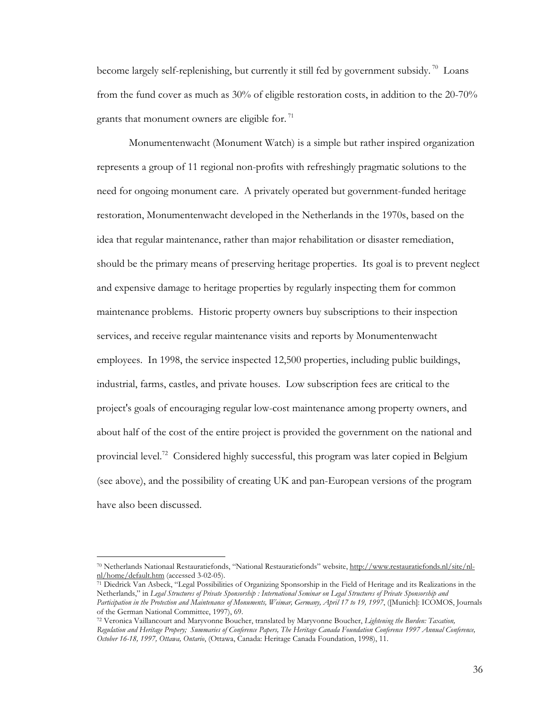become largely self-replenishing, but currently it still fed by government subsidy.<sup>70</sup> Loans from the fund cover as much as 30% of eligible restoration costs, in addition to the 20-70% grants that monument owners are eligible for.  $71$ 

 Monumentenwacht (Monument Watch) is a simple but rather inspired organization represents a group of 11 regional non-profits with refreshingly pragmatic solutions to the need for ongoing monument care. A privately operated but government-funded heritage restoration, Monumentenwacht developed in the Netherlands in the 1970s, based on the idea that regular maintenance, rather than major rehabilitation or disaster remediation, should be the primary means of preserving heritage properties. Its goal is to prevent neglect and expensive damage to heritage properties by regularly inspecting them for common maintenance problems. Historic property owners buy subscriptions to their inspection services, and receive regular maintenance visits and reports by Monumentenwacht employees. In 1998, the service inspected 12,500 properties, including public buildings, industrial, farms, castles, and private houses. Low subscription fees are critical to the project's goals of encouraging regular low-cost maintenance among property owners, and about half of the cost of the entire project is provided the government on the national and provincial level.<sup>72</sup> Considered highly successful, this program was later copied in Belgium (see above), and the possibility of creating UK and pan-European versions of the program have also been discussed.

<sup>70</sup> Netherlands Nationaal Restauratiefonds, "National Restauratiefonds" website, http://www.restauratiefonds.nl/site/nlnl/home/default.htm (accessed 3-02-05).<br><sup>71</sup> Diedrick Van Asbeck, "Legal Possibilities of Organizing Sponsorship in the Field of Heritage and its Realizations in the

Netherlands," in *Legal Structures of Private Sponsorship : International Seminar on Legal Structures of Private Sponsorship and Participation in the Protection and Maintenance of Monuments, Weimar, Germany, April 17 to 19, 1997*, ([Munich]: ICOMOS, Journals of the German National Committee, 1997), 69.

<sup>72</sup> Veronica Vaillancourt and Maryvonne Boucher, translated by Maryvonne Boucher, *Lightening the Burden: Taxation, Regulation and Heritage Propery; Summaries of Conference Papers, The Heritage Canada Foundation Conference 1997 Annual Conference, October 16-18, 1997, Ottawa, Ontario*, (Ottawa, Canada: Heritage Canada Foundation, 1998), 11.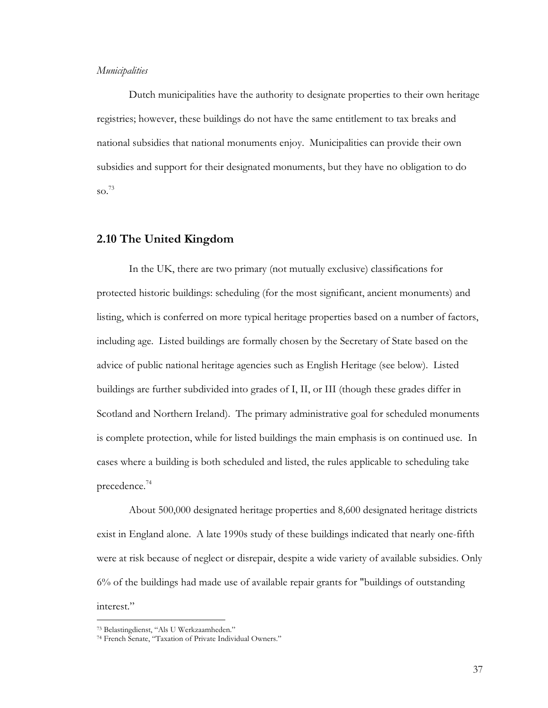#### *Municipalities*

 Dutch municipalities have the authority to designate properties to their own heritage registries; however, these buildings do not have the same entitlement to tax breaks and national subsidies that national monuments enjoy. Municipalities can provide their own subsidies and support for their designated monuments, but they have no obligation to do so. 73

### **2.10 The United Kingdom**

In the UK, there are two primary (not mutually exclusive) classifications for protected historic buildings: scheduling (for the most significant, ancient monuments) and listing, which is conferred on more typical heritage properties based on a number of factors, including age. Listed buildings are formally chosen by the Secretary of State based on the advice of public national heritage agencies such as English Heritage (see below). Listed buildings are further subdivided into grades of I, II, or III (though these grades differ in Scotland and Northern Ireland). The primary administrative goal for scheduled monuments is complete protection, while for listed buildings the main emphasis is on continued use. In cases where a building is both scheduled and listed, the rules applicable to scheduling take precedence.<sup>74</sup>

 About 500,000 designated heritage properties and 8,600 designated heritage districts exist in England alone. A late 1990s study of these buildings indicated that nearly one-fifth were at risk because of neglect or disrepair, despite a wide variety of available subsidies. Only 6% of the buildings had made use of available repair grants for "buildings of outstanding interest."

<sup>73</sup> Belastingdienst, "Als U Werkzaamheden."

<sup>74</sup> French Senate, "Taxation of Private Individual Owners."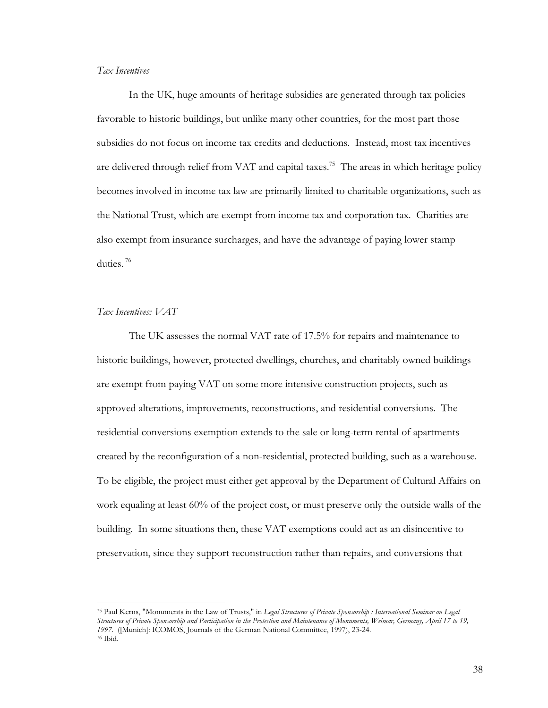#### *Tax Incentives*

 In the UK, huge amounts of heritage subsidies are generated through tax policies favorable to historic buildings, but unlike many other countries, for the most part those subsidies do not focus on income tax credits and deductions. Instead, most tax incentives are delivered through relief from VAT and capital taxes.<sup>75</sup> The areas in which heritage policy becomes involved in income tax law are primarily limited to charitable organizations, such as the National Trust, which are exempt from income tax and corporation tax. Charities are also exempt from insurance surcharges, and have the advantage of paying lower stamp duties. 76

#### *Tax Incentives: VAT*

The UK assesses the normal VAT rate of 17.5% for repairs and maintenance to historic buildings, however, protected dwellings, churches, and charitably owned buildings are exempt from paying VAT on some more intensive construction projects, such as approved alterations, improvements, reconstructions, and residential conversions. The residential conversions exemption extends to the sale or long-term rental of apartments created by the reconfiguration of a non-residential, protected building, such as a warehouse. To be eligible, the project must either get approval by the Department of Cultural Affairs on work equaling at least 60% of the project cost, or must preserve only the outside walls of the building. In some situations then, these VAT exemptions could act as an disincentive to preservation, since they support reconstruction rather than repairs, and conversions that

<sup>75</sup> Paul Kerns, "Monuments in the Law of Trusts," in *Legal Structures of Private Sponsorship : International Seminar on Legal Structures of Private Sponsorship and Participation in the Protection and Maintenance of Monuments, Weimar, Germany, April 17 to 19, 1997*. ([Munich]: ICOMOS, Journals of the German National Committee, 1997), 23-24. 76 Ibid.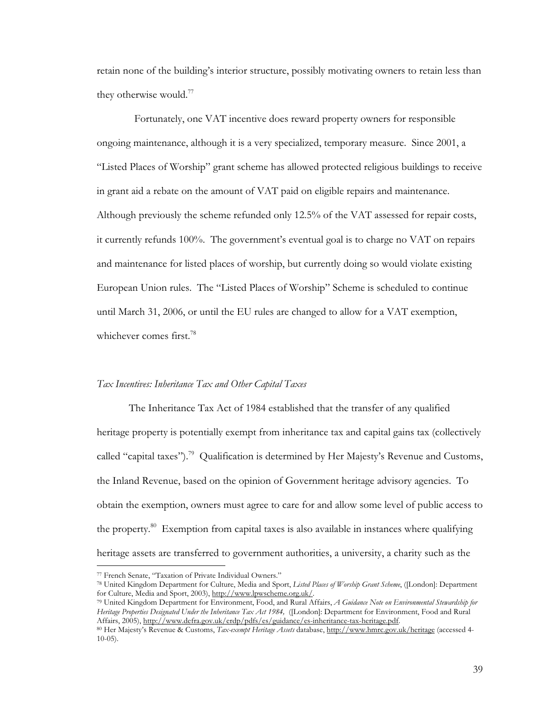retain none of the building's interior structure, possibly motivating owners to retain less than they otherwise would.<sup>77</sup>

 Fortunately, one VAT incentive does reward property owners for responsible ongoing maintenance, although it is a very specialized, temporary measure. Since 2001, a "Listed Places of Worship" grant scheme has allowed protected religious buildings to receive in grant aid a rebate on the amount of VAT paid on eligible repairs and maintenance. Although previously the scheme refunded only 12.5% of the VAT assessed for repair costs, it currently refunds 100%. The government's eventual goal is to charge no VAT on repairs and maintenance for listed places of worship, but currently doing so would violate existing European Union rules. The "Listed Places of Worship" Scheme is scheduled to continue until March 31, 2006, or until the EU rules are changed to allow for a VAT exemption, whichever comes first.<sup>78</sup>

#### *Tax Incentives: Inheritance Tax and Other Capital Taxes*

The Inheritance Tax Act of 1984 established that the transfer of any qualified heritage property is potentially exempt from inheritance tax and capital gains tax (collectively called "capital taxes").<sup>79</sup> Qualification is determined by Her Majesty's Revenue and Customs, the Inland Revenue, based on the opinion of Government heritage advisory agencies. To obtain the exemption, owners must agree to care for and allow some level of public access to the property.<sup>80</sup> Exemption from capital taxes is also available in instances where qualifying heritage assets are transferred to government authorities, a university, a charity such as the

<sup>77</sup> French Senate, "Taxation of Private Individual Owners."

<sup>78</sup> United Kingdom Department for Culture, Media and Sport, *Listed Places of Worship Grant Scheme*, ([London]: Department for Culture, Media and Sport, 2003), http://www.lpwscheme.org.uk/.

<sup>79</sup> United Kingdom Department for Environment, Food, and Rural Affairs, *A Guidance Note on Environmental Stewardship for Heritage Properties Designated Under the Inheritance Tax Act 1984,* ([London]: Department for Environment, Food and Rural Affairs, 2005), http://www.defra.gov.uk/erdp/pdfs/es/guidance/es-inheritance-tax-heritage.pdf.

<sup>80</sup> Her Majesty's Revenue & Customs, *Tax-exempt Heritage Assets* database, http://www.hmrc.gov.uk/heritage (accessed 4- 10-05).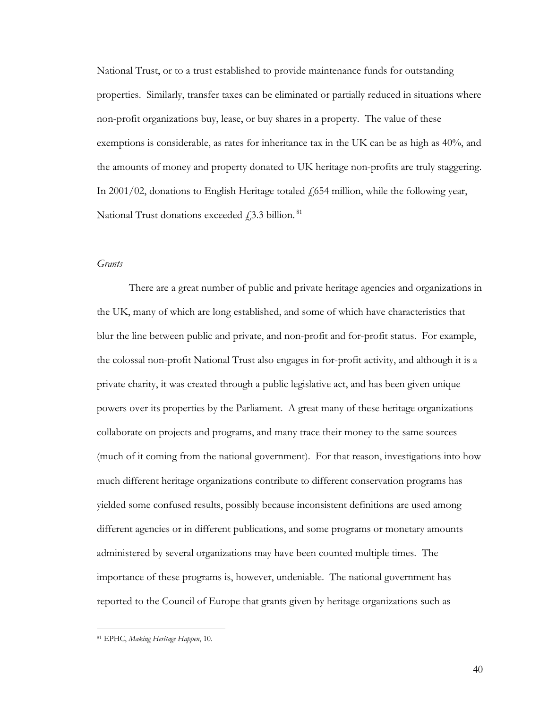National Trust, or to a trust established to provide maintenance funds for outstanding properties. Similarly, transfer taxes can be eliminated or partially reduced in situations where non-profit organizations buy, lease, or buy shares in a property. The value of these exemptions is considerable, as rates for inheritance tax in the UK can be as high as 40%, and the amounts of money and property donated to UK heritage non-profits are truly staggering. In 2001/02, donations to English Heritage totaled  $\ell$  654 million, while the following year, National Trust donations exceeded  $f$ , 3.3 billion.<sup>81</sup>

#### *Grants*

There are a great number of public and private heritage agencies and organizations in the UK, many of which are long established, and some of which have characteristics that blur the line between public and private, and non-profit and for-profit status. For example, the colossal non-profit National Trust also engages in for-profit activity, and although it is a private charity, it was created through a public legislative act, and has been given unique powers over its properties by the Parliament. A great many of these heritage organizations collaborate on projects and programs, and many trace their money to the same sources (much of it coming from the national government). For that reason, investigations into how much different heritage organizations contribute to different conservation programs has yielded some confused results, possibly because inconsistent definitions are used among different agencies or in different publications, and some programs or monetary amounts administered by several organizations may have been counted multiple times. The importance of these programs is, however, undeniable. The national government has reported to the Council of Europe that grants given by heritage organizations such as

40

<sup>81</sup> EPHC, *Making Heritage Happen*, 10.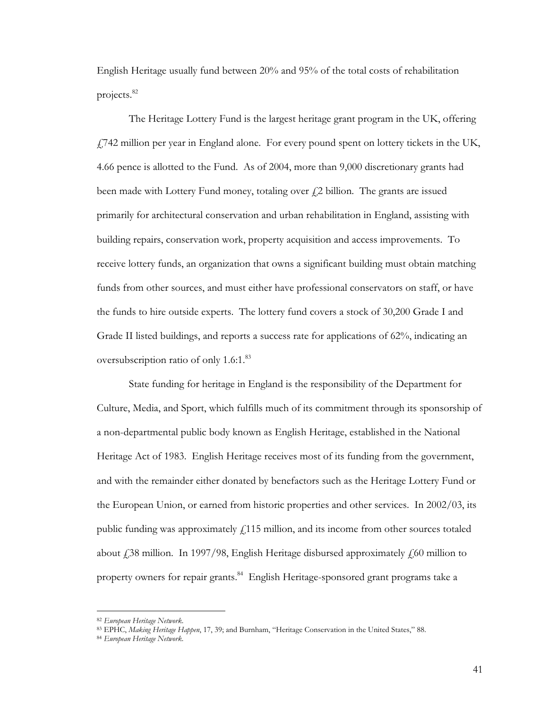English Heritage usually fund between 20% and 95% of the total costs of rehabilitation projects.<sup>82</sup>

The Heritage Lottery Fund is the largest heritage grant program in the UK, offering  $\frac{17}{4}$ 742 million per year in England alone. For every pound spent on lottery tickets in the UK, 4.66 pence is allotted to the Fund. As of 2004, more than 9,000 discretionary grants had been made with Lottery Fund money, totaling over  $\zeta$ 2 billion. The grants are issued primarily for architectural conservation and urban rehabilitation in England, assisting with building repairs, conservation work, property acquisition and access improvements. To receive lottery funds, an organization that owns a significant building must obtain matching funds from other sources, and must either have professional conservators on staff, or have the funds to hire outside experts. The lottery fund covers a stock of 30,200 Grade I and Grade II listed buildings, and reports a success rate for applications of 62%, indicating an oversubscription ratio of only 1.6:1.<sup>83</sup>

 State funding for heritage in England is the responsibility of the Department for Culture, Media, and Sport, which fulfills much of its commitment through its sponsorship of a non-departmental public body known as English Heritage, established in the National Heritage Act of 1983. English Heritage receives most of its funding from the government, and with the remainder either donated by benefactors such as the Heritage Lottery Fund or the European Union, or earned from historic properties and other services. In 2002/03, its public funding was approximately  $\mathcal{L}$ 115 million, and its income from other sources totaled about  $\frac{1}{38}$  million. In 1997/98, English Heritage disbursed approximately  $\frac{1}{100}$  million to property owners for repair grants.<sup>84</sup> English Heritage-sponsored grant programs take a

<sup>82</sup> *European Heritage Network.*

<sup>83</sup> EPHC, *Making Heritage Happen*, 17, 39; and Burnham, "Heritage Conservation in the United States," 88. 84 *European Heritage Network.*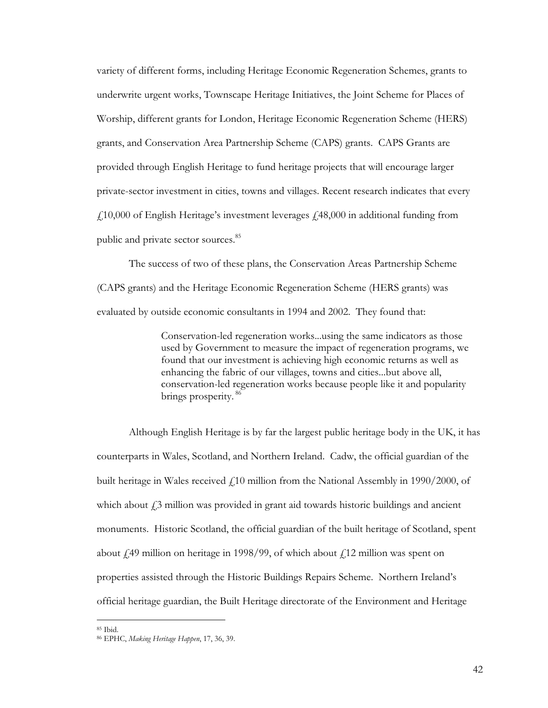variety of different forms, including Heritage Economic Regeneration Schemes, grants to underwrite urgent works, Townscape Heritage Initiatives, the Joint Scheme for Places of Worship, different grants for London, Heritage Economic Regeneration Scheme (HERS) grants, and Conservation Area Partnership Scheme (CAPS) grants. CAPS Grants are provided through English Heritage to fund heritage projects that will encourage larger private-sector investment in cities, towns and villages. Recent research indicates that every  $£10,000$  of English Heritage's investment leverages  $£48,000$  in additional funding from public and private sector sources.<sup>85</sup>

 The success of two of these plans, the Conservation Areas Partnership Scheme (CAPS grants) and the Heritage Economic Regeneration Scheme (HERS grants) was evaluated by outside economic consultants in 1994 and 2002. They found that:

> Conservation-led regeneration works...using the same indicators as those used by Government to measure the impact of regeneration programs, we found that our investment is achieving high economic returns as well as enhancing the fabric of our villages, towns and cities...but above all, conservation-led regeneration works because people like it and popularity brings prosperity.<sup>86</sup>

Although English Heritage is by far the largest public heritage body in the UK, it has counterparts in Wales, Scotland, and Northern Ireland. Cadw, the official guardian of the built heritage in Wales received  $\angle$  10 million from the National Assembly in 1990/2000, of which about  $\zeta$ 3 million was provided in grant aid towards historic buildings and ancient monuments. Historic Scotland, the official guardian of the built heritage of Scotland, spent about  $\frac{1}{4}$ 49 million on heritage in 1998/99, of which about  $\frac{1}{4}$  million was spent on properties assisted through the Historic Buildings Repairs Scheme. Northern Ireland's official heritage guardian, the Built Heritage directorate of the Environment and Heritage

<sup>85</sup> Ibid.

<sup>86</sup> EPHC, *Making Heritage Happen*, 17, 36, 39.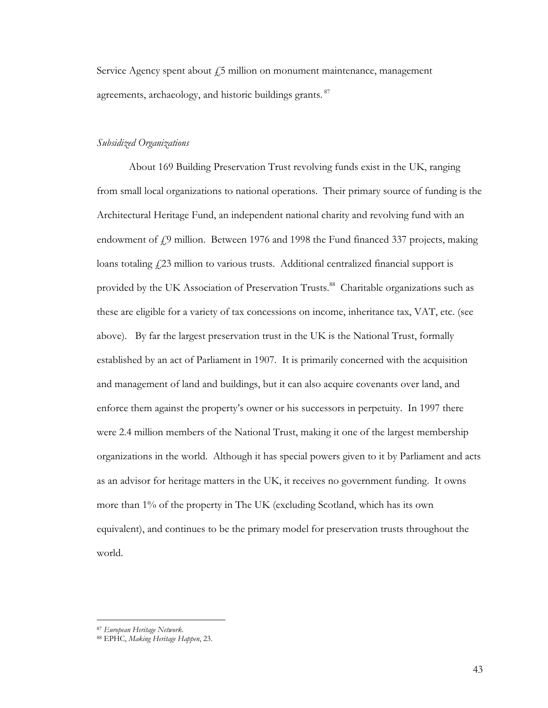Service Agency spent about  $f_1$ 5 million on monument maintenance, management agreements, archaeology, and historic buildings grants.<sup>87</sup>

## *Subsidized Organizations*

About 169 Building Preservation Trust revolving funds exist in the UK, ranging from small local organizations to national operations. Their primary source of funding is the Architectural Heritage Fund, an independent national charity and revolving fund with an endowment of  $f(9)$  million. Between 1976 and 1998 the Fund financed 337 projects, making loans totaling  $f(23)$  million to various trusts. Additional centralized financial support is provided by the UK Association of Preservation Trusts.<sup>88</sup> Charitable organizations such as these are eligible for a variety of tax concessions on income, inheritance tax, VAT, etc. (see above). By far the largest preservation trust in the UK is the National Trust, formally established by an act of Parliament in 1907. It is primarily concerned with the acquisition and management of land and buildings, but it can also acquire covenants over land, and enforce them against the property's owner or his successors in perpetuity. In 1997 there were 2.4 million members of the National Trust, making it one of the largest membership organizations in the world. Although it has special powers given to it by Parliament and acts as an advisor for heritage matters in the UK, it receives no government funding. It owns more than 1% of the property in The UK (excluding Scotland, which has its own equivalent), and continues to be the primary model for preservation trusts throughout the world.

<sup>87</sup> *European Heritage Network.*

<sup>88</sup> EPHC, *Making Heritage Happen*, 23.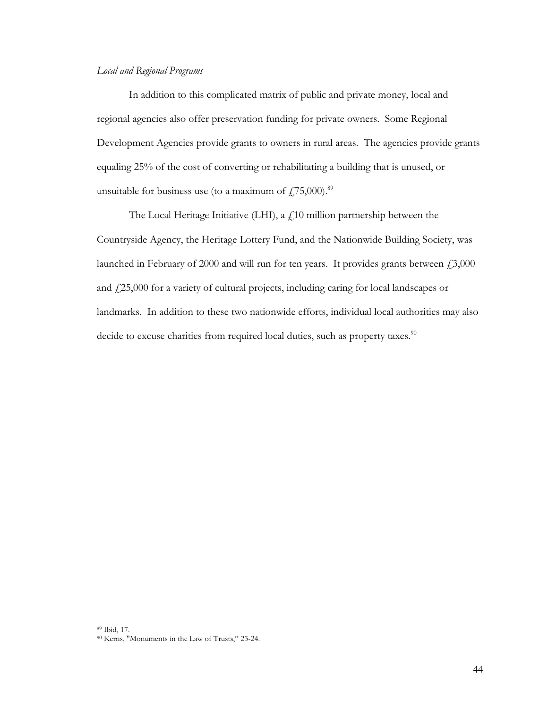#### *Local and Regional Programs*

In addition to this complicated matrix of public and private money, local and regional agencies also offer preservation funding for private owners. Some Regional Development Agencies provide grants to owners in rural areas. The agencies provide grants equaling 25% of the cost of converting or rehabilitating a building that is unused, or unsuitable for business use (to a maximum of  $\text{\textsterling}75,000$ ).<sup>89</sup>

The Local Heritage Initiative (LHI), a  $f<sub>i</sub>10$  million partnership between the Countryside Agency, the Heritage Lottery Fund, and the Nationwide Building Society, was launched in February of 2000 and will run for ten years. It provides grants between  $\text{\textsterling}3,000$ and  $\text{\emph{f}}(25,000)$  for a variety of cultural projects, including caring for local landscapes or landmarks. In addition to these two nationwide efforts, individual local authorities may also decide to excuse charities from required local duties, such as property taxes.<sup>90</sup>

<sup>89</sup> Ibid, 17.

<sup>90</sup> Kerns, "Monuments in the Law of Trusts," 23-24.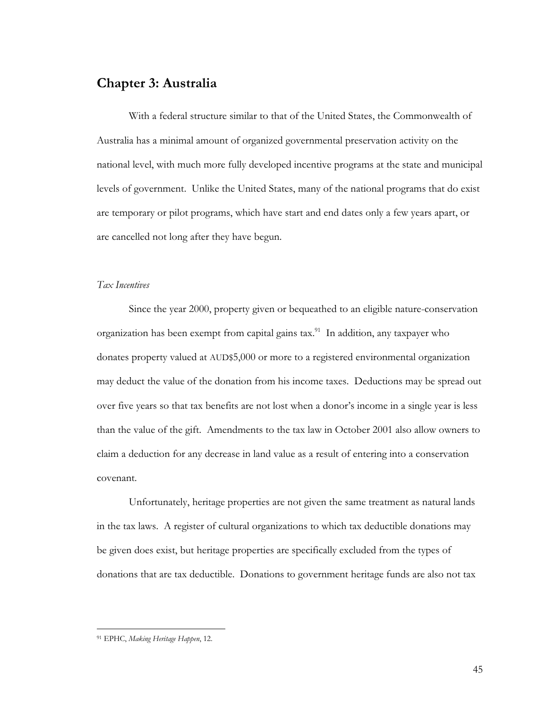# **Chapter 3: Australia**

 With a federal structure similar to that of the United States, the Commonwealth of Australia has a minimal amount of organized governmental preservation activity on the national level, with much more fully developed incentive programs at the state and municipal levels of government. Unlike the United States, many of the national programs that do exist are temporary or pilot programs, which have start and end dates only a few years apart, or are cancelled not long after they have begun.

#### *Tax Incentives*

Since the year 2000, property given or bequeathed to an eligible nature-conservation organization has been exempt from capital gains tax.<sup>91</sup> In addition, any taxpayer who donates property valued at AUD\$5,000 or more to a registered environmental organization may deduct the value of the donation from his income taxes. Deductions may be spread out over five years so that tax benefits are not lost when a donor's income in a single year is less than the value of the gift. Amendments to the tax law in October 2001 also allow owners to claim a deduction for any decrease in land value as a result of entering into a conservation covenant.

Unfortunately, heritage properties are not given the same treatment as natural lands in the tax laws. A register of cultural organizations to which tax deductible donations may be given does exist, but heritage properties are specifically excluded from the types of donations that are tax deductible. Donations to government heritage funds are also not tax

<sup>91</sup> EPHC, *Making Heritage Happen*, 12.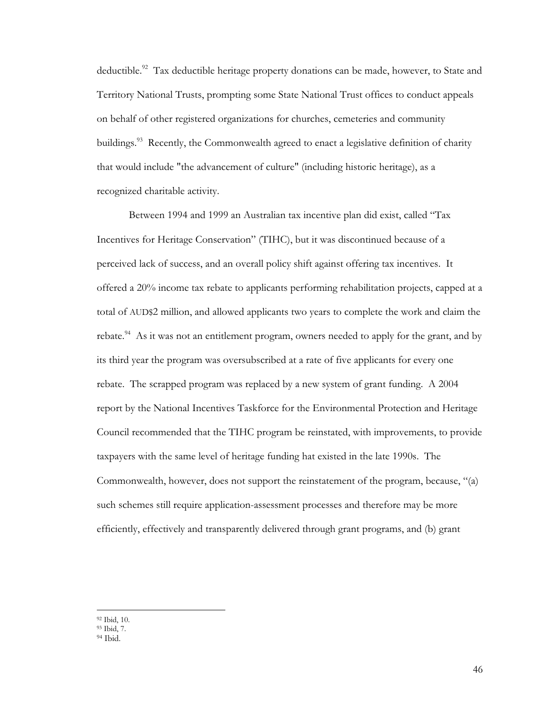deductible.<sup>92</sup> Tax deductible heritage property donations can be made, however, to State and Territory National Trusts, prompting some State National Trust offices to conduct appeals on behalf of other registered organizations for churches, cemeteries and community buildings.<sup>93</sup> Recently, the Commonwealth agreed to enact a legislative definition of charity that would include "the advancement of culture" (including historic heritage), as a recognized charitable activity.

 Between 1994 and 1999 an Australian tax incentive plan did exist, called "Tax Incentives for Heritage Conservation" (TIHC), but it was discontinued because of a perceived lack of success, and an overall policy shift against offering tax incentives. It offered a 20% income tax rebate to applicants performing rehabilitation projects, capped at a total of AUD\$2 million, and allowed applicants two years to complete the work and claim the rebate.<sup>94</sup> As it was not an entitlement program, owners needed to apply for the grant, and by its third year the program was oversubscribed at a rate of five applicants for every one rebate. The scrapped program was replaced by a new system of grant funding. A 2004 report by the National Incentives Taskforce for the Environmental Protection and Heritage Council recommended that the TIHC program be reinstated, with improvements, to provide taxpayers with the same level of heritage funding hat existed in the late 1990s. The Commonwealth, however, does not support the reinstatement of the program, because, "(a) such schemes still require application-assessment processes and therefore may be more efficiently, effectively and transparently delivered through grant programs, and (b) grant

<sup>92</sup> Ibid, 10.

<sup>93</sup> Ibid, 7.

<sup>94</sup> Ibid.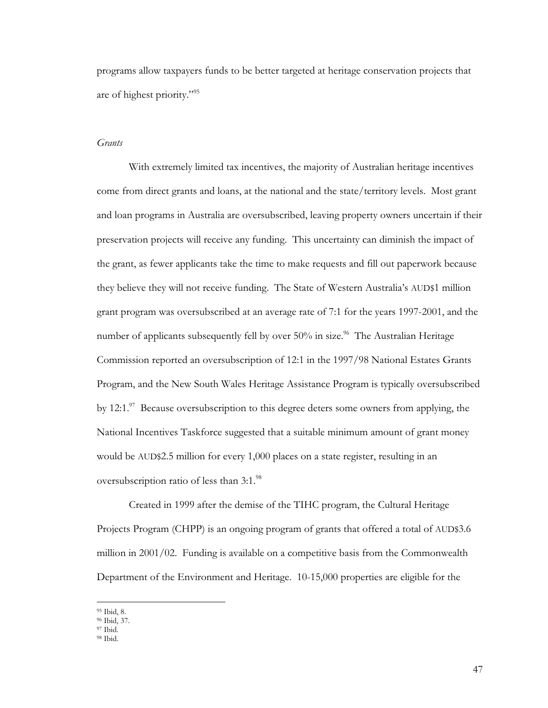programs allow taxpayers funds to be better targeted at heritage conservation projects that are of highest priority."<sup>95</sup>

#### *Grants*

 With extremely limited tax incentives, the majority of Australian heritage incentives come from direct grants and loans, at the national and the state/territory levels. Most grant and loan programs in Australia are oversubscribed, leaving property owners uncertain if their preservation projects will receive any funding. This uncertainty can diminish the impact of the grant, as fewer applicants take the time to make requests and fill out paperwork because they believe they will not receive funding. The State of Western Australia's AUD\$1 million grant program was oversubscribed at an average rate of 7:1 for the years 1997-2001, and the number of applicants subsequently fell by over  $50\%$  in size.<sup>96</sup> The Australian Heritage Commission reported an oversubscription of 12:1 in the 1997/98 National Estates Grants Program, and the New South Wales Heritage Assistance Program is typically oversubscribed by 12:1. $\frac{97}{2}$  Because oversubscription to this degree deters some owners from applying, the National Incentives Taskforce suggested that a suitable minimum amount of grant money would be AUD\$2.5 million for every 1,000 places on a state register, resulting in an oversubscription ratio of less than 3:1.<sup>98</sup>

Created in 1999 after the demise of the TIHC program, the Cultural Heritage Projects Program (CHPP) is an ongoing program of grants that offered a total of AUD\$3.6 million in 2001/02. Funding is available on a competitive basis from the Commonwealth Department of the Environment and Heritage. 10-15,000 properties are eligible for the

<sup>95</sup> Ibid, 8.

<sup>96</sup> Ibid, 37. 97 Ibid.

<sup>98</sup> Ibid.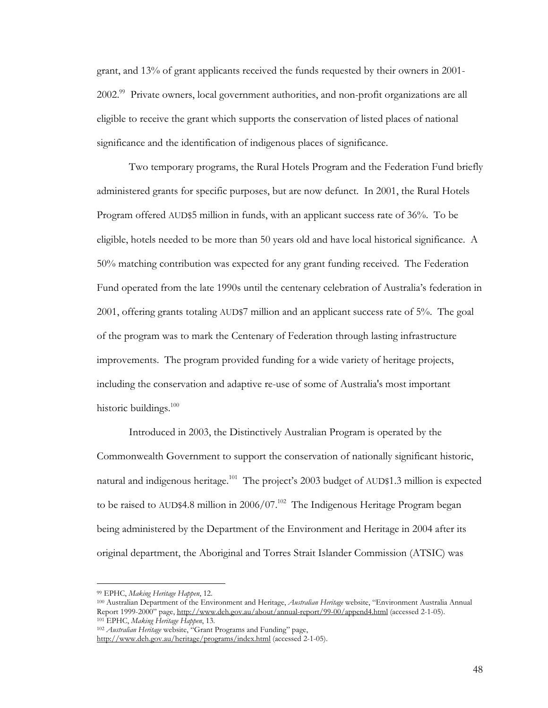grant, and 13% of grant applicants received the funds requested by their owners in 2001- 2002.<sup>99</sup> Private owners, local government authorities, and non-profit organizations are all eligible to receive the grant which supports the conservation of listed places of national significance and the identification of indigenous places of significance.

Two temporary programs, the Rural Hotels Program and the Federation Fund briefly administered grants for specific purposes, but are now defunct. In 2001, the Rural Hotels Program offered AUD\$5 million in funds, with an applicant success rate of 36%. To be eligible, hotels needed to be more than 50 years old and have local historical significance. A 50% matching contribution was expected for any grant funding received. The Federation Fund operated from the late 1990s until the centenary celebration of Australia's federation in 2001, offering grants totaling AUD\$7 million and an applicant success rate of 5%. The goal of the program was to mark the Centenary of Federation through lasting infrastructure improvements. The program provided funding for a wide variety of heritage projects, including the conservation and adaptive re-use of some of Australia's most important historic buildings.<sup>100</sup>

Introduced in 2003, the Distinctively Australian Program is operated by the Commonwealth Government to support the conservation of nationally significant historic, natural and indigenous heritage.<sup>101</sup> The project's 2003 budget of AUD\$1.3 million is expected to be raised to AUD\$4.8 million in  $2006/07$ .<sup>102</sup> The Indigenous Heritage Program began being administered by the Department of the Environment and Heritage in 2004 after its original department, the Aboriginal and Torres Strait Islander Commission (ATSIC) was

<sup>&</sup>lt;sup>99</sup> EPHC, *Making Heritage Happen*, 12.<br><sup>100</sup> Australian Department of the Environment and Heritage, *Australian Heritage* website, "Environment Australia Annual Report 1999-2000" page, <u>http://www.deh.gov.au/about/annual-report/99-00/append4.html</u> (accessed 2-1-05).<br><sup>101</sup> EPHC, *Making Heritage Happen*, 13. <sup>102</sup> *Australian Heritage website, "Grant Programs and Funding" page*,

http://www.deh.gov.au/heritage/programs/index.html (accessed 2-1-05).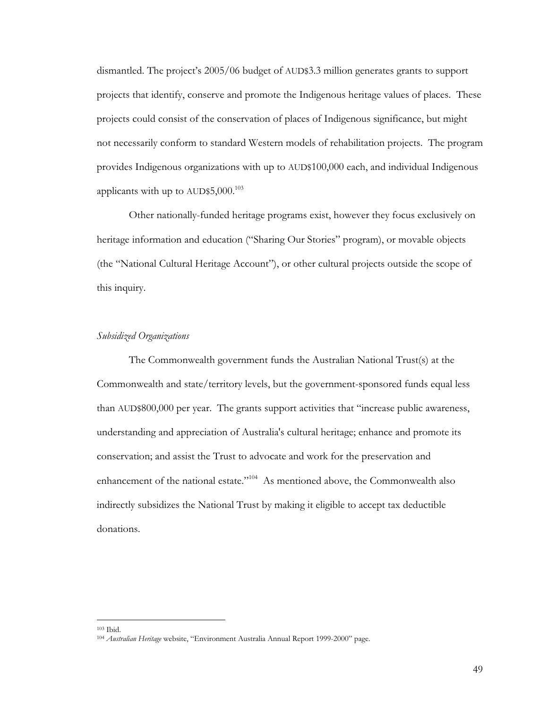dismantled. The project's 2005/06 budget of AUD\$3.3 million generates grants to support projects that identify, conserve and promote the Indigenous heritage values of places. These projects could consist of the conservation of places of Indigenous significance, but might not necessarily conform to standard Western models of rehabilitation projects. The program provides Indigenous organizations with up to AUD\$100,000 each, and individual Indigenous applicants with up to AUD\$5,000.<sup>103</sup>

 Other nationally-funded heritage programs exist, however they focus exclusively on heritage information and education ("Sharing Our Stories" program), or movable objects (the "National Cultural Heritage Account"), or other cultural projects outside the scope of this inquiry.

#### *Subsidized Organizations*

The Commonwealth government funds the Australian National Trust(s) at the Commonwealth and state/territory levels, but the government-sponsored funds equal less than AUD\$800,000 per year. The grants support activities that "increase public awareness, understanding and appreciation of Australia's cultural heritage; enhance and promote its conservation; and assist the Trust to advocate and work for the preservation and enhancement of the national estate."<sup>104</sup> As mentioned above, the Commonwealth also indirectly subsidizes the National Trust by making it eligible to accept tax deductible donations.

<sup>103</sup> Ibid. 104 *Australian Heritage* website, "Environment Australia Annual Report 1999-2000" page.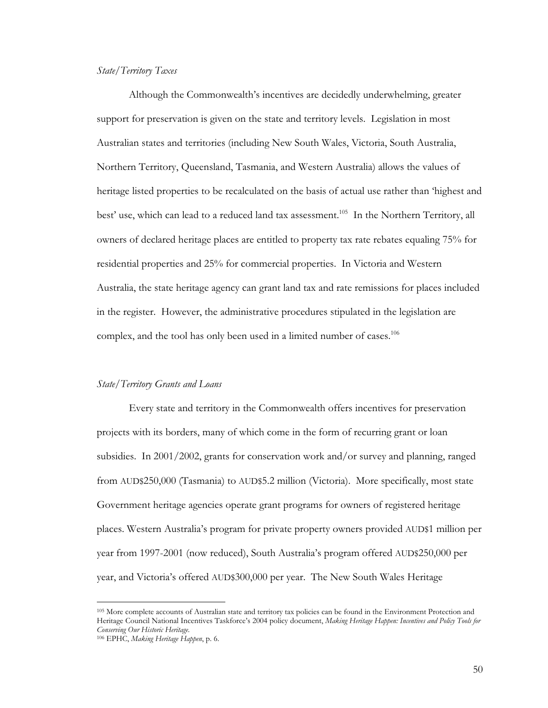#### *State/Territory Taxes*

 Although the Commonwealth's incentives are decidedly underwhelming, greater support for preservation is given on the state and territory levels. Legislation in most Australian states and territories (including New South Wales, Victoria, South Australia, Northern Territory, Queensland, Tasmania, and Western Australia) allows the values of heritage listed properties to be recalculated on the basis of actual use rather than 'highest and best' use, which can lead to a reduced land tax assessment.<sup>105</sup> In the Northern Territory, all owners of declared heritage places are entitled to property tax rate rebates equaling 75% for residential properties and 25% for commercial properties. In Victoria and Western Australia, the state heritage agency can grant land tax and rate remissions for places included in the register. However, the administrative procedures stipulated in the legislation are complex, and the tool has only been used in a limited number of cases.<sup>106</sup>

#### *State/Territory Grants and Loans*

Every state and territory in the Commonwealth offers incentives for preservation projects with its borders, many of which come in the form of recurring grant or loan subsidies. In 2001/2002, grants for conservation work and/or survey and planning, ranged from AUD\$250,000 (Tasmania) to AUD\$5.2 million (Victoria). More specifically, most state Government heritage agencies operate grant programs for owners of registered heritage places. Western Australia's program for private property owners provided AUD\$1 million per year from 1997-2001 (now reduced), South Australia's program offered AUD\$250,000 per year, and Victoria's offered AUD\$300,000 per year. The New South Wales Heritage

<sup>105</sup> More complete accounts of Australian state and territory tax policies can be found in the Environment Protection and Heritage Council National Incentives Taskforce's 2004 policy document, *Making Heritage Happen: Incentives and Policy Tools for Conserving Our Historic Heritage*.

<sup>106</sup> EPHC, *Making Heritage Happen*, p. 6.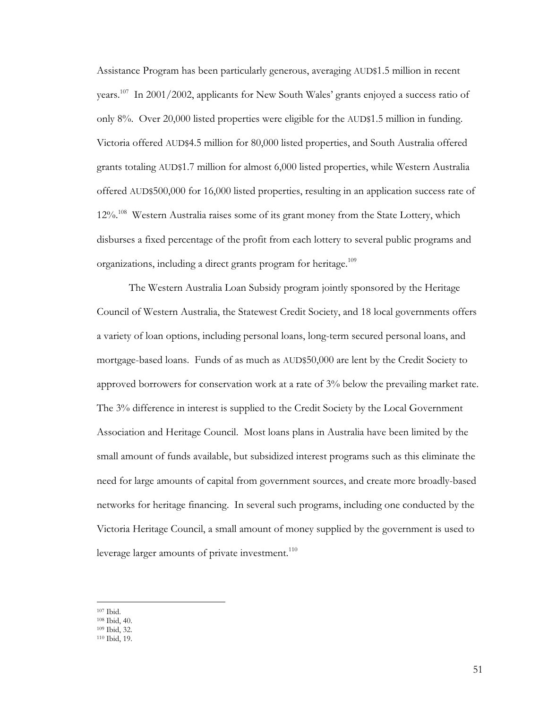Assistance Program has been particularly generous, averaging AUD\$1.5 million in recent years.<sup>107</sup> In 2001/2002, applicants for New South Wales' grants enjoyed a success ratio of only 8%. Over 20,000 listed properties were eligible for the AUD\$1.5 million in funding. Victoria offered AUD\$4.5 million for 80,000 listed properties, and South Australia offered grants totaling AUD\$1.7 million for almost 6,000 listed properties, while Western Australia offered AUD\$500,000 for 16,000 listed properties, resulting in an application success rate of 12%.<sup>108</sup> Western Australia raises some of its grant money from the State Lottery, which disburses a fixed percentage of the profit from each lottery to several public programs and organizations, including a direct grants program for heritage.<sup>109</sup>

The Western Australia Loan Subsidy program jointly sponsored by the Heritage Council of Western Australia, the Statewest Credit Society, and 18 local governments offers a variety of loan options, including personal loans, long-term secured personal loans, and mortgage-based loans. Funds of as much as AUD\$50,000 are lent by the Credit Society to approved borrowers for conservation work at a rate of 3% below the prevailing market rate. The 3% difference in interest is supplied to the Credit Society by the Local Government Association and Heritage Council. Most loans plans in Australia have been limited by the small amount of funds available, but subsidized interest programs such as this eliminate the need for large amounts of capital from government sources, and create more broadly-based networks for heritage financing. In several such programs, including one conducted by the Victoria Heritage Council, a small amount of money supplied by the government is used to leverage larger amounts of private investment.<sup>110</sup>

<sup>107</sup> Ibid. 108 Ibid, 40. 109 Ibid, 32. 110 Ibid, 19.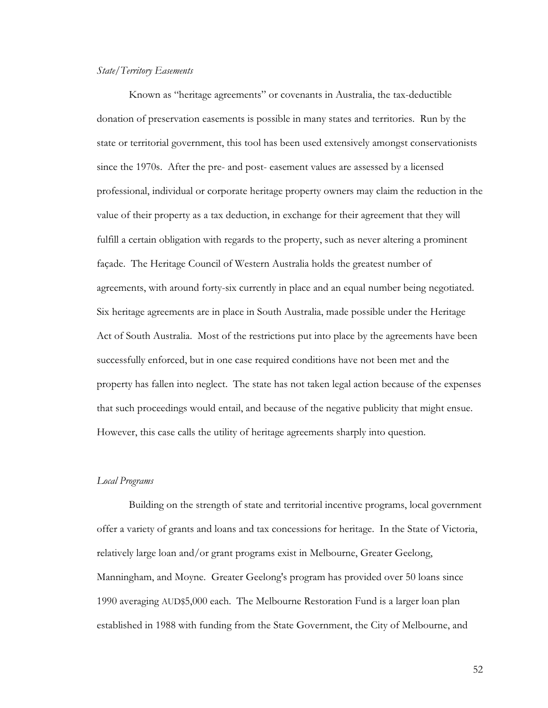#### *State/Territory Easements*

Known as "heritage agreements" or covenants in Australia, the tax-deductible donation of preservation easements is possible in many states and territories. Run by the state or territorial government, this tool has been used extensively amongst conservationists since the 1970s. After the pre- and post- easement values are assessed by a licensed professional, individual or corporate heritage property owners may claim the reduction in the value of their property as a tax deduction, in exchange for their agreement that they will fulfill a certain obligation with regards to the property, such as never altering a prominent façade. The Heritage Council of Western Australia holds the greatest number of agreements, with around forty-six currently in place and an equal number being negotiated. Six heritage agreements are in place in South Australia, made possible under the Heritage Act of South Australia. Most of the restrictions put into place by the agreements have been successfully enforced, but in one case required conditions have not been met and the property has fallen into neglect. The state has not taken legal action because of the expenses that such proceedings would entail, and because of the negative publicity that might ensue. However, this case calls the utility of heritage agreements sharply into question.

#### *Local Programs*

 Building on the strength of state and territorial incentive programs, local government offer a variety of grants and loans and tax concessions for heritage. In the State of Victoria, relatively large loan and/or grant programs exist in Melbourne, Greater Geelong, Manningham, and Moyne. Greater Geelong's program has provided over 50 loans since 1990 averaging AUD\$5,000 each. The Melbourne Restoration Fund is a larger loan plan established in 1988 with funding from the State Government, the City of Melbourne, and

52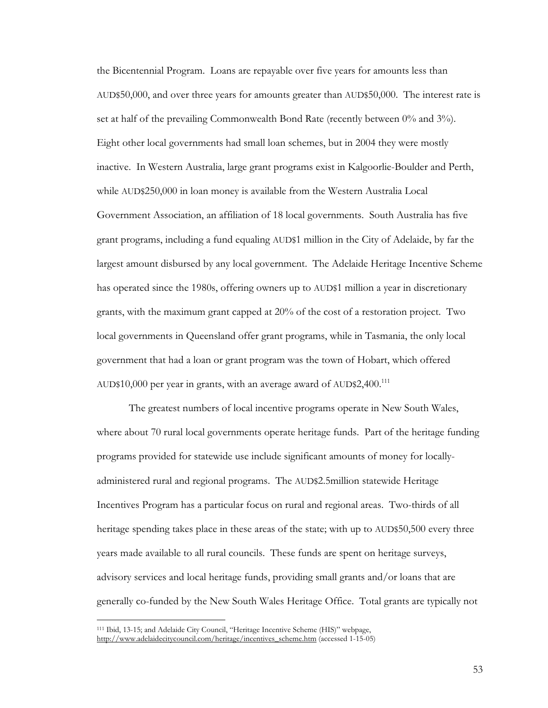the Bicentennial Program. Loans are repayable over five years for amounts less than AUD\$50,000, and over three years for amounts greater than AUD\$50,000. The interest rate is set at half of the prevailing Commonwealth Bond Rate (recently between 0% and 3%). Eight other local governments had small loan schemes, but in 2004 they were mostly inactive. In Western Australia, large grant programs exist in Kalgoorlie-Boulder and Perth, while AUD\$250,000 in loan money is available from the Western Australia Local Government Association, an affiliation of 18 local governments. South Australia has five grant programs, including a fund equaling AUD\$1 million in the City of Adelaide, by far the largest amount disbursed by any local government. The Adelaide Heritage Incentive Scheme has operated since the 1980s, offering owners up to AUD\$1 million a year in discretionary grants, with the maximum grant capped at 20% of the cost of a restoration project. Two local governments in Queensland offer grant programs, while in Tasmania, the only local government that had a loan or grant program was the town of Hobart, which offered AUD\$10,000 per year in grants, with an average award of AUD\$2,400.<sup>111</sup>

The greatest numbers of local incentive programs operate in New South Wales, where about 70 rural local governments operate heritage funds. Part of the heritage funding programs provided for statewide use include significant amounts of money for locallyadministered rural and regional programs. The AUD\$2.5million statewide Heritage Incentives Program has a particular focus on rural and regional areas. Two-thirds of all heritage spending takes place in these areas of the state; with up to AUD\$50,500 every three years made available to all rural councils. These funds are spent on heritage surveys, advisory services and local heritage funds, providing small grants and/or loans that are generally co-funded by the New South Wales Heritage Office. Total grants are typically not

<sup>111</sup> Ibid, 13-15; and Adelaide City Council, "Heritage Incentive Scheme (HIS)" webpage, http://www.adelaidecitycouncil.com/heritage/incentives\_scheme.htm (accessed 1-15-05)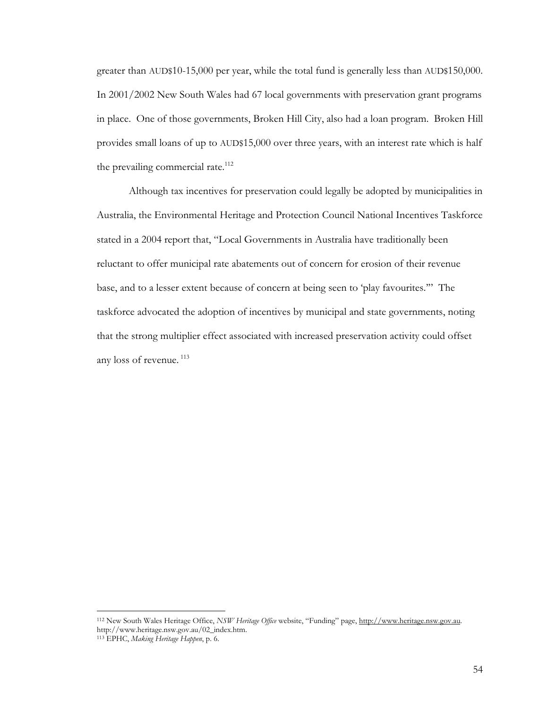greater than AUD\$10-15,000 per year, while the total fund is generally less than AUD\$150,000. In 2001/2002 New South Wales had 67 local governments with preservation grant programs in place. One of those governments, Broken Hill City, also had a loan program. Broken Hill provides small loans of up to AUD\$15,000 over three years, with an interest rate which is half the prevailing commercial rate.<sup>112</sup>

 Although tax incentives for preservation could legally be adopted by municipalities in Australia, the Environmental Heritage and Protection Council National Incentives Taskforce stated in a 2004 report that, "Local Governments in Australia have traditionally been reluctant to offer municipal rate abatements out of concern for erosion of their revenue base, and to a lesser extent because of concern at being seen to 'play favourites.'" The taskforce advocated the adoption of incentives by municipal and state governments, noting that the strong multiplier effect associated with increased preservation activity could offset any loss of revenue.<sup>113</sup>

<sup>112</sup> New South Wales Heritage Office, *NSW Heritage Office* website, "Funding" page, http://www.heritage.nsw.gov.au. http://www.heritage.nsw.gov.au/02\_index.htm. 113 EPHC, *Making Heritage Happen*, p. 6.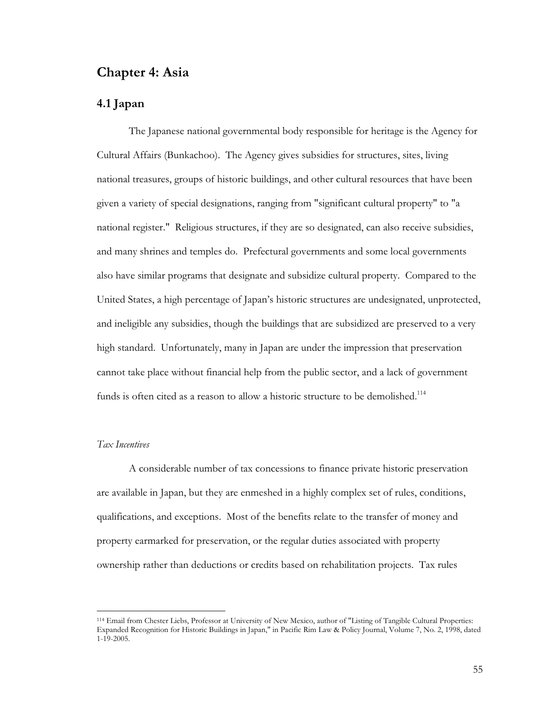# **Chapter 4: Asia**

## **4.1 Japan**

The Japanese national governmental body responsible for heritage is the Agency for Cultural Affairs (Bunkachoo). The Agency gives subsidies for structures, sites, living national treasures, groups of historic buildings, and other cultural resources that have been given a variety of special designations, ranging from "significant cultural property" to "a national register." Religious structures, if they are so designated, can also receive subsidies, and many shrines and temples do. Prefectural governments and some local governments also have similar programs that designate and subsidize cultural property. Compared to the United States, a high percentage of Japan's historic structures are undesignated, unprotected, and ineligible any subsidies, though the buildings that are subsidized are preserved to a very high standard. Unfortunately, many in Japan are under the impression that preservation cannot take place without financial help from the public sector, and a lack of government funds is often cited as a reason to allow a historic structure to be demolished.<sup>114</sup>

#### *Tax Incentives*

A considerable number of tax concessions to finance private historic preservation are available in Japan, but they are enmeshed in a highly complex set of rules, conditions, qualifications, and exceptions. Most of the benefits relate to the transfer of money and property earmarked for preservation, or the regular duties associated with property ownership rather than deductions or credits based on rehabilitation projects. Tax rules

<sup>114</sup> Email from Chester Liebs, Professor at University of New Mexico, author of "Listing of Tangible Cultural Properties: Expanded Recognition for Historic Buildings in Japan," in Pacific Rim Law & Policy Journal, Volume 7, No. 2, 1998, dated 1-19-2005.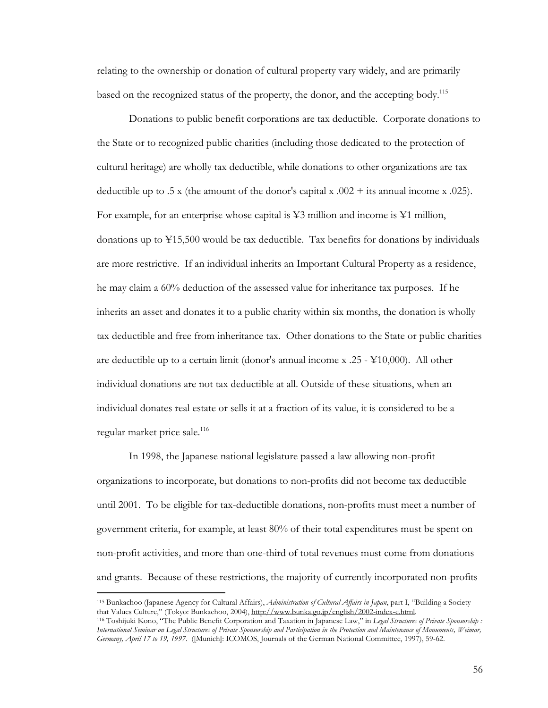relating to the ownership or donation of cultural property vary widely, and are primarily based on the recognized status of the property, the donor, and the accepting body.<sup>115</sup>

Donations to public benefit corporations are tax deductible. Corporate donations to the State or to recognized public charities (including those dedicated to the protection of cultural heritage) are wholly tax deductible, while donations to other organizations are tax deductible up to .5 x (the amount of the donor's capital x  $.002 +$  its annual income x  $.025$ ). For example, for an enterprise whose capital is ¥3 million and income is ¥1 million, donations up to ¥15,500 would be tax deductible. Tax benefits for donations by individuals are more restrictive. If an individual inherits an Important Cultural Property as a residence, he may claim a 60% deduction of the assessed value for inheritance tax purposes. If he inherits an asset and donates it to a public charity within six months, the donation is wholly tax deductible and free from inheritance tax. Other donations to the State or public charities are deductible up to a certain limit (donor's annual income  $x$  .25 -  $\text{\textless }10,000$ ). All other individual donations are not tax deductible at all. Outside of these situations, when an individual donates real estate or sells it at a fraction of its value, it is considered to be a regular market price sale.<sup>116</sup>

In 1998, the Japanese national legislature passed a law allowing non-profit organizations to incorporate, but donations to non-profits did not become tax deductible until 2001. To be eligible for tax-deductible donations, non-profits must meet a number of government criteria, for example, at least 80% of their total expenditures must be spent on non-profit activities, and more than one-third of total revenues must come from donations and grants. Because of these restrictions, the majority of currently incorporated non-profits

<sup>115</sup> Bunkachoo (Japanese Agency for Cultural Affairs), *Administration of Cultural Affairs in Japan*, part I, "Building a Society that Values Culture," (Tokyo: Bunkachoo, 2004), http://www.bunka.go.jp/english/2002-index-e.html.

<sup>116</sup> Toshijuki Kono, "The Public Benefit Corporation and Taxation in Japanese Law," in *Legal Structures of Private Sponsorship : International Seminar on Legal Structures of Private Sponsorship and Participation in the Protection and Maintenance of Monuments, Weimar, Germany, April 17 to 19, 1997*. ([Munich]: ICOMOS, Journals of the German National Committee, 1997), 59-62.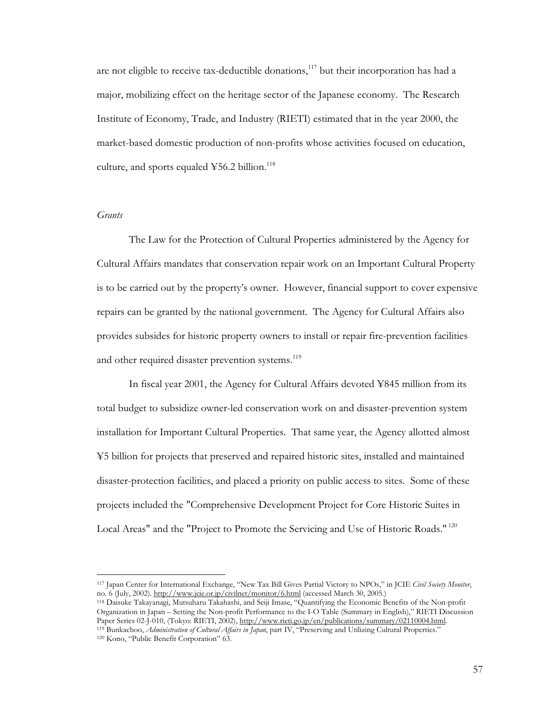are not eligible to receive tax-deductible donations, $117$  but their incorporation has had a major, mobilizing effect on the heritage sector of the Japanese economy. The Research Institute of Economy, Trade, and Industry (RIETI) estimated that in the year 2000, the market-based domestic production of non-profits whose activities focused on education, culture, and sports equaled  $456.2$  billion.<sup>118</sup>

#### *Grants*

The Law for the Protection of Cultural Properties administered by the Agency for Cultural Affairs mandates that conservation repair work on an Important Cultural Property is to be carried out by the property's owner. However, financial support to cover expensive repairs can be granted by the national government. The Agency for Cultural Affairs also provides subsides for historic property owners to install or repair fire-prevention facilities and other required disaster prevention systems.<sup>119</sup>

In fiscal year 2001, the Agency for Cultural Affairs devoted ¥845 million from its total budget to subsidize owner-led conservation work on and disaster-prevention system installation for Important Cultural Properties. That same year, the Agency allotted almost ¥5 billion for projects that preserved and repaired historic sites, installed and maintained disaster-protection facilities, and placed a priority on public access to sites. Some of these projects included the "Comprehensive Development Project for Core Historic Suites in Local Areas" and the "Project to Promote the Servicing and Use of Historic Roads." 120

<sup>117</sup> Japan Center for International Exchange, "New Tax Bill Gives Partial Victory to NPOs," in JCIE *Civil Society Monitor*,

<sup>118</sup> Daisuke Takayanagi, Mutsuharu Takahashi, and Seiji Imase, "Quantifying the Economic Benefits of the Non-profit Organization in Japan – Setting the Non-profit Performance to the I-O Table (Summary in English)," RIETI Discussion Paper Series 02-J-010, (Tokyo: RIETI, 2002), http://www.rieti.go.jp/en/publications/summary/02110004.html. 119 Bunkachoo, *Administration of Cultural Affairs in Japan*, part IV, "Preserving and Utilizing Cultural Properties." 120 Kono, "Public Benefit Corporation" 63.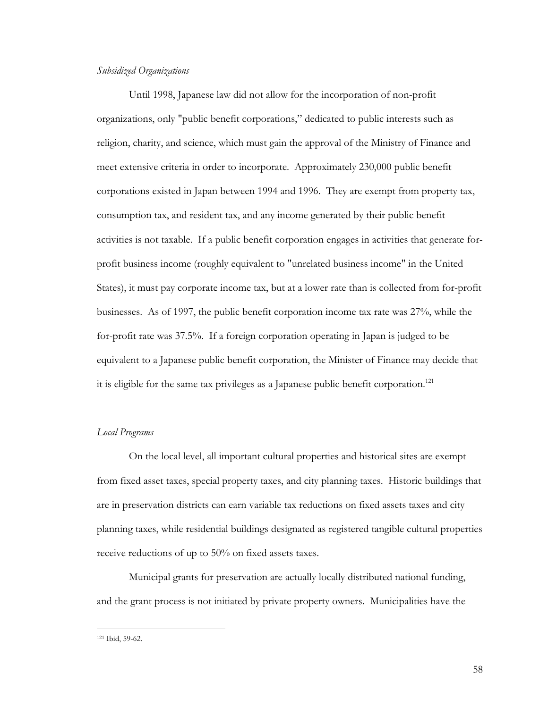#### *Subsidized Organizations*

Until 1998, Japanese law did not allow for the incorporation of non-profit organizations, only "public benefit corporations," dedicated to public interests such as religion, charity, and science, which must gain the approval of the Ministry of Finance and meet extensive criteria in order to incorporate. Approximately 230,000 public benefit corporations existed in Japan between 1994 and 1996. They are exempt from property tax, consumption tax, and resident tax, and any income generated by their public benefit activities is not taxable. If a public benefit corporation engages in activities that generate forprofit business income (roughly equivalent to "unrelated business income" in the United States), it must pay corporate income tax, but at a lower rate than is collected from for-profit businesses. As of 1997, the public benefit corporation income tax rate was 27%, while the for-profit rate was 37.5%. If a foreign corporation operating in Japan is judged to be equivalent to a Japanese public benefit corporation, the Minister of Finance may decide that it is eligible for the same tax privileges as a Japanese public benefit corporation.<sup>121</sup>

#### *Local Programs*

 On the local level, all important cultural properties and historical sites are exempt from fixed asset taxes, special property taxes, and city planning taxes. Historic buildings that are in preservation districts can earn variable tax reductions on fixed assets taxes and city planning taxes, while residential buildings designated as registered tangible cultural properties receive reductions of up to 50% on fixed assets taxes.

 Municipal grants for preservation are actually locally distributed national funding, and the grant process is not initiated by private property owners. Municipalities have the

<sup>121</sup> Ibid, 59-62.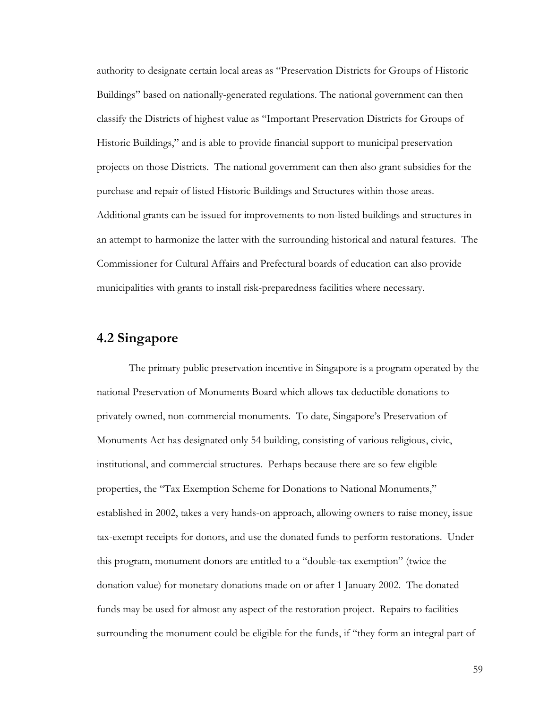authority to designate certain local areas as "Preservation Districts for Groups of Historic Buildings" based on nationally-generated regulations. The national government can then classify the Districts of highest value as "Important Preservation Districts for Groups of Historic Buildings," and is able to provide financial support to municipal preservation projects on those Districts. The national government can then also grant subsidies for the purchase and repair of listed Historic Buildings and Structures within those areas. Additional grants can be issued for improvements to non-listed buildings and structures in an attempt to harmonize the latter with the surrounding historical and natural features. The Commissioner for Cultural Affairs and Prefectural boards of education can also provide municipalities with grants to install risk-preparedness facilities where necessary.

# **4.2 Singapore**

 The primary public preservation incentive in Singapore is a program operated by the national Preservation of Monuments Board which allows tax deductible donations to privately owned, non-commercial monuments. To date, Singapore's Preservation of Monuments Act has designated only 54 building, consisting of various religious, civic, institutional, and commercial structures. Perhaps because there are so few eligible properties, the "Tax Exemption Scheme for Donations to National Monuments," established in 2002, takes a very hands-on approach, allowing owners to raise money, issue tax-exempt receipts for donors, and use the donated funds to perform restorations. Under this program, monument donors are entitled to a "double-tax exemption" (twice the donation value) for monetary donations made on or after 1 January 2002. The donated funds may be used for almost any aspect of the restoration project. Repairs to facilities surrounding the monument could be eligible for the funds, if "they form an integral part of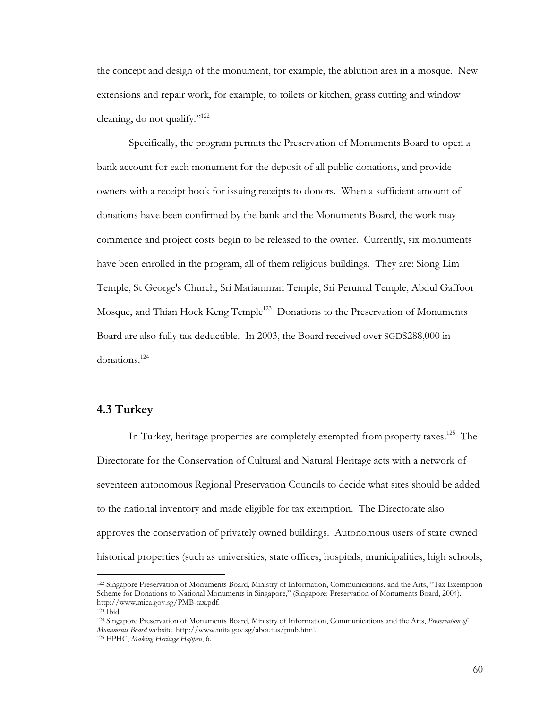the concept and design of the monument, for example, the ablution area in a mosque. New extensions and repair work, for example, to toilets or kitchen, grass cutting and window cleaning, do not qualify." $122$ 

 Specifically, the program permits the Preservation of Monuments Board to open a bank account for each monument for the deposit of all public donations, and provide owners with a receipt book for issuing receipts to donors. When a sufficient amount of donations have been confirmed by the bank and the Monuments Board, the work may commence and project costs begin to be released to the owner. Currently, six monuments have been enrolled in the program, all of them religious buildings. They are: Siong Lim Temple, St George's Church, Sri Mariamman Temple, Sri Perumal Temple, Abdul Gaffoor Mosque, and Thian Hock Keng Temple<sup>123</sup> Donations to the Preservation of Monuments Board are also fully tax deductible. In 2003, the Board received over SGD\$288,000 in donations.<sup>124</sup>

### **4.3 Turkey**

In Turkey, heritage properties are completely exempted from property taxes.<sup>125</sup> The Directorate for the Conservation of Cultural and Natural Heritage acts with a network of seventeen autonomous Regional Preservation Councils to decide what sites should be added to the national inventory and made eligible for tax exemption. The Directorate also approves the conservation of privately owned buildings. Autonomous users of state owned historical properties (such as universities, state offices, hospitals, municipalities, high schools,

<sup>122</sup> Singapore Preservation of Monuments Board, Ministry of Information, Communications, and the Arts, "Tax Exemption Scheme for Donations to National Monuments in Singapore," (Singapore: Preservation of Monuments Board, 2004), http://www.mica.gov.sg/PMB-tax.pdf.<br><sup>123</sup> Ibid.

<sup>123</sup> Ibid. 124 Singapore Preservation of Monuments Board, Ministry of Information, Communications and the Arts, *Preservation of Monuments Board* website, http://www.mita.gov.sg/aboutus/pmb.html. 125 EPHC, *Making Heritage Happen*, 6.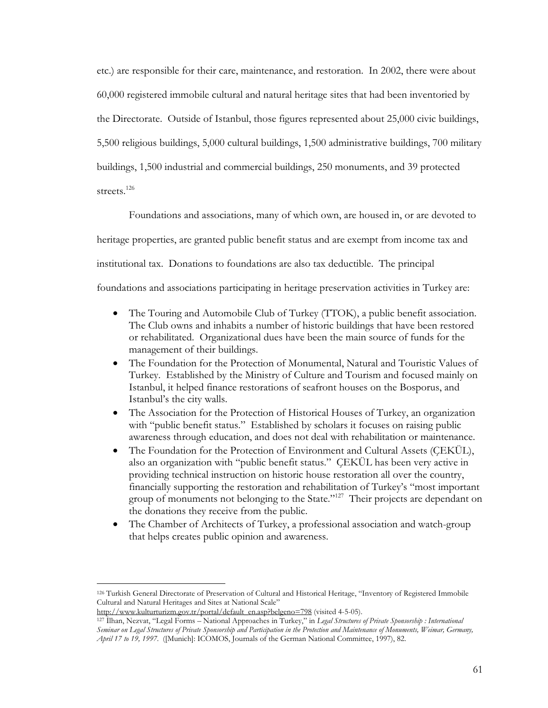etc.) are responsible for their care, maintenance, and restoration. In 2002, there were about 60,000 registered immobile cultural and natural heritage sites that had been inventoried by the Directorate. Outside of Istanbul, those figures represented about 25,000 civic buildings, 5,500 religious buildings, 5,000 cultural buildings, 1,500 administrative buildings, 700 military buildings, 1,500 industrial and commercial buildings, 250 monuments, and 39 protected streets.<sup>126</sup>

 Foundations and associations, many of which own, are housed in, or are devoted to heritage properties, are granted public benefit status and are exempt from income tax and institutional tax. Donations to foundations are also tax deductible. The principal foundations and associations participating in heritage preservation activities in Turkey are:

- The Touring and Automobile Club of Turkey (TTOK), a public benefit association. The Club owns and inhabits a number of historic buildings that have been restored or rehabilitated. Organizational dues have been the main source of funds for the management of their buildings.
- The Foundation for the Protection of Monumental, Natural and Touristic Values of Turkey. Established by the Ministry of Culture and Tourism and focused mainly on Istanbul, it helped finance restorations of seafront houses on the Bosporus, and Istanbul's the city walls.
- The Association for the Protection of Historical Houses of Turkey, an organization with "public benefit status." Established by scholars it focuses on raising public awareness through education, and does not deal with rehabilitation or maintenance.
- The Foundation for the Protection of Environment and Cultural Assets (ÇEKÜL), also an organization with "public benefit status." ÇEKÜL has been very active in providing technical instruction on historic house restoration all over the country, financially supporting the restoration and rehabilitation of Turkey's "most important group of monuments not belonging to the State."<sup>127</sup> Their projects are dependant on the donations they receive from the public.
- The Chamber of Architects of Turkey, a professional association and watch-group that helps creates public opinion and awareness.

<sup>126</sup> Turkish General Directorate of Preservation of Cultural and Historical Heritage, "Inventory of Registered Immobile Cultural and Natural Heritages and Sites at National Scale"<br>http://www.kulturturizm.gov.tr/portal/default\_en.asp?belgeno=798 (visited 4-5-05).

<sup>&</sup>lt;sup>127</sup> İlhan, Nezvat, "Legal Forms – National Approaches in Turkey," in *Legal Structures of Private Sponsorship : International Seminar on Legal Structures of Private Sponsorship and Participation in the Protection and Maintenance of Monuments, Weimar, Germany, April 17 to 19, 1997*. ([Munich]: ICOMOS, Journals of the German National Committee, 1997), 82.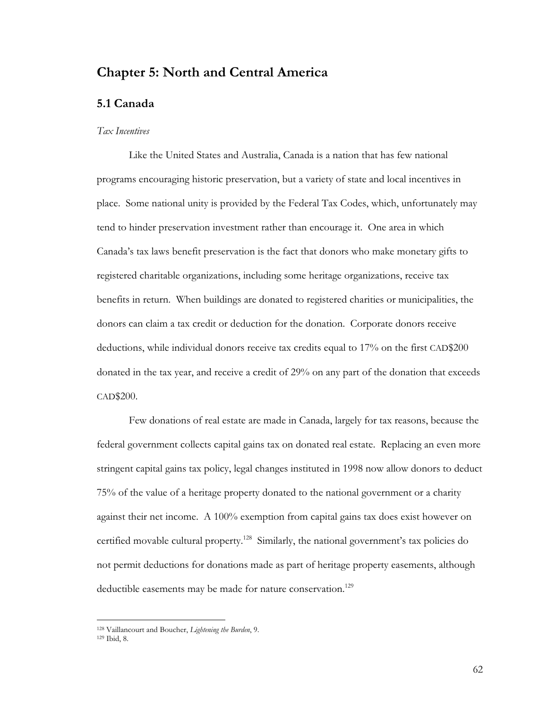# **Chapter 5: North and Central America**

## **5.1 Canada**

#### *Tax Incentives*

 Like the United States and Australia, Canada is a nation that has few national programs encouraging historic preservation, but a variety of state and local incentives in place. Some national unity is provided by the Federal Tax Codes, which, unfortunately may tend to hinder preservation investment rather than encourage it. One area in which Canada's tax laws benefit preservation is the fact that donors who make monetary gifts to registered charitable organizations, including some heritage organizations, receive tax benefits in return. When buildings are donated to registered charities or municipalities, the donors can claim a tax credit or deduction for the donation. Corporate donors receive deductions, while individual donors receive tax credits equal to 17% on the first CAD\$200 donated in the tax year, and receive a credit of 29% on any part of the donation that exceeds CAD\$200.

 Few donations of real estate are made in Canada, largely for tax reasons, because the federal government collects capital gains tax on donated real estate. Replacing an even more stringent capital gains tax policy, legal changes instituted in 1998 now allow donors to deduct 75% of the value of a heritage property donated to the national government or a charity against their net income. A 100% exemption from capital gains tax does exist however on certified movable cultural property.<sup>128</sup> Similarly, the national government's tax policies do not permit deductions for donations made as part of heritage property easements, although deductible easements may be made for nature conservation.<sup>129</sup>

<sup>128</sup> Vaillancourt and Boucher, *Lightening the Burden*, 9. 129 Ibid, 8.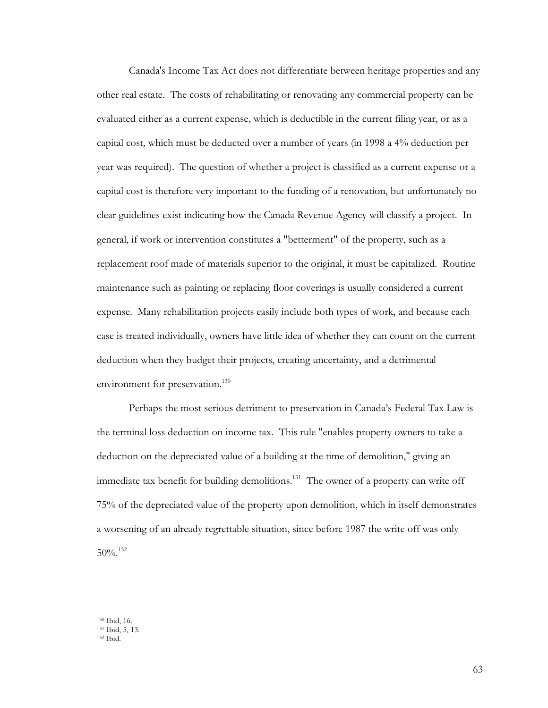Canada's Income Tax Act does not differentiate between heritage properties and any other real estate. The costs of rehabilitating or renovating any commercial property can be evaluated either as a current expense, which is deductible in the current filing year, or as a capital cost, which must be deducted over a number of years (in 1998 a 4% deduction per year was required). The question of whether a project is classified as a current expense or a capital cost is therefore very important to the funding of a renovation, but unfortunately no clear guidelines exist indicating how the Canada Revenue Agency will classify a project. In general, if work or intervention constitutes a "betterment" of the property, such as a replacement roof made of materials superior to the original, it must be capitalized. Routine maintenance such as painting or replacing floor coverings is usually considered a current expense. Many rehabilitation projects easily include both types of work, and because each case is treated individually, owners have little idea of whether they can count on the current deduction when they budget their projects, creating uncertainty, and a detrimental environment for preservation.<sup>130</sup>

 Perhaps the most serious detriment to preservation in Canada's Federal Tax Law is the terminal loss deduction on income tax. This rule "enables property owners to take a deduction on the depreciated value of a building at the time of demolition," giving an immediate tax benefit for building demolitions.<sup>131</sup> The owner of a property can write off 75% of the depreciated value of the property upon demolition, which in itself demonstrates a worsening of an already regrettable situation, since before 1987 the write off was only 50%.132

<sup>130</sup> Ibid, 16.<br><sup>131</sup> Ibid, 5, 13.<br><sup>132</sup> Ibid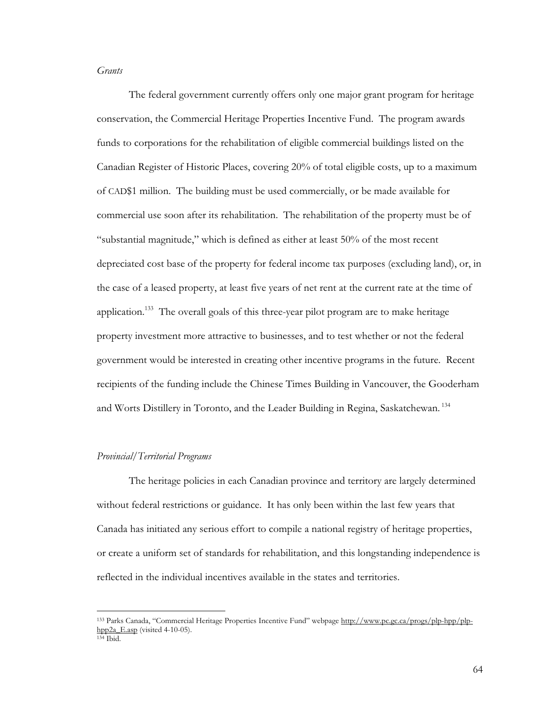#### *Grants*

 The federal government currently offers only one major grant program for heritage conservation, the Commercial Heritage Properties Incentive Fund. The program awards funds to corporations for the rehabilitation of eligible commercial buildings listed on the Canadian Register of Historic Places, covering 20% of total eligible costs, up to a maximum of CAD\$1 million. The building must be used commercially, or be made available for commercial use soon after its rehabilitation. The rehabilitation of the property must be of "substantial magnitude," which is defined as either at least 50% of the most recent depreciated cost base of the property for federal income tax purposes (excluding land), or, in the case of a leased property, at least five years of net rent at the current rate at the time of application.<sup>133</sup> The overall goals of this three-year pilot program are to make heritage property investment more attractive to businesses, and to test whether or not the federal government would be interested in creating other incentive programs in the future. Recent recipients of the funding include the Chinese Times Building in Vancouver, the Gooderham and Worts Distillery in Toronto, and the Leader Building in Regina, Saskatchewan. 134

#### *Provincial/Territorial Programs*

 The heritage policies in each Canadian province and territory are largely determined without federal restrictions or guidance. It has only been within the last few years that Canada has initiated any serious effort to compile a national registry of heritage properties, or create a uniform set of standards for rehabilitation, and this longstanding independence is reflected in the individual incentives available in the states and territories.

<sup>133</sup> Parks Canada, "Commercial Heritage Properties Incentive Fund" webpage http://www.pc.gc.ca/progs/plp-hpp/plphpp2a\_E.asp (visited 4-10-05).<br><sup>134</sup> Ibid.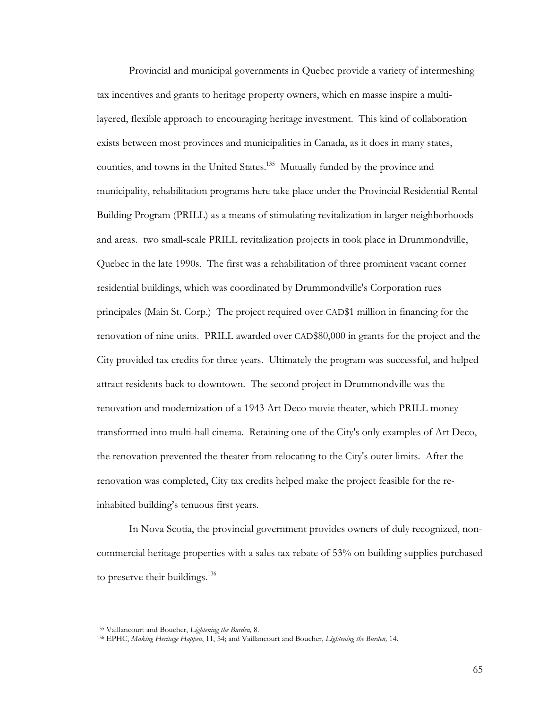Provincial and municipal governments in Quebec provide a variety of intermeshing tax incentives and grants to heritage property owners, which en masse inspire a multilayered, flexible approach to encouraging heritage investment. This kind of collaboration exists between most provinces and municipalities in Canada, as it does in many states, counties, and towns in the United States.<sup>135</sup> Mutually funded by the province and municipality, rehabilitation programs here take place under the Provincial Residential Rental Building Program (PRILL) as a means of stimulating revitalization in larger neighborhoods and areas. two small-scale PRILL revitalization projects in took place in Drummondville, Quebec in the late 1990s. The first was a rehabilitation of three prominent vacant corner residential buildings, which was coordinated by Drummondville's Corporation rues principales (Main St. Corp.) The project required over CAD\$1 million in financing for the renovation of nine units. PRILL awarded over CAD\$80,000 in grants for the project and the City provided tax credits for three years. Ultimately the program was successful, and helped attract residents back to downtown. The second project in Drummondville was the renovation and modernization of a 1943 Art Deco movie theater, which PRILL money transformed into multi-hall cinema. Retaining one of the City's only examples of Art Deco, the renovation prevented the theater from relocating to the City's outer limits. After the renovation was completed, City tax credits helped make the project feasible for the reinhabited building's tenuous first years.

 In Nova Scotia, the provincial government provides owners of duly recognized, noncommercial heritage properties with a sales tax rebate of 53% on building supplies purchased to preserve their buildings. $136$ 

<sup>135</sup> Vaillancourt and Boucher, *Lightening the Burden,* 8.

<sup>136</sup> EPHC, *Making Heritage Happen*, 11, 54; and Vaillancourt and Boucher, *Lightening the Burden,* 14.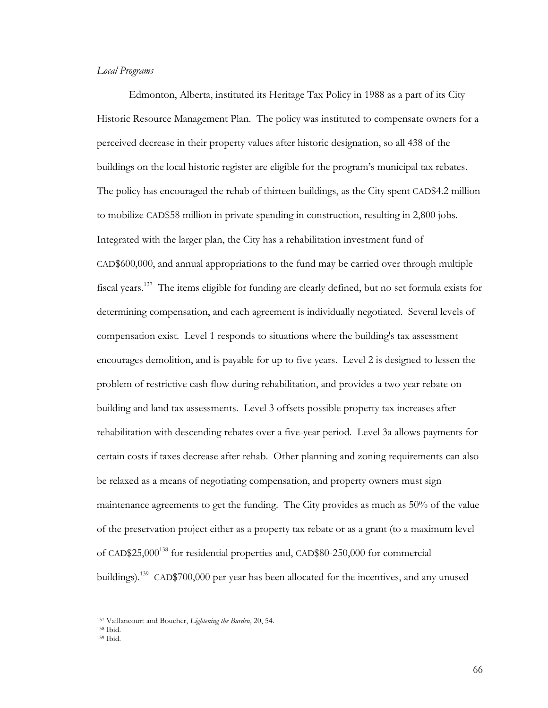#### *Local Programs*

 Edmonton, Alberta, instituted its Heritage Tax Policy in 1988 as a part of its City Historic Resource Management Plan. The policy was instituted to compensate owners for a perceived decrease in their property values after historic designation, so all 438 of the buildings on the local historic register are eligible for the program's municipal tax rebates. The policy has encouraged the rehab of thirteen buildings, as the City spent CAD\$4.2 million to mobilize CAD\$58 million in private spending in construction, resulting in 2,800 jobs. Integrated with the larger plan, the City has a rehabilitation investment fund of CAD\$600,000, and annual appropriations to the fund may be carried over through multiple fiscal years.137 The items eligible for funding are clearly defined, but no set formula exists for determining compensation, and each agreement is individually negotiated. Several levels of compensation exist. Level 1 responds to situations where the building's tax assessment encourages demolition, and is payable for up to five years. Level 2 is designed to lessen the problem of restrictive cash flow during rehabilitation, and provides a two year rebate on building and land tax assessments. Level 3 offsets possible property tax increases after rehabilitation with descending rebates over a five-year period. Level 3a allows payments for certain costs if taxes decrease after rehab. Other planning and zoning requirements can also be relaxed as a means of negotiating compensation, and property owners must sign maintenance agreements to get the funding. The City provides as much as 50% of the value of the preservation project either as a property tax rebate or as a grant (to a maximum level of CAD\$25,000<sup>138</sup> for residential properties and, CAD\$80-250,000 for commercial buildings).<sup>139</sup> CAD\$700,000 per year has been allocated for the incentives, and any unused

<sup>137</sup> Vaillancourt and Boucher, *Lightening the Burden*, 20, 54. 138 Ibid.

<sup>139</sup> Ibid.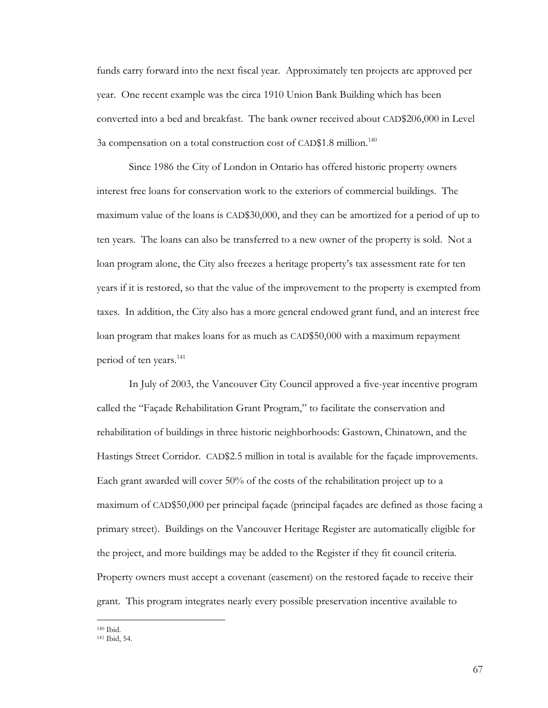funds carry forward into the next fiscal year. Approximately ten projects are approved per year. One recent example was the circa 1910 Union Bank Building which has been converted into a bed and breakfast. The bank owner received about CAD\$206,000 in Level 3a compensation on a total construction cost of CAD\$1.8 million.<sup>140</sup>

 Since 1986 the City of London in Ontario has offered historic property owners interest free loans for conservation work to the exteriors of commercial buildings. The maximum value of the loans is CAD\$30,000, and they can be amortized for a period of up to ten years. The loans can also be transferred to a new owner of the property is sold. Not a loan program alone, the City also freezes a heritage property's tax assessment rate for ten years if it is restored, so that the value of the improvement to the property is exempted from taxes. In addition, the City also has a more general endowed grant fund, and an interest free loan program that makes loans for as much as CAD\$50,000 with a maximum repayment period of ten years.<sup>141</sup>

 In July of 2003, the Vancouver City Council approved a five-year incentive program called the "Façade Rehabilitation Grant Program," to facilitate the conservation and rehabilitation of buildings in three historic neighborhoods: Gastown, Chinatown, and the Hastings Street Corridor. CAD\$2.5 million in total is available for the façade improvements. Each grant awarded will cover 50% of the costs of the rehabilitation project up to a maximum of CAD\$50,000 per principal façade (principal façades are defined as those facing a primary street). Buildings on the Vancouver Heritage Register are automatically eligible for the project, and more buildings may be added to the Register if they fit council criteria. Property owners must accept a covenant (easement) on the restored façade to receive their grant. This program integrates nearly every possible preservation incentive available to

140 Ibid. 141 Ibid, 54.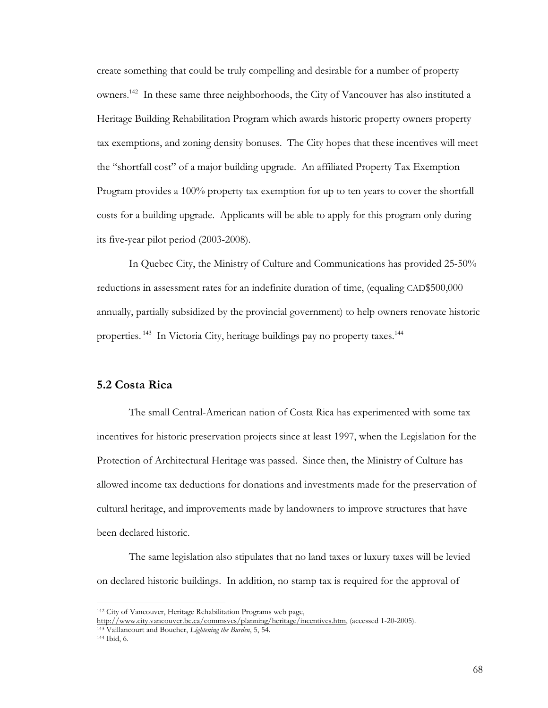create something that could be truly compelling and desirable for a number of property owners.142 In these same three neighborhoods, the City of Vancouver has also instituted a Heritage Building Rehabilitation Program which awards historic property owners property tax exemptions, and zoning density bonuses. The City hopes that these incentives will meet the "shortfall cost" of a major building upgrade. An affiliated Property Tax Exemption Program provides a 100% property tax exemption for up to ten years to cover the shortfall costs for a building upgrade. Applicants will be able to apply for this program only during its five-year pilot period (2003-2008).

 In Quebec City, the Ministry of Culture and Communications has provided 25-50% reductions in assessment rates for an indefinite duration of time, (equaling CAD\$500,000 annually, partially subsidized by the provincial government) to help owners renovate historic properties.<sup>143</sup> In Victoria City, heritage buildings pay no property taxes.<sup>144</sup>

## **5.2 Costa Rica**

 The small Central-American nation of Costa Rica has experimented with some tax incentives for historic preservation projects since at least 1997, when the Legislation for the Protection of Architectural Heritage was passed. Since then, the Ministry of Culture has allowed income tax deductions for donations and investments made for the preservation of cultural heritage, and improvements made by landowners to improve structures that have been declared historic.

 The same legislation also stipulates that no land taxes or luxury taxes will be levied on declared historic buildings. In addition, no stamp tax is required for the approval of

<sup>142</sup> City of Vancouver, Heritage Rehabilitation Programs web page,

http://www.city.vancouver.bc.ca/commsvcs/planning/heritage/incentives.htm, (accessed 1-20-2005). 143 Vaillancourt and Boucher, *Lightening the Burden*, 5, 54. 144 Ibid, 6.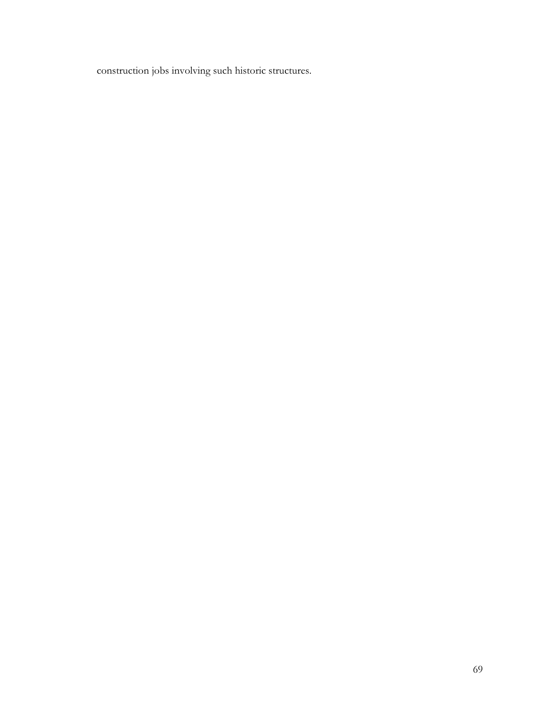construction jobs involving such historic structures.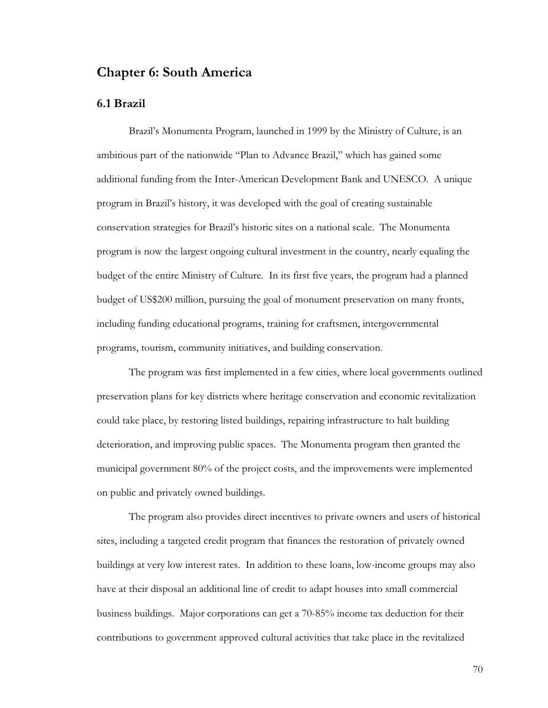# **Chapter 6: South America**

## **6.1 Brazil**

 Brazil's Monumenta Program, launched in 1999 by the Ministry of Culture, is an ambitious part of the nationwide "Plan to Advance Brazil," which has gained some additional funding from the Inter-American Development Bank and UNESCO. A unique program in Brazil's history, it was developed with the goal of creating sustainable conservation strategies for Brazil's historic sites on a national scale. The Monumenta program is now the largest ongoing cultural investment in the country, nearly equaling the budget of the entire Ministry of Culture. In its first five years, the program had a planned budget of US\$200 million, pursuing the goal of monument preservation on many fronts, including funding educational programs, training for craftsmen, intergovernmental programs, tourism, community initiatives, and building conservation.

 The program was first implemented in a few cities, where local governments outlined preservation plans for key districts where heritage conservation and economic revitalization could take place, by restoring listed buildings, repairing infrastructure to halt building deterioration, and improving public spaces. The Monumenta program then granted the municipal government 80% of the project costs, and the improvements were implemented on public and privately owned buildings.

 The program also provides direct incentives to private owners and users of historical sites, including a targeted credit program that finances the restoration of privately owned buildings at very low interest rates. In addition to these loans, low-income groups may also have at their disposal an additional line of credit to adapt houses into small commercial business buildings. Major corporations can get a 70-85% income tax deduction for their contributions to government approved cultural activities that take place in the revitalized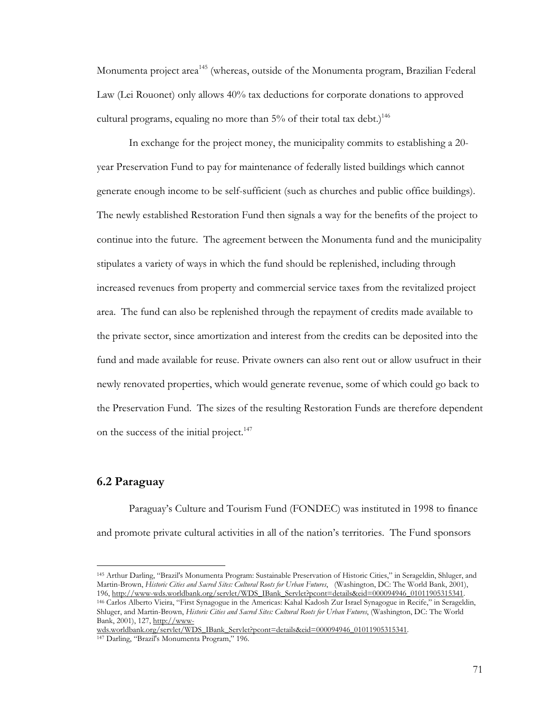Monumenta project area<sup>145</sup> (whereas, outside of the Monumenta program, Brazilian Federal Law (Lei Rouonet) only allows 40% tax deductions for corporate donations to approved cultural programs, equaling no more than  $5\%$  of their total tax debt.)<sup>146</sup>

 In exchange for the project money, the municipality commits to establishing a 20 year Preservation Fund to pay for maintenance of federally listed buildings which cannot generate enough income to be self-sufficient (such as churches and public office buildings). The newly established Restoration Fund then signals a way for the benefits of the project to continue into the future. The agreement between the Monumenta fund and the municipality stipulates a variety of ways in which the fund should be replenished, including through increased revenues from property and commercial service taxes from the revitalized project area. The fund can also be replenished through the repayment of credits made available to the private sector, since amortization and interest from the credits can be deposited into the fund and made available for reuse. Private owners can also rent out or allow usufruct in their newly renovated properties, which would generate revenue, some of which could go back to the Preservation Fund. The sizes of the resulting Restoration Funds are therefore dependent on the success of the initial project.<sup>147</sup>

## **6.2 Paraguay**

 Paraguay's Culture and Tourism Fund (FONDEC) was instituted in 1998 to finance and promote private cultural activities in all of the nation's territories. The Fund sponsors

<sup>145</sup> Arthur Darling, "Brazil's Monumenta Program: Sustainable Preservation of Historic Cities," in Serageldin, Shluger, and Martin-Brown, *Historic Cities and Sacred Sites: Cultural Roots for Urban Futures*, (Washington, DC: The World Bank, 2001), 196, http://www-wds.worldbank.org/servlet/WDS\_IBank\_Servlet?pcont=details&eid=000094946\_01011905315341. 146 Carlos Alberto Vieira, "First Synagogue in the Americas: Kahal Kadosh Zur Israel Synagogue in Recife," in Serageldin, Shluger, and Martin-Brown, *Historic Cities and Sacred Sites: Cultural Roots for Urban Futures*, (Washington, DC: The World Bank, 2001), 127, http://www-

wds.worldbank.org/servlet/WDS\_IBank\_Servlet?pcont=details&eid=000094946\_01011905315341. 147 Darling, "Brazil's Monumenta Program," 196.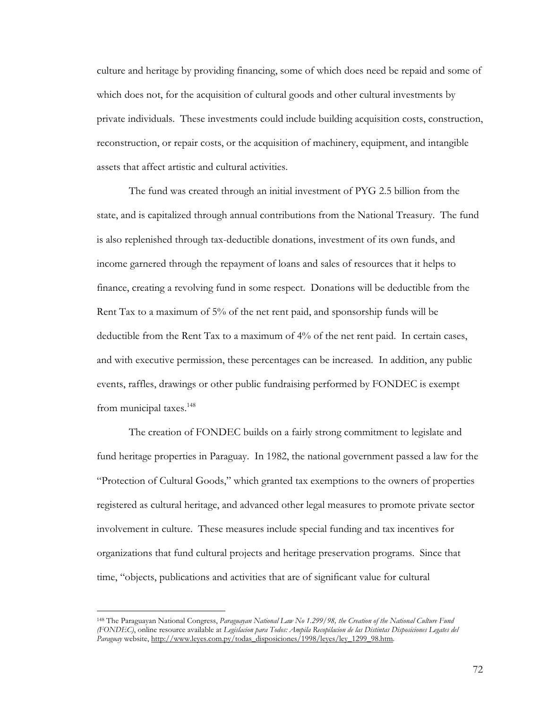culture and heritage by providing financing, some of which does need be repaid and some of which does not, for the acquisition of cultural goods and other cultural investments by private individuals. These investments could include building acquisition costs, construction, reconstruction, or repair costs, or the acquisition of machinery, equipment, and intangible assets that affect artistic and cultural activities.

 The fund was created through an initial investment of PYG 2.5 billion from the state, and is capitalized through annual contributions from the National Treasury. The fund is also replenished through tax-deductible donations, investment of its own funds, and income garnered through the repayment of loans and sales of resources that it helps to finance, creating a revolving fund in some respect. Donations will be deductible from the Rent Tax to a maximum of 5% of the net rent paid, and sponsorship funds will be deductible from the Rent Tax to a maximum of 4% of the net rent paid. In certain cases, and with executive permission, these percentages can be increased. In addition, any public events, raffles, drawings or other public fundraising performed by FONDEC is exempt from municipal taxes.<sup>148</sup>

 The creation of FONDEC builds on a fairly strong commitment to legislate and fund heritage properties in Paraguay. In 1982, the national government passed a law for the "Protection of Cultural Goods," which granted tax exemptions to the owners of properties registered as cultural heritage, and advanced other legal measures to promote private sector involvement in culture. These measures include special funding and tax incentives for organizations that fund cultural projects and heritage preservation programs. Since that time, "objects, publications and activities that are of significant value for cultural

<sup>148</sup> The Paraguayan National Congress, *Paraguayan National Law No 1.299/98, the Creation of the National Culture Fund (FONDEC)*, online resource available at *Legislacion para Todos: Ampila Recopilacion de las Distintas Disposiciones Legates del Paraguay* website, http://www.leyes.com.py/todas\_disposiciones/1998/leyes/ley\_1299\_98.htm.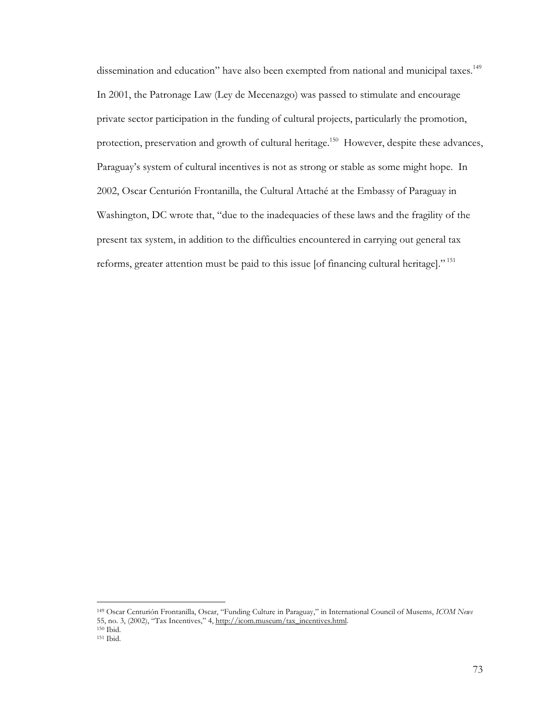dissemination and education" have also been exempted from national and municipal taxes.<sup>149</sup> In 2001, the Patronage Law (Ley de Mecenazgo) was passed to stimulate and encourage private sector participation in the funding of cultural projects, particularly the promotion, protection, preservation and growth of cultural heritage.<sup>150</sup> However, despite these advances, Paraguay's system of cultural incentives is not as strong or stable as some might hope. In 2002, Oscar Centurión Frontanilla, the Cultural Attaché at the Embassy of Paraguay in Washington, DC wrote that, "due to the inadequacies of these laws and the fragility of the present tax system, in addition to the difficulties encountered in carrying out general tax reforms, greater attention must be paid to this issue [of financing cultural heritage]." 151

<sup>149</sup> Oscar Centurión Frontanilla, Oscar, "Funding Culture in Paraguay," in International Council of Musems, *ICOM News*  55, no. 3, (2002), "Tax Incentives," 4, http://icom.museum/tax\_incentives.html.<br><sup>150</sup> Ibid.

<sup>150</sup> Ibid. 151 Ibid.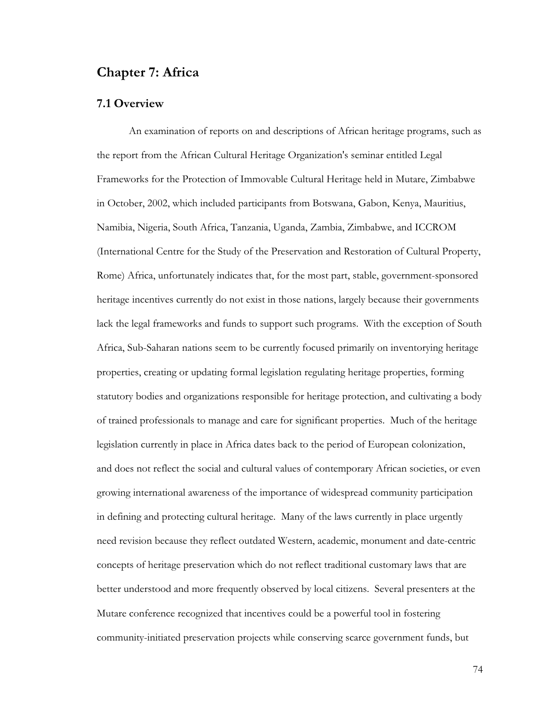# **Chapter 7: Africa**

## **7.1 Overview**

 An examination of reports on and descriptions of African heritage programs, such as the report from the African Cultural Heritage Organization's seminar entitled Legal Frameworks for the Protection of Immovable Cultural Heritage held in Mutare, Zimbabwe in October, 2002, which included participants from Botswana, Gabon, Kenya, Mauritius, Namibia, Nigeria, South Africa, Tanzania, Uganda, Zambia, Zimbabwe, and ICCROM (International Centre for the Study of the Preservation and Restoration of Cultural Property, Rome) Africa, unfortunately indicates that, for the most part, stable, government-sponsored heritage incentives currently do not exist in those nations, largely because their governments lack the legal frameworks and funds to support such programs. With the exception of South Africa, Sub-Saharan nations seem to be currently focused primarily on inventorying heritage properties, creating or updating formal legislation regulating heritage properties, forming statutory bodies and organizations responsible for heritage protection, and cultivating a body of trained professionals to manage and care for significant properties. Much of the heritage legislation currently in place in Africa dates back to the period of European colonization, and does not reflect the social and cultural values of contemporary African societies, or even growing international awareness of the importance of widespread community participation in defining and protecting cultural heritage. Many of the laws currently in place urgently need revision because they reflect outdated Western, academic, monument and date-centric concepts of heritage preservation which do not reflect traditional customary laws that are better understood and more frequently observed by local citizens. Several presenters at the Mutare conference recognized that incentives could be a powerful tool in fostering community-initiated preservation projects while conserving scarce government funds, but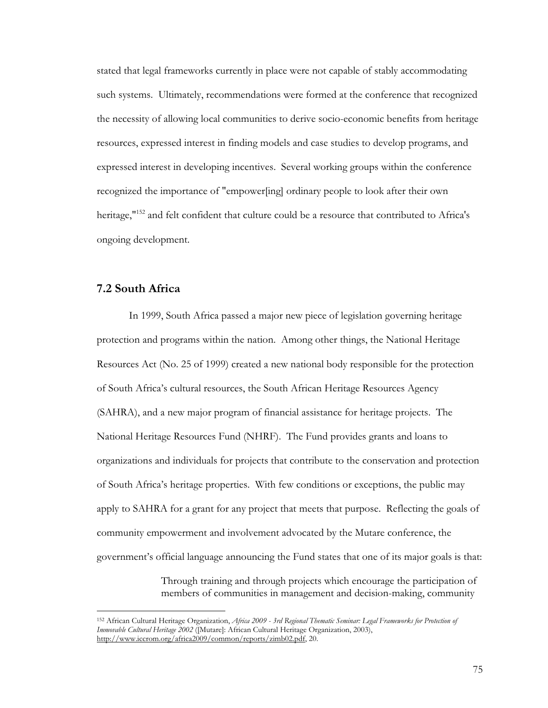stated that legal frameworks currently in place were not capable of stably accommodating such systems. Ultimately, recommendations were formed at the conference that recognized the necessity of allowing local communities to derive socio-economic benefits from heritage resources, expressed interest in finding models and case studies to develop programs, and expressed interest in developing incentives. Several working groups within the conference recognized the importance of "empower[ing] ordinary people to look after their own heritage,<sup>"152</sup> and felt confident that culture could be a resource that contributed to Africa's ongoing development.

#### **7.2 South Africa**

 In 1999, South Africa passed a major new piece of legislation governing heritage protection and programs within the nation. Among other things, the National Heritage Resources Act (No. 25 of 1999) created a new national body responsible for the protection of South Africa's cultural resources, the South African Heritage Resources Agency (SAHRA), and a new major program of financial assistance for heritage projects. The National Heritage Resources Fund (NHRF). The Fund provides grants and loans to organizations and individuals for projects that contribute to the conservation and protection of South Africa's heritage properties. With few conditions or exceptions, the public may apply to SAHRA for a grant for any project that meets that purpose. Reflecting the goals of community empowerment and involvement advocated by the Mutare conference, the government's official language announcing the Fund states that one of its major goals is that:

> Through training and through projects which encourage the participation of members of communities in management and decision-making, community

<sup>152</sup> African Cultural Heritage Organization, *Africa 2009 - 3rd Regional Thematic Seminar: Legal Frameworks for Protection of Immovable Cultural Heritage 2002* ([Mutare]: African Cultural Heritage Organization, 2003), http://www.iccrom.org/africa2009/common/reports/zimb02.pdf, 20.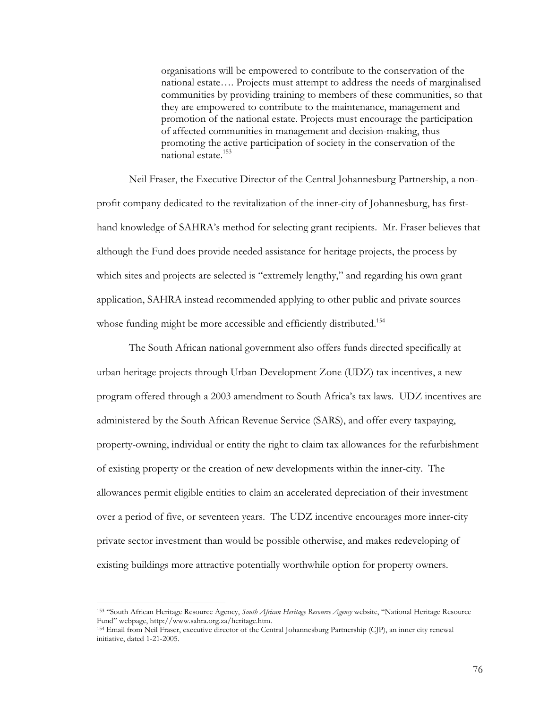organisations will be empowered to contribute to the conservation of the national estate…. Projects must attempt to address the needs of marginalised communities by providing training to members of these communities, so that they are empowered to contribute to the maintenance, management and promotion of the national estate. Projects must encourage the participation of affected communities in management and decision-making, thus promoting the active participation of society in the conservation of the national estate.<sup>153</sup>

 Neil Fraser, the Executive Director of the Central Johannesburg Partnership, a nonprofit company dedicated to the revitalization of the inner-city of Johannesburg, has firsthand knowledge of SAHRA's method for selecting grant recipients. Mr. Fraser believes that although the Fund does provide needed assistance for heritage projects, the process by which sites and projects are selected is "extremely lengthy," and regarding his own grant application, SAHRA instead recommended applying to other public and private sources whose funding might be more accessible and efficiently distributed.<sup>154</sup>

 The South African national government also offers funds directed specifically at urban heritage projects through Urban Development Zone (UDZ) tax incentives, a new program offered through a 2003 amendment to South Africa's tax laws. UDZ incentives are administered by the South African Revenue Service (SARS), and offer every taxpaying, property-owning, individual or entity the right to claim tax allowances for the refurbishment of existing property or the creation of new developments within the inner-city. The allowances permit eligible entities to claim an accelerated depreciation of their investment over a period of five, or seventeen years. The UDZ incentive encourages more inner-city private sector investment than would be possible otherwise, and makes redeveloping of existing buildings more attractive potentially worthwhile option for property owners.

<sup>153 &</sup>quot;South African Heritage Resource Agency, *South African Heritage Resource Agency* website, "National Heritage Resource Fund" webpage, http://www.sahra.org.za/heritage.htm.

<sup>154</sup> Email from Neil Fraser, executive director of the Central Johannesburg Partnership (CJP), an inner city renewal initiative, dated 1-21-2005.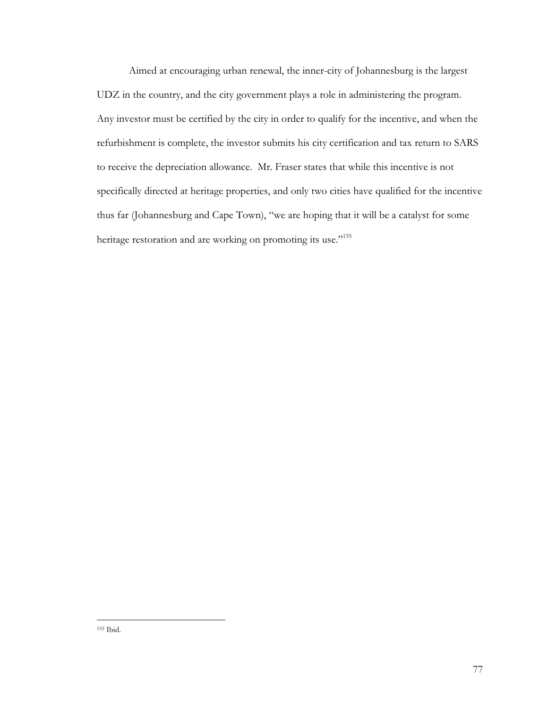Aimed at encouraging urban renewal, the inner-city of Johannesburg is the largest UDZ in the country, and the city government plays a role in administering the program. Any investor must be certified by the city in order to qualify for the incentive, and when the refurbishment is complete, the investor submits his city certification and tax return to SARS to receive the depreciation allowance. Mr. Fraser states that while this incentive is not specifically directed at heritage properties, and only two cities have qualified for the incentive thus far (Johannesburg and Cape Town), "we are hoping that it will be a catalyst for some heritage restoration and are working on promoting its use."<sup>155</sup>

<sup>155</sup> Ibid.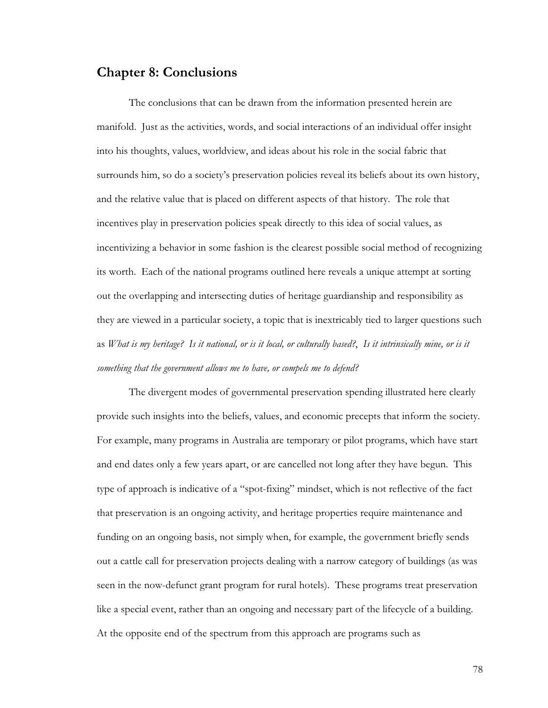# **Chapter 8: Conclusions**

 The conclusions that can be drawn from the information presented herein are manifold. Just as the activities, words, and social interactions of an individual offer insight into his thoughts, values, worldview, and ideas about his role in the social fabric that surrounds him, so do a society's preservation policies reveal its beliefs about its own history, and the relative value that is placed on different aspects of that history. The role that incentives play in preservation policies speak directly to this idea of social values, as incentivizing a behavior in some fashion is the clearest possible social method of recognizing its worth. Each of the national programs outlined here reveals a unique attempt at sorting out the overlapping and intersecting duties of heritage guardianship and responsibility as they are viewed in a particular society, a topic that is inextricably tied to larger questions such as *What is my heritage? Is it national, or is it local, or culturally based?*, *Is it intrinsically mine, or is it something that the government allows me to have, or compels me to defend?*

 The divergent modes of governmental preservation spending illustrated here clearly provide such insights into the beliefs, values, and economic precepts that inform the society. For example, many programs in Australia are temporary or pilot programs, which have start and end dates only a few years apart, or are cancelled not long after they have begun. This type of approach is indicative of a "spot-fixing" mindset, which is not reflective of the fact that preservation is an ongoing activity, and heritage properties require maintenance and funding on an ongoing basis, not simply when, for example, the government briefly sends out a cattle call for preservation projects dealing with a narrow category of buildings (as was seen in the now-defunct grant program for rural hotels). These programs treat preservation like a special event, rather than an ongoing and necessary part of the lifecycle of a building. At the opposite end of the spectrum from this approach are programs such as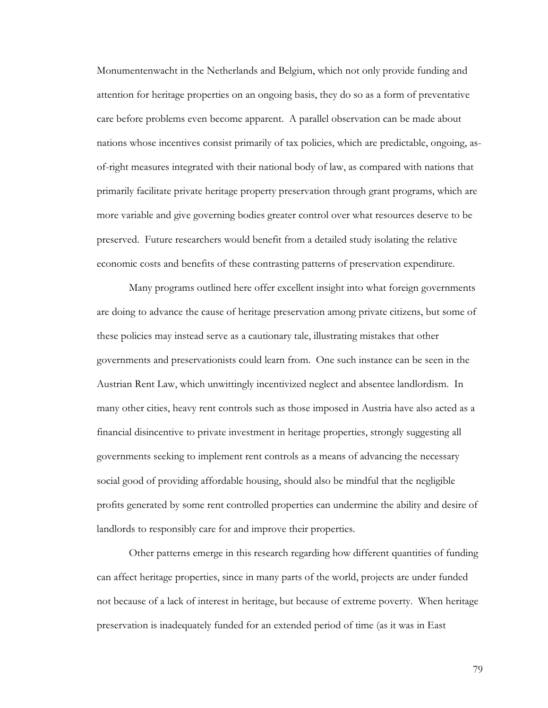Monumentenwacht in the Netherlands and Belgium, which not only provide funding and attention for heritage properties on an ongoing basis, they do so as a form of preventative care before problems even become apparent. A parallel observation can be made about nations whose incentives consist primarily of tax policies, which are predictable, ongoing, asof-right measures integrated with their national body of law, as compared with nations that primarily facilitate private heritage property preservation through grant programs, which are more variable and give governing bodies greater control over what resources deserve to be preserved. Future researchers would benefit from a detailed study isolating the relative economic costs and benefits of these contrasting patterns of preservation expenditure.

 Many programs outlined here offer excellent insight into what foreign governments are doing to advance the cause of heritage preservation among private citizens, but some of these policies may instead serve as a cautionary tale, illustrating mistakes that other governments and preservationists could learn from. One such instance can be seen in the Austrian Rent Law, which unwittingly incentivized neglect and absentee landlordism. In many other cities, heavy rent controls such as those imposed in Austria have also acted as a financial disincentive to private investment in heritage properties, strongly suggesting all governments seeking to implement rent controls as a means of advancing the necessary social good of providing affordable housing, should also be mindful that the negligible profits generated by some rent controlled properties can undermine the ability and desire of landlords to responsibly care for and improve their properties.

 Other patterns emerge in this research regarding how different quantities of funding can affect heritage properties, since in many parts of the world, projects are under funded not because of a lack of interest in heritage, but because of extreme poverty. When heritage preservation is inadequately funded for an extended period of time (as it was in East

79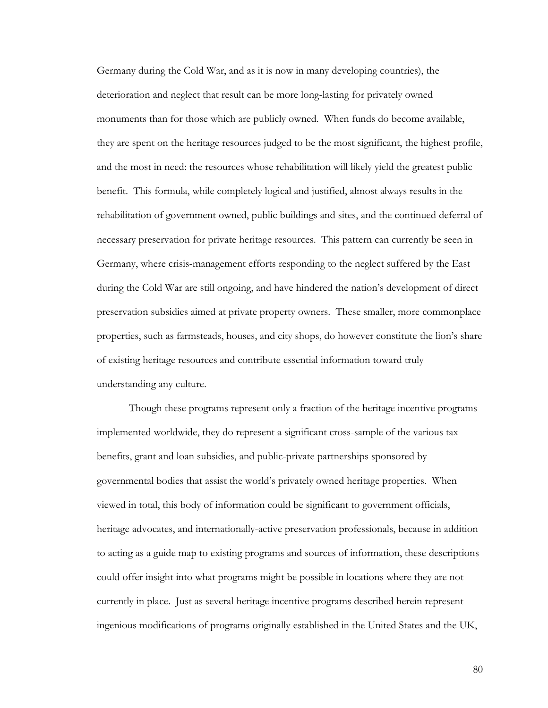Germany during the Cold War, and as it is now in many developing countries), the deterioration and neglect that result can be more long-lasting for privately owned monuments than for those which are publicly owned. When funds do become available, they are spent on the heritage resources judged to be the most significant, the highest profile, and the most in need: the resources whose rehabilitation will likely yield the greatest public benefit. This formula, while completely logical and justified, almost always results in the rehabilitation of government owned, public buildings and sites, and the continued deferral of necessary preservation for private heritage resources. This pattern can currently be seen in Germany, where crisis-management efforts responding to the neglect suffered by the East during the Cold War are still ongoing, and have hindered the nation's development of direct preservation subsidies aimed at private property owners. These smaller, more commonplace properties, such as farmsteads, houses, and city shops, do however constitute the lion's share of existing heritage resources and contribute essential information toward truly understanding any culture.

 Though these programs represent only a fraction of the heritage incentive programs implemented worldwide, they do represent a significant cross-sample of the various tax benefits, grant and loan subsidies, and public-private partnerships sponsored by governmental bodies that assist the world's privately owned heritage properties. When viewed in total, this body of information could be significant to government officials, heritage advocates, and internationally-active preservation professionals, because in addition to acting as a guide map to existing programs and sources of information, these descriptions could offer insight into what programs might be possible in locations where they are not currently in place. Just as several heritage incentive programs described herein represent ingenious modifications of programs originally established in the United States and the UK,

80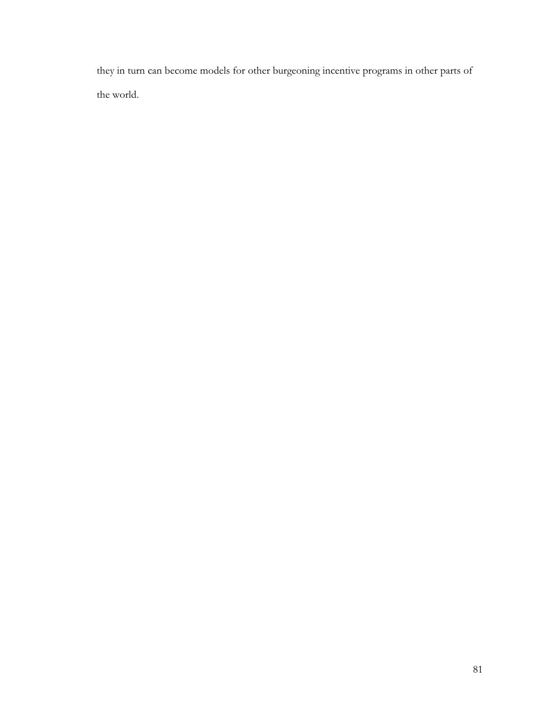they in turn can become models for other burgeoning incentive programs in other parts of the world.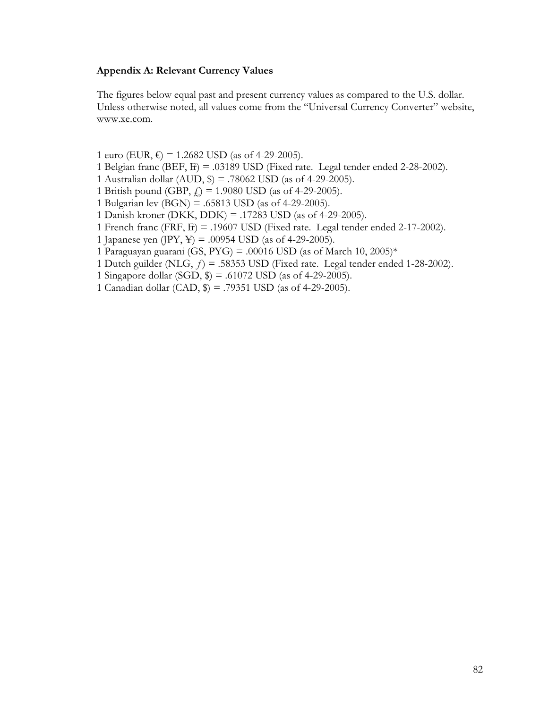#### **Appendix A: Relevant Currency Values**

The figures below equal past and present currency values as compared to the U.S. dollar. Unless otherwise noted, all values come from the "Universal Currency Converter" website, www.xe.com.

1 euro (EUR,  $\epsilon$ ) = 1.2682 USD (as of 4-29-2005).

1 Belgian franc (BEF, ö) = .03189 USD (Fixed rate. Legal tender ended 2-28-2002).

- 1 Australian dollar (AUD, \$) = .78062 USD (as of 4-29-2005).
- 1 British pound (GBP,  $f_n$ ) = 1.9080 USD (as of 4-29-2005).
- 1 Bulgarian lev (BGN) = .65813 USD (as of 4-29-2005).
- 1 Danish kroner (DKK, DDK) = .17283 USD (as of 4-29-2005).
- 1 French franc (FRF,  $F$ ) = .19607 USD (Fixed rate. Legal tender ended 2-17-2002).
- 1 Japanese yen (JPY,  $\angle$ ) = .00954 USD (as of 4-29-2005).
- 1 Paraguayan guarani (GS, PYG) = .00016 USD (as of March 10, 2005)\*
- 1 Dutch guilder (NLG,  $f$ ) = .58353 USD (Fixed rate. Legal tender ended 1-28-2002).
- 1 Singapore dollar (SGD, \$) = .61072 USD (as of 4-29-2005).
- 1 Canadian dollar (CAD, \$) = .79351 USD (as of 4-29-2005).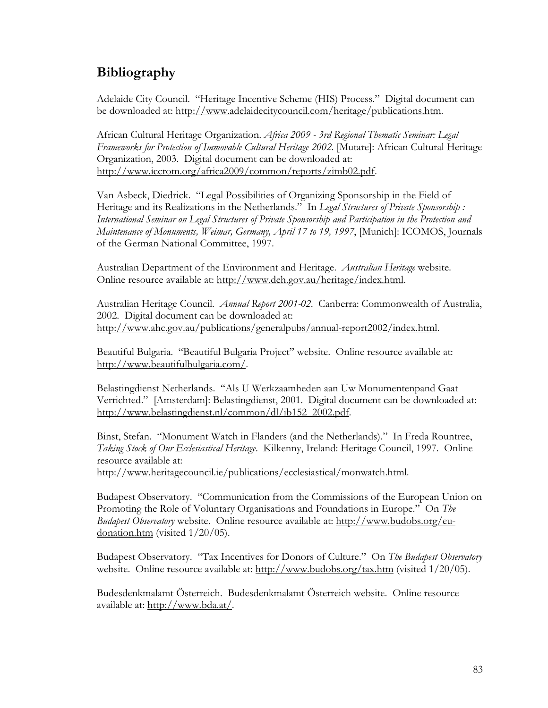# **Bibliography**

Adelaide City Council. "Heritage Incentive Scheme (HIS) Process." Digital document can be downloaded at: http://www.adelaidecitycouncil.com/heritage/publications.htm.

African Cultural Heritage Organization. *Africa 2009 - 3rd Regional Thematic Seminar: Legal Frameworks for Protection of Immovable Cultural Heritage 2002*. [Mutare]: African Cultural Heritage Organization, 2003. Digital document can be downloaded at: http://www.iccrom.org/africa2009/common/reports/zimb02.pdf.

Van Asbeck, Diedrick. "Legal Possibilities of Organizing Sponsorship in the Field of Heritage and its Realizations in the Netherlands." In *Legal Structures of Private Sponsorship : International Seminar on Legal Structures of Private Sponsorship and Participation in the Protection and Maintenance of Monuments, Weimar, Germany, April 17 to 19, 1997*, [Munich]: ICOMOS, Journals of the German National Committee, 1997.

Australian Department of the Environment and Heritage. *Australian Heritage* website. Online resource available at: http://www.deh.gov.au/heritage/index.html.

Australian Heritage Council. *Annual Report 2001-02*. Canberra: Commonwealth of Australia, 2002. Digital document can be downloaded at: http://www.ahc.gov.au/publications/generalpubs/annual-report2002/index.html.

Beautiful Bulgaria. "Beautiful Bulgaria Project" website. Online resource available at: http://www.beautifulbulgaria.com/.

Belastingdienst Netherlands. "Als U Werkzaamheden aan Uw Monumentenpand Gaat Verrichted." [Amsterdam]: Belastingdienst, 2001. Digital document can be downloaded at: http://www.belastingdienst.nl/common/dl/ib152\_2002.pdf.

Binst, Stefan. "Monument Watch in Flanders (and the Netherlands)." In Freda Rountree, *Taking Stock of Our Ecclesiastical Heritage*. Kilkenny, Ireland: Heritage Council, 1997. Online resource available at:

http://www.heritagecouncil.ie/publications/ecclesiastical/monwatch.html.

Budapest Observatory. "Communication from the Commissions of the European Union on Promoting the Role of Voluntary Organisations and Foundations in Europe." On *The Budapest Observatory* website. Online resource available at: http://www.budobs.org/eudonation.htm (visited 1/20/05).

Budapest Observatory. "Tax Incentives for Donors of Culture." On *The Budapest Observatory* website. Online resource available at: http://www.budobs.org/tax.htm (visited 1/20/05).

Budesdenkmalamt Österreich. Budesdenkmalamt Österreich website. Online resource available at: http://www.bda.at/.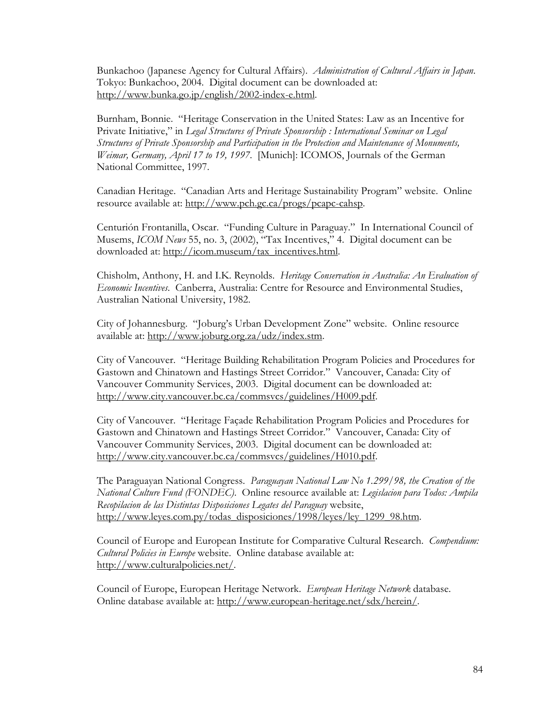Bunkachoo (Japanese Agency for Cultural Affairs). *Administration of Cultural Affairs in Japan*. Tokyo: Bunkachoo, 2004. Digital document can be downloaded at: http://www.bunka.go.jp/english/2002-index-e.html.

Burnham, Bonnie. "Heritage Conservation in the United States: Law as an Incentive for Private Initiative," in *Legal Structures of Private Sponsorship : International Seminar on Legal Structures of Private Sponsorship and Participation in the Protection and Maintenance of Monuments, Weimar, Germany, April 17 to 19, 1997*. [Munich]: ICOMOS, Journals of the German National Committee, 1997.

Canadian Heritage. "Canadian Arts and Heritage Sustainability Program" website. Online resource available at: http://www.pch.gc.ca/progs/pcapc-cahsp.

Centurión Frontanilla, Oscar. "Funding Culture in Paraguay." In International Council of Musems, *ICOM News* 55, no. 3, (2002), "Tax Incentives," 4. Digital document can be downloaded at: http://icom.museum/tax\_incentives.html.

Chisholm, Anthony, H. and I.K. Reynolds. *Heritage Conservation in Australia: An Evaluation of Economic Incentives*. Canberra, Australia: Centre for Resource and Environmental Studies, Australian National University, 1982.

City of Johannesburg. "Joburg's Urban Development Zone" website. Online resource available at: http://www.joburg.org.za/udz/index.stm.

City of Vancouver. "Heritage Building Rehabilitation Program Policies and Procedures for Gastown and Chinatown and Hastings Street Corridor." Vancouver, Canada: City of Vancouver Community Services, 2003. Digital document can be downloaded at: http://www.city.vancouver.bc.ca/commsvcs/guidelines/H009.pdf.

City of Vancouver. "Heritage Façade Rehabilitation Program Policies and Procedures for Gastown and Chinatown and Hastings Street Corridor." Vancouver, Canada: City of Vancouver Community Services, 2003. Digital document can be downloaded at: http://www.city.vancouver.bc.ca/commsvcs/guidelines/H010.pdf.

The Paraguayan National Congress. *Paraguayan National Law No 1.299/98, the Creation of the National Culture Fund (FONDEC)*. Online resource available at: *Legislacion para Todos: Ampila Recopilacion de las Distintas Disposiciones Legates del Paraguay* website, http://www.leyes.com.py/todas\_disposiciones/1998/leyes/ley\_1299\_98.htm.

Council of Europe and European Institute for Comparative Cultural Research. *Compendium: Cultural Policies in Europe* website. Online database available at: http://www.culturalpolicies.net/.

Council of Europe, European Heritage Network. *European Heritage Network* database. Online database available at: http://www.european-heritage.net/sdx/herein/.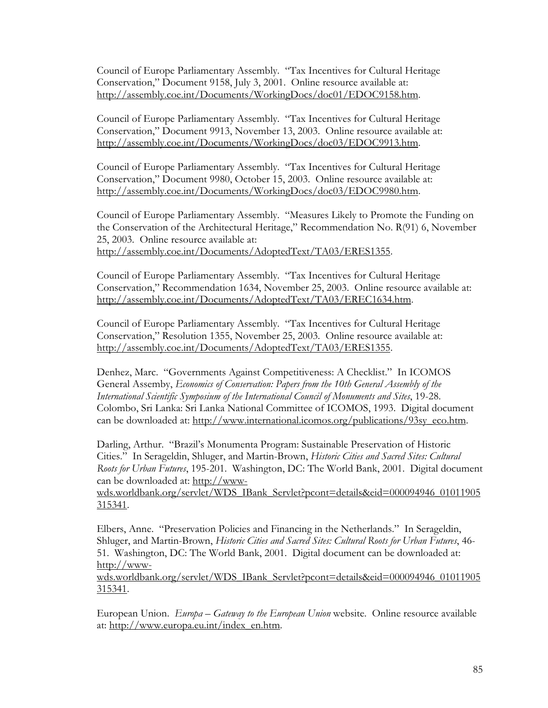Council of Europe Parliamentary Assembly. "Tax Incentives for Cultural Heritage Conservation," Document 9158, July 3, 2001. Online resource available at: http://assembly.coe.int/Documents/WorkingDocs/doc01/EDOC9158.htm.

Council of Europe Parliamentary Assembly. "Tax Incentives for Cultural Heritage Conservation," Document 9913, November 13, 2003. Online resource available at: http://assembly.coe.int/Documents/WorkingDocs/doc03/EDOC9913.htm.

Council of Europe Parliamentary Assembly. "Tax Incentives for Cultural Heritage Conservation," Document 9980, October 15, 2003. Online resource available at: http://assembly.coe.int/Documents/WorkingDocs/doc03/EDOC9980.htm.

Council of Europe Parliamentary Assembly. "Measures Likely to Promote the Funding on the Conservation of the Architectural Heritage," Recommendation No. R(91) 6, November 25, 2003. Online resource available at: http://assembly.coe.int/Documents/AdoptedText/TA03/ERES1355.

Council of Europe Parliamentary Assembly. "Tax Incentives for Cultural Heritage Conservation," Recommendation 1634, November 25, 2003. Online resource available at: http://assembly.coe.int/Documents/AdoptedText/TA03/EREC1634.htm.

Council of Europe Parliamentary Assembly. "Tax Incentives for Cultural Heritage Conservation," Resolution 1355, November 25, 2003. Online resource available at: http://assembly.coe.int/Documents/AdoptedText/TA03/ERES1355.

Denhez, Marc. "Governments Against Competitiveness: A Checklist." In ICOMOS General Assemby, *Economics of Conservation: Papers from the 10th General Assembly of the International Scientific Symposium of the International Council of Monuments and Sites*, 19-28. Colombo, Sri Lanka: Sri Lanka National Committee of ICOMOS, 1993. Digital document can be downloaded at: http://www.international.icomos.org/publications/93sy\_eco.htm.

Darling, Arthur. "Brazil's Monumenta Program: Sustainable Preservation of Historic Cities." In Serageldin, Shluger, and Martin-Brown, *Historic Cities and Sacred Sites: Cultural Roots for Urban Futures*, 195-201. Washington, DC: The World Bank, 2001. Digital document can be downloaded at: http://www-

wds.worldbank.org/servlet/WDS\_IBank\_Servlet?pcont=details&eid=000094946\_01011905 315341.

Elbers, Anne. "Preservation Policies and Financing in the Netherlands." In Serageldin, Shluger, and Martin-Brown, *Historic Cities and Sacred Sites: Cultural Roots for Urban Futures*, 46- 51. Washington, DC: The World Bank, 2001. Digital document can be downloaded at: http://www-

wds.worldbank.org/servlet/WDS\_IBank\_Servlet?pcont=details&eid=000094946\_01011905 315341.

European Union. *Europa – Gateway to the European Union* website. Online resource available at: http://www.europa.eu.int/index\_en.htm.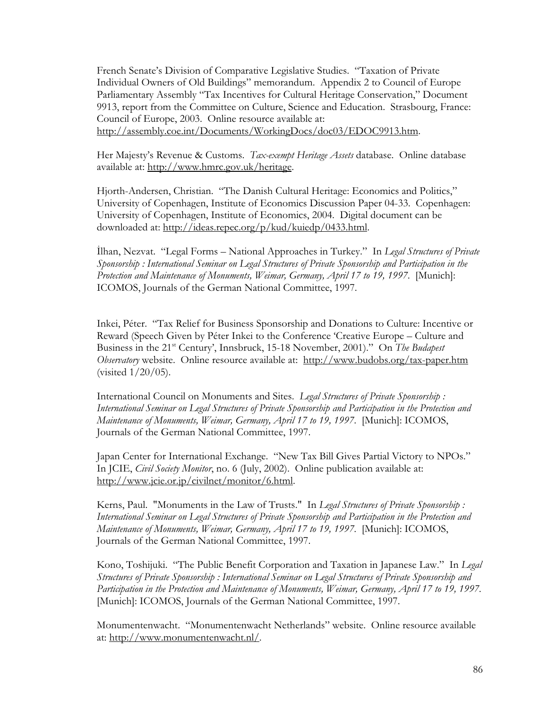French Senate's Division of Comparative Legislative Studies. "Taxation of Private Individual Owners of Old Buildings" memorandum. Appendix 2 to Council of Europe Parliamentary Assembly "Tax Incentives for Cultural Heritage Conservation," Document 9913, report from the Committee on Culture, Science and Education. Strasbourg, France: Council of Europe, 2003. Online resource available at: http://assembly.coe.int/Documents/WorkingDocs/doc03/EDOC9913.htm.

Her Majesty's Revenue & Customs. *Tax-exempt Heritage Assets* database. Online database available at: http://www.hmrc.gov.uk/heritage.

Hjorth-Andersen, Christian. "The Danish Cultural Heritage: Economics and Politics," University of Copenhagen, Institute of Economics Discussion Paper 04-33. Copenhagen: University of Copenhagen, Institute of Economics, 2004. Digital document can be downloaded at: http://ideas.repec.org/p/kud/kuiedp/0433.html.

ùlhan, Nezvat. "Legal Forms – National Approaches in Turkey." In *Legal Structures of Private Sponsorship : International Seminar on Legal Structures of Private Sponsorship and Participation in the Protection and Maintenance of Monuments, Weimar, Germany, April 17 to 19, 1997*. [Munich]: ICOMOS, Journals of the German National Committee, 1997.

Inkei, Péter. "Tax Relief for Business Sponsorship and Donations to Culture: Incentive or Reward (Speech Given by Péter Inkei to the Conference 'Creative Europe – Culture and Business in the 21<sup>st</sup> Century', Innsbruck, 15-18 November, 2001)." On *The Budapest Observatory* website. Online resource available at: http://www.budobs.org/tax-paper.htm (visited 1/20/05).

International Council on Monuments and Sites. *Legal Structures of Private Sponsorship : International Seminar on Legal Structures of Private Sponsorship and Participation in the Protection and Maintenance of Monuments, Weimar, Germany, April 17 to 19, 1997*. [Munich]: ICOMOS, Journals of the German National Committee, 1997.

Japan Center for International Exchange. "New Tax Bill Gives Partial Victory to NPOs." In JCIE, *Civil Society Monitor*, no. 6 (July, 2002). Online publication available at: http://www.jcie.or.jp/civilnet/monitor/6.html.

Kerns, Paul. "Monuments in the Law of Trusts." In *Legal Structures of Private Sponsorship : International Seminar on Legal Structures of Private Sponsorship and Participation in the Protection and Maintenance of Monuments, Weimar, Germany, April 17 to 19, 1997*. [Munich]: ICOMOS, Journals of the German National Committee, 1997.

Kono, Toshijuki. "The Public Benefit Corporation and Taxation in Japanese Law." In *Legal Structures of Private Sponsorship : International Seminar on Legal Structures of Private Sponsorship and Participation in the Protection and Maintenance of Monuments, Weimar, Germany, April 17 to 19, 1997*. [Munich]: ICOMOS, Journals of the German National Committee, 1997.

Monumentenwacht. "Monumentenwacht Netherlands" website. Online resource available at: http://www.monumentenwacht.nl/.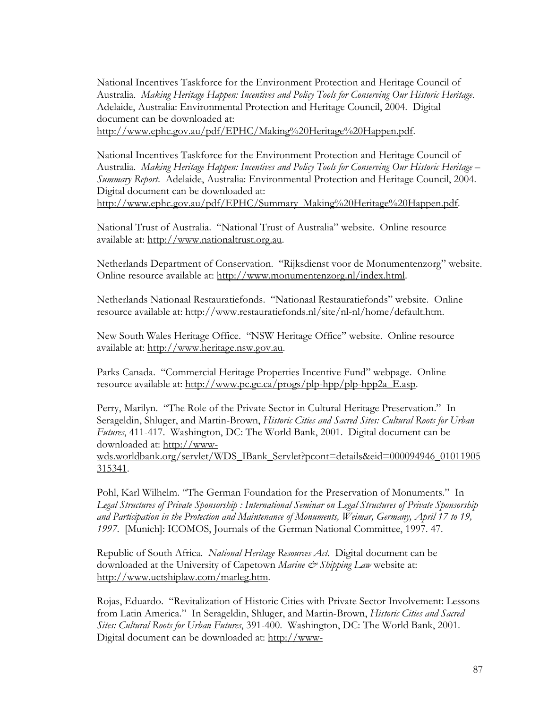National Incentives Taskforce for the Environment Protection and Heritage Council of Australia. *Making Heritage Happen: Incentives and Policy Tools for Conserving Our Historic Heritage*. Adelaide, Australia: Environmental Protection and Heritage Council, 2004. Digital document can be downloaded at: http://www.ephc.gov.au/pdf/EPHC/Making%20Heritage%20Happen.pdf.

National Incentives Taskforce for the Environment Protection and Heritage Council of Australia. *Making Heritage Happen: Incentives and Policy Tools for Conserving Our Historic Heritage – Summary Report*. Adelaide, Australia: Environmental Protection and Heritage Council, 2004. Digital document can be downloaded at: http://www.ephc.gov.au/pdf/EPHC/Summary\_Making%20Heritage%20Happen.pdf.

National Trust of Australia. "National Trust of Australia" website. Online resource available at: http://www.nationaltrust.org.au.

Netherlands Department of Conservation. "Rijksdienst voor de Monumentenzorg" website. Online resource available at: http://www.monumentenzorg.nl/index.html.

Netherlands Nationaal Restauratiefonds. "Nationaal Restauratiefonds" website. Online resource available at: http://www.restauratiefonds.nl/site/nl-nl/home/default.htm.

New South Wales Heritage Office. "NSW Heritage Office" website. Online resource available at: http://www.heritage.nsw.gov.au.

Parks Canada. "Commercial Heritage Properties Incentive Fund" webpage. Online resource available at: http://www.pc.gc.ca/progs/plp-hpp/plp-hpp2a\_E.asp.

Perry, Marilyn. "The Role of the Private Sector in Cultural Heritage Preservation." In Serageldin, Shluger, and Martin-Brown, *Historic Cities and Sacred Sites: Cultural Roots for Urban Futures*, 411-417. Washington, DC: The World Bank, 2001. Digital document can be downloaded at: http://www-

wds.worldbank.org/servlet/WDS\_IBank\_Servlet?pcont=details&eid=000094946\_01011905 315341.

Pohl, Karl Wilhelm. "The German Foundation for the Preservation of Monuments." In *Legal Structures of Private Sponsorship : International Seminar on Legal Structures of Private Sponsorship and Participation in the Protection and Maintenance of Monuments, Weimar, Germany, April 17 to 19, 1997*. [Munich]: ICOMOS, Journals of the German National Committee, 1997. 47.

Republic of South Africa. *National Heritage Resources Act*. Digital document can be downloaded at the University of Capetown *Marine & Shipping Law* website at: http://www.uctshiplaw.com/marleg.htm.

Rojas, Eduardo. "Revitalization of Historic Cities with Private Sector Involvement: Lessons from Latin America." In Serageldin, Shluger, and Martin-Brown, *Historic Cities and Sacred Sites: Cultural Roots for Urban Futures*, 391-400. Washington, DC: The World Bank, 2001. Digital document can be downloaded at: http://www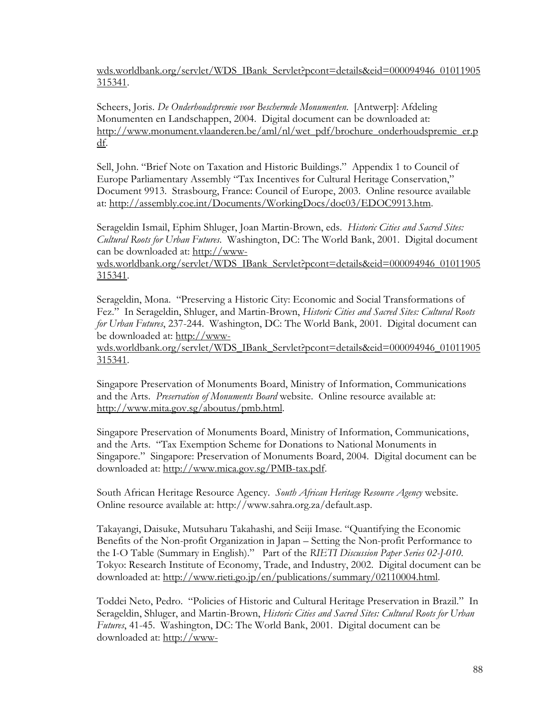wds.worldbank.org/servlet/WDS\_IBank\_Servlet?pcont=details&eid=000094946\_01011905 315341.

Scheers, Joris. *De Onderhoudspremie voor Beschermde Monumenten*. [Antwerp]: Afdeling Monumenten en Landschappen, 2004. Digital document can be downloaded at: http://www.monument.vlaanderen.be/aml/nl/wet\_pdf/brochure\_onderhoudspremie\_er.p df.

Sell, John. "Brief Note on Taxation and Historic Buildings." Appendix 1 to Council of Europe Parliamentary Assembly "Tax Incentives for Cultural Heritage Conservation," Document 9913. Strasbourg, France: Council of Europe, 2003. Online resource available at: http://assembly.coe.int/Documents/WorkingDocs/doc03/EDOC9913.htm.

Serageldin Ismail, Ephim Shluger, Joan Martin-Brown, eds. *Historic Cities and Sacred Sites: Cultural Roots for Urban Futures*. Washington, DC: The World Bank, 2001. Digital document can be downloaded at: http://www-

wds.worldbank.org/servlet/WDS\_IBank\_Servlet?pcont=details&eid=000094946\_01011905 315341.

Serageldin, Mona. "Preserving a Historic City: Economic and Social Transformations of Fez." In Serageldin, Shluger, and Martin-Brown, *Historic Cities and Sacred Sites: Cultural Roots for Urban Futures*, 237-244. Washington, DC: The World Bank, 2001. Digital document can be downloaded at: http://www-

wds.worldbank.org/servlet/WDS\_IBank\_Servlet?pcont=details&eid=000094946\_01011905 315341.

Singapore Preservation of Monuments Board, Ministry of Information, Communications and the Arts. *Preservation of Monuments Board* website. Online resource available at: http://www.mita.gov.sg/aboutus/pmb.html.

Singapore Preservation of Monuments Board, Ministry of Information, Communications, and the Arts. "Tax Exemption Scheme for Donations to National Monuments in Singapore." Singapore: Preservation of Monuments Board, 2004. Digital document can be downloaded at: http://www.mica.gov.sg/PMB-tax.pdf.

South African Heritage Resource Agency. *South African Heritage Resource Agency* website. Online resource available at: http://www.sahra.org.za/default.asp.

Takayangi, Daisuke, Mutsuharu Takahashi, and Seiji Imase. "Quantifying the Economic Benefits of the Non-profit Organization in Japan – Setting the Non-profit Performance to the I-O Table (Summary in English)." Part of the *RIETI Discussion Paper Series 02-J-010*. Tokyo: Research Institute of Economy, Trade, and Industry, 2002. Digital document can be downloaded at: http://www.rieti.go.jp/en/publications/summary/02110004.html.

Toddei Neto, Pedro. "Policies of Historic and Cultural Heritage Preservation in Brazil." In Serageldin, Shluger, and Martin-Brown, *Historic Cities and Sacred Sites: Cultural Roots for Urban Futures*, 41-45. Washington, DC: The World Bank, 2001. Digital document can be downloaded at: http://www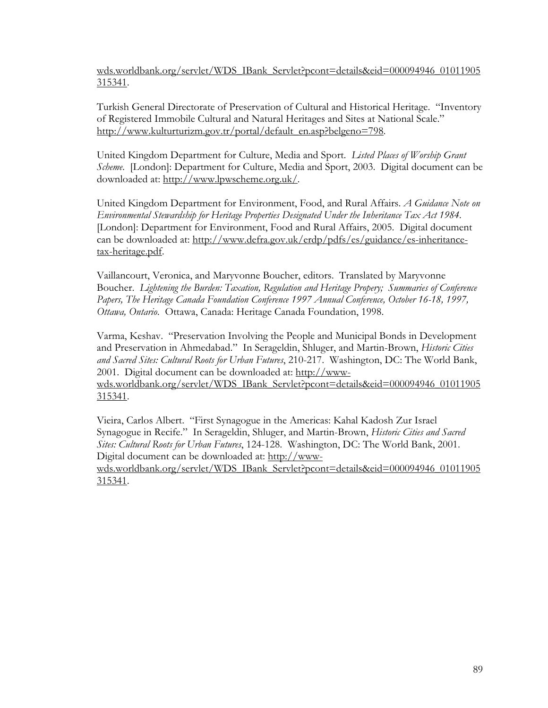wds.worldbank.org/servlet/WDS\_IBank\_Servlet?pcont=details&eid=000094946\_01011905 315341.

Turkish General Directorate of Preservation of Cultural and Historical Heritage. "Inventory of Registered Immobile Cultural and Natural Heritages and Sites at National Scale." http://www.kulturturizm.gov.tr/portal/default\_en.asp?belgeno=798.

United Kingdom Department for Culture, Media and Sport. *Listed Places of Worship Grant Scheme*. [London]: Department for Culture, Media and Sport, 2003. Digital document can be downloaded at: http://www.lpwscheme.org.uk/.

United Kingdom Department for Environment, Food, and Rural Affairs. *A Guidance Note on Environmental Stewardship for Heritage Properties Designated Under the Inheritance Tax Act 1984.* [London]: Department for Environment, Food and Rural Affairs, 2005. Digital document can be downloaded at: http://www.defra.gov.uk/erdp/pdfs/es/guidance/es-inheritancetax-heritage.pdf.

Vaillancourt, Veronica, and Maryvonne Boucher, editors. Translated by Maryvonne Boucher. *Lightening the Burden: Taxation, Regulation and Heritage Propery; Summaries of Conference Papers, The Heritage Canada Foundation Conference 1997 Annual Conference, October 16-18, 1997, Ottawa, Ontario*. Ottawa, Canada: Heritage Canada Foundation, 1998.

Varma, Keshav. "Preservation Involving the People and Municipal Bonds in Development and Preservation in Ahmedabad." In Serageldin, Shluger, and Martin-Brown, *Historic Cities and Sacred Sites: Cultural Roots for Urban Futures*, 210-217. Washington, DC: The World Bank, 2001. Digital document can be downloaded at: http://www-

wds.worldbank.org/servlet/WDS\_IBank\_Servlet?pcont=details&eid=000094946\_01011905 315341.

Vieira, Carlos Albert. "First Synagogue in the Americas: Kahal Kadosh Zur Israel Synagogue in Recife." In Serageldin, Shluger, and Martin-Brown, *Historic Cities and Sacred Sites: Cultural Roots for Urban Futures*, 124-128. Washington, DC: The World Bank, 2001. Digital document can be downloaded at: http://wwwwds.worldbank.org/servlet/WDS\_IBank\_Servlet?pcont=details&eid=000094946\_01011905 315341.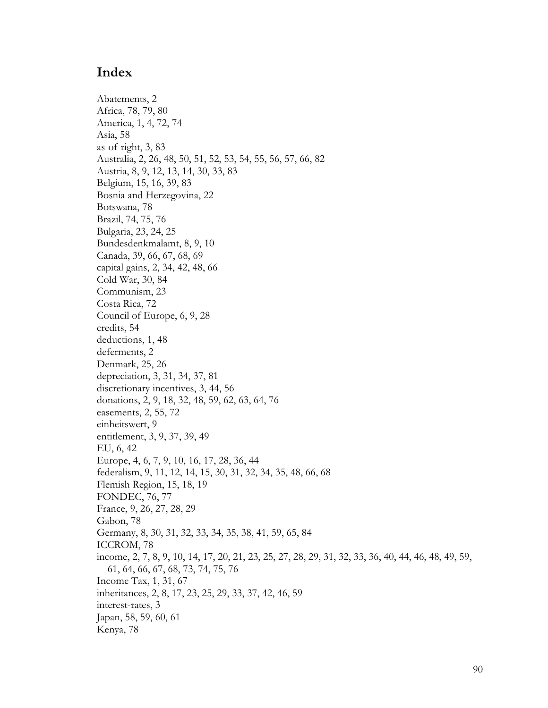# **Index**

Abatements, 2 Africa, 78, 79, 80 America, 1, 4, 72, 74 Asia, 58 as-of-right, 3, 83 Australia, 2, 26, 48, 50, 51, 52, 53, 54, 55, 56, 57, 66, 82 Austria, 8, 9, 12, 13, 14, 30, 33, 83 Belgium, 15, 16, 39, 83 Bosnia and Herzegovina, 22 Botswana, 78 Brazil, 74, 75, 76 Bulgaria, 23, 24, 25 Bundesdenkmalamt, 8, 9, 10 Canada, 39, 66, 67, 68, 69 capital gains, 2, 34, 42, 48, 66 Cold War, 30, 84 Communism, 23 Costa Rica, 72 Council of Europe, 6, 9, 28 credits, 54 deductions, 1, 48 deferments, 2 Denmark, 25, 26 depreciation, 3, 31, 34, 37, 81 discretionary incentives, 3, 44, 56 donations, 2, 9, 18, 32, 48, 59, 62, 63, 64, 76 easements, 2, 55, 72 einheitswert, 9 entitlement, 3, 9, 37, 39, 49 EU, 6, 42 Europe, 4, 6, 7, 9, 10, 16, 17, 28, 36, 44 federalism, 9, 11, 12, 14, 15, 30, 31, 32, 34, 35, 48, 66, 68 Flemish Region, 15, 18, 19 FONDEC, 76, 77 France, 9, 26, 27, 28, 29 Gabon, 78 Germany, 8, 30, 31, 32, 33, 34, 35, 38, 41, 59, 65, 84 ICCROM, 78 income, 2, 7, 8, 9, 10, 14, 17, 20, 21, 23, 25, 27, 28, 29, 31, 32, 33, 36, 40, 44, 46, 48, 49, 59, 61, 64, 66, 67, 68, 73, 74, 75, 76 Income Tax, 1, 31, 67 inheritances, 2, 8, 17, 23, 25, 29, 33, 37, 42, 46, 59 interest-rates, 3 Japan, 58, 59, 60, 61 Kenya, 78